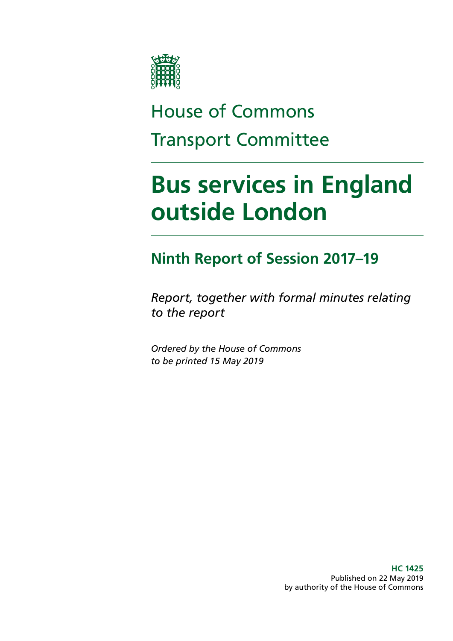

# House of Commons Transport Committee

# **Bus services in England outside London**

# **Ninth Report of Session 2017–19**

*Report, together with formal minutes relating to the report*

*Ordered by the House of Commons to be printed 15 May 2019*

> **HC 1425** Published on 22 May 2019 by authority of the House of Commons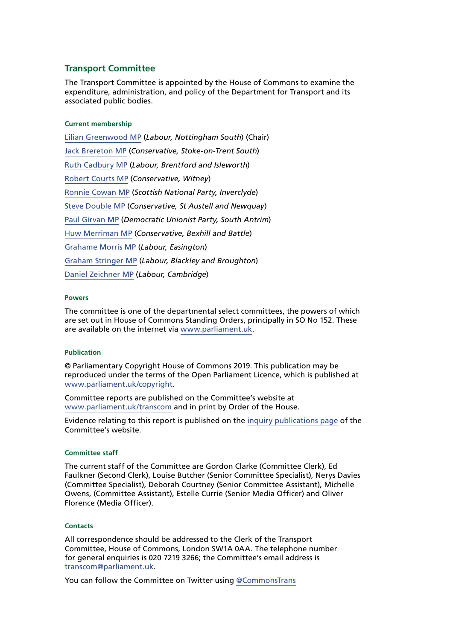#### **Transport Committee**

The Transport Committee is appointed by the House of Commons to examine the expenditure, administration, and policy of the Department for Transport and its associated public bodies.

#### **Current membership**

[Lilian Greenwood MP](http://www.parliament.uk/biographies/commons/lilian-greenwood/4029) (*Labour, Nottingham South*) (Chair) [Jack Brereton MP](https://www.parliament.uk/biographies/commons/jack-brereton/4643) (*Conservative, Stoke-on-Trent South*) [Ruth Cadbury MP](https://www.parliament.uk/biographies/commons/ruth-cadbury/4389) (*Labour, Brentford and Isleworth*) [Robert Courts MP](https://www.parliament.uk/biographies/commons/robert-courts/4589) (*Conservative, Witney*) [Ronnie Cowan MP](https://www.parliament.uk/biographies/commons/ronnie-cowan/4465) (*Scottish National Party, Inverclyde*) [Steve Double MP](https://www.parliament.uk/biographies/commons/steve-double/4452) (*Conservative, St Austell and Newquay*) [Paul Girvan MP](https://www.parliament.uk/biographies/commons/paul-girvan/4633) (*Democratic Unionist Party, South Antrim*) [Huw Merriman MP](https://www.parliament.uk/biographies/commons/huw-merriman/4442) (*Conservative, Bexhill and Battle*) [Grahame Morris MP](https://www.parliament.uk/biographies/commons/grahame-morris/3973) (*Labour, Easington*) [Graham Stringer MP](https://www.parliament.uk/biographies/commons/graham-stringer/449) (*Labour, Blackley and Broughton*) [Daniel Zeichner MP](https://www.parliament.uk/biographies/commons/daniel-zeichner/4382) (*Labour, Cambridge*)

#### **Powers**

The committee is one of the departmental select committees, the powers of which are set out in House of Commons Standing Orders, principally in SO No 152. These are available on the internet via [www.parliament.uk.](http://www.parliament.uk/)

#### **Publication**

© Parliamentary Copyright House of Commons 2019. This publication may be reproduced under the terms of the Open Parliament Licence, which is published at [www.parliament.uk/copyright](https://www.parliament.uk/copyright).

Committee reports are published on the Committee's website at [www.parliament.uk/transcom](http://www.parliament.uk/transcom) and in print by Order of the House.

Evidence relating to this report is published on the [inquiry publications page](https://www.parliament.uk/business/committees/committees-a-z/commons-select/transport-committee/inquiries/parliament-2017/health-of-bus-market-17-19/) of the Committee's website.

#### **Committee staff**

The current staff of the Committee are Gordon Clarke (Committee Clerk), Ed Faulkner (Second Clerk), Louise Butcher (Senior Committee Specialist), Nerys Davies (Committee Specialist), Deborah Courtney (Senior Committee Assistant), Michelle Owens, (Committee Assistant), Estelle Currie (Senior Media Officer) and Oliver Florence (Media Officer).

#### **Contacts**

All correspondence should be addressed to the Clerk of the Transport Committee, House of Commons, London SW1A 0AA. The telephone number for general enquiries is 020 7219 3266; the Committee's email address is [transcom@parliament.uk.](mailto:transcom%40parliament.uk?subject=)

You can follow the Committee on Twitter using [@CommonsTrans](https://twitter.com/CommonsTrans?ref_src=twsrc%5Egoogle%7Ctwcamp%5Eserp%7Ctwgr%5Eauthor)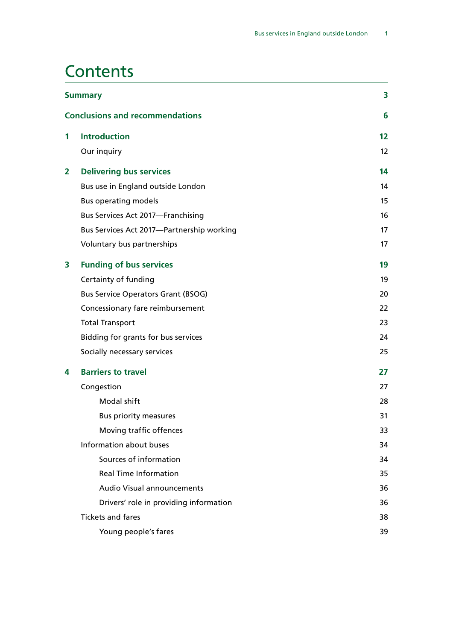<u> 1980 - Johann Barn, amerikan besteman besteman besteman besteman besteman besteman besteman besteman bestema</u>

## **Contents**

| <b>Summary</b> |                                           | 3  |
|----------------|-------------------------------------------|----|
|                | <b>Conclusions and recommendations</b>    | 6  |
| 1              | <b>Introduction</b>                       | 12 |
|                | Our inquiry                               | 12 |
| $\overline{2}$ | <b>Delivering bus services</b>            | 14 |
|                | Bus use in England outside London         | 14 |
|                | <b>Bus operating models</b>               | 15 |
|                | Bus Services Act 2017-Franchising         | 16 |
|                | Bus Services Act 2017-Partnership working | 17 |
|                | Voluntary bus partnerships                | 17 |
| 3              | <b>Funding of bus services</b>            | 19 |
|                | Certainty of funding                      | 19 |
|                | <b>Bus Service Operators Grant (BSOG)</b> | 20 |
|                | Concessionary fare reimbursement          | 22 |
|                | <b>Total Transport</b>                    | 23 |
|                | Bidding for grants for bus services       | 24 |
|                | Socially necessary services               | 25 |
| 4              | <b>Barriers to travel</b>                 | 27 |
|                | Congestion                                | 27 |
|                | <b>Modal shift</b>                        | 28 |
|                | <b>Bus priority measures</b>              | 31 |
|                | Moving traffic offences                   | 33 |
|                | Information about buses                   | 34 |
|                | Sources of information                    | 34 |
|                | <b>Real Time Information</b>              | 35 |
|                | <b>Audio Visual announcements</b>         | 36 |
|                | Drivers' role in providing information    | 36 |
|                | <b>Tickets and fares</b>                  | 38 |
|                | Young people's fares                      | 39 |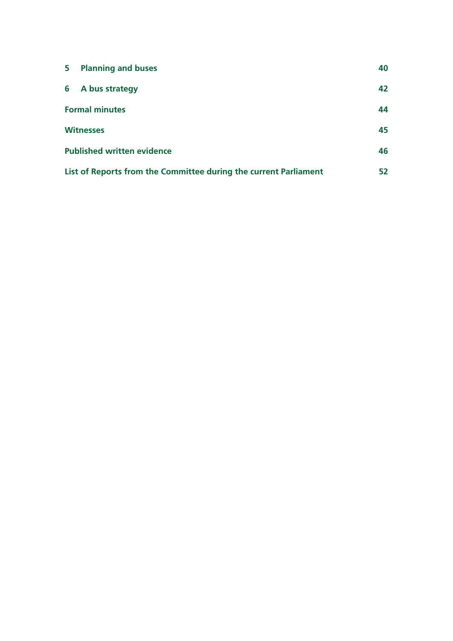| $5 -$ | <b>Planning and buses</b>                                        | 40 |
|-------|------------------------------------------------------------------|----|
|       | 6 A bus strategy                                                 | 42 |
|       | <b>Formal minutes</b>                                            | 44 |
|       | <b>Witnesses</b>                                                 | 45 |
|       | <b>Published written evidence</b>                                | 46 |
|       | List of Reports from the Committee during the current Parliament | 52 |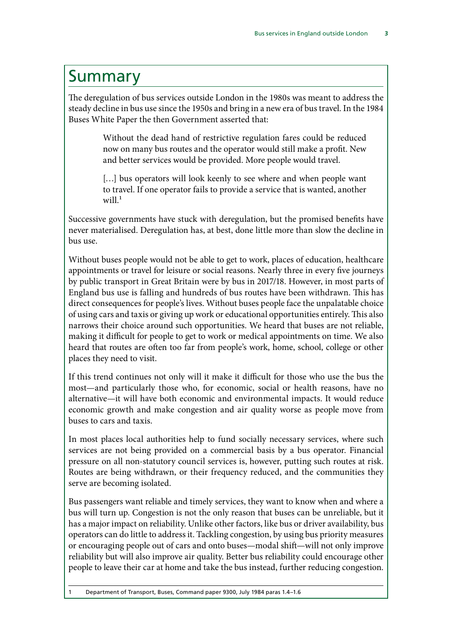## <span id="page-4-0"></span>Summary

The deregulation of bus services outside London in the 1980s was meant to address the steady decline in bus use since the 1950s and bring in a new era of bus travel. In the 1984 Buses White Paper the then Government asserted that:

> Without the dead hand of restrictive regulation fares could be reduced now on many bus routes and the operator would still make a profit. New and better services would be provided. More people would travel.

> [...] bus operators will look keenly to see where and when people want to travel. If one operator fails to provide a service that is wanted, another  $will<sup>1</sup>$

Successive governments have stuck with deregulation, but the promised benefits have never materialised. Deregulation has, at best, done little more than slow the decline in bus use.

Without buses people would not be able to get to work, places of education, healthcare appointments or travel for leisure or social reasons. Nearly three in every five journeys by public transport in Great Britain were by bus in 2017/18. However, in most parts of England bus use is falling and hundreds of bus routes have been withdrawn. This has direct consequences for people's lives. Without buses people face the unpalatable choice of using cars and taxis or giving up work or educational opportunities entirely. This also narrows their choice around such opportunities. We heard that buses are not reliable, making it difficult for people to get to work or medical appointments on time. We also heard that routes are often too far from people's work, home, school, college or other places they need to visit.

If this trend continues not only will it make it difficult for those who use the bus the most—and particularly those who, for economic, social or health reasons, have no alternative—it will have both economic and environmental impacts. It would reduce economic growth and make congestion and air quality worse as people move from buses to cars and taxis.

In most places local authorities help to fund socially necessary services, where such services are not being provided on a commercial basis by a bus operator. Financial pressure on all non-statutory council services is, however, putting such routes at risk. Routes are being withdrawn, or their frequency reduced, and the communities they serve are becoming isolated.

Bus passengers want reliable and timely services, they want to know when and where a bus will turn up. Congestion is not the only reason that buses can be unreliable, but it has a major impact on reliability. Unlike other factors, like bus or driver availability, bus operators can do little to address it. Tackling congestion, by using bus priority measures or encouraging people out of cars and onto buses—modal shift—will not only improve reliability but will also improve air quality. Better bus reliability could encourage other people to leave their car at home and take the bus instead, further reducing congestion.

1 Department of Transport, Buses, Command paper 9300, July 1984 paras 1.4–1.6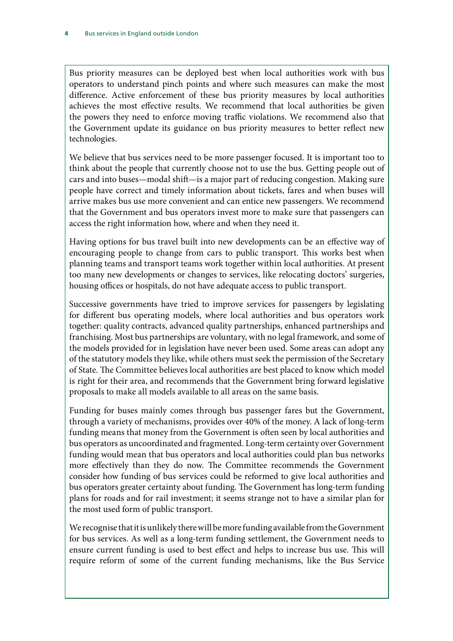Bus priority measures can be deployed best when local authorities work with bus operators to understand pinch points and where such measures can make the most difference. Active enforcement of these bus priority measures by local authorities achieves the most effective results. We recommend that local authorities be given the powers they need to enforce moving traffic violations. We recommend also that the Government update its guidance on bus priority measures to better reflect new technologies.

We believe that bus services need to be more passenger focused. It is important too to think about the people that currently choose not to use the bus. Getting people out of cars and into buses—modal shift—is a major part of reducing congestion. Making sure people have correct and timely information about tickets, fares and when buses will arrive makes bus use more convenient and can entice new passengers. We recommend that the Government and bus operators invest more to make sure that passengers can access the right information how, where and when they need it.

Having options for bus travel built into new developments can be an effective way of encouraging people to change from cars to public transport. This works best when planning teams and transport teams work together within local authorities. At present too many new developments or changes to services, like relocating doctors' surgeries, housing offices or hospitals, do not have adequate access to public transport.

Successive governments have tried to improve services for passengers by legislating for different bus operating models, where local authorities and bus operators work together: quality contracts, advanced quality partnerships, enhanced partnerships and franchising. Most bus partnerships are voluntary, with no legal framework, and some of the models provided for in legislation have never been used. Some areas can adopt any of the statutory models they like, while others must seek the permission of the Secretary of State. The Committee believes local authorities are best placed to know which model is right for their area, and recommends that the Government bring forward legislative proposals to make all models available to all areas on the same basis.

Funding for buses mainly comes through bus passenger fares but the Government, through a variety of mechanisms, provides over 40% of the money. A lack of long-term funding means that money from the Government is often seen by local authorities and bus operators as uncoordinated and fragmented. Long-term certainty over Government funding would mean that bus operators and local authorities could plan bus networks more effectively than they do now. The Committee recommends the Government consider how funding of bus services could be reformed to give local authorities and bus operators greater certainty about funding. The Government has long-term funding plans for roads and for rail investment; it seems strange not to have a similar plan for the most used form of public transport.

We recognise that it is unlikely there will be more funding available from the Government for bus services. As well as a long-term funding settlement, the Government needs to ensure current funding is used to best effect and helps to increase bus use. This will require reform of some of the current funding mechanisms, like the Bus Service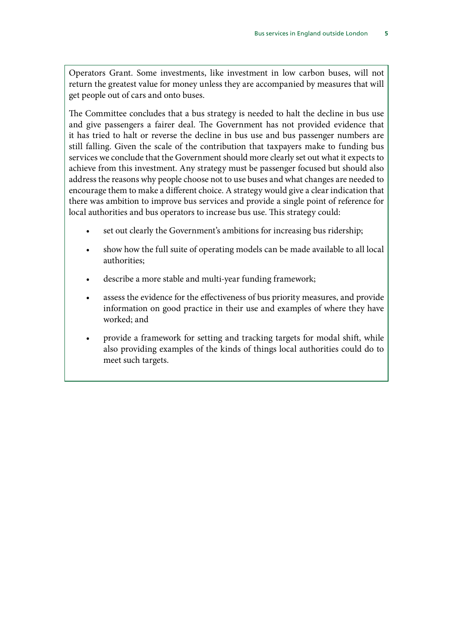Operators Grant. Some investments, like investment in low carbon buses, will not return the greatest value for money unless they are accompanied by measures that will get people out of cars and onto buses.

The Committee concludes that a bus strategy is needed to halt the decline in bus use and give passengers a fairer deal. The Government has not provided evidence that it has tried to halt or reverse the decline in bus use and bus passenger numbers are still falling. Given the scale of the contribution that taxpayers make to funding bus services we conclude that the Government should more clearly set out what it expects to achieve from this investment. Any strategy must be passenger focused but should also address the reasons why people choose not to use buses and what changes are needed to encourage them to make a different choice. A strategy would give a clear indication that there was ambition to improve bus services and provide a single point of reference for local authorities and bus operators to increase bus use. This strategy could:

- set out clearly the Government's ambitions for increasing bus ridership;
- show how the full suite of operating models can be made available to all local authorities;
- describe a more stable and multi-year funding framework;
- assess the evidence for the effectiveness of bus priority measures, and provide information on good practice in their use and examples of where they have worked; and
- provide a framework for setting and tracking targets for modal shift, while also providing examples of the kinds of things local authorities could do to meet such targets.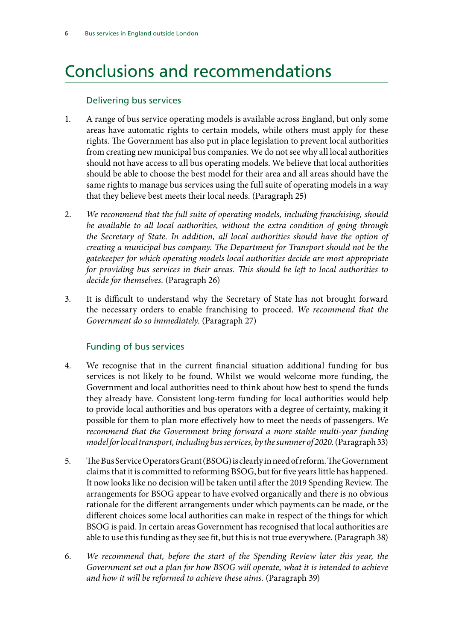# <span id="page-7-0"></span>Conclusions and recommendations

### Delivering bus services

- 1. A range of bus service operating models is available across England, but only some areas have automatic rights to certain models, while others must apply for these rights. The Government has also put in place legislation to prevent local authorities from creating new municipal bus companies. We do not see why all local authorities should not have access to all bus operating models. We believe that local authorities should be able to choose the best model for their area and all areas should have the same rights to manage bus services using the full suite of operating models in a way that they believe best meets their local needs. (Paragraph 25)
- 2. *We recommend that the full suite of operating models, including franchising, should*  be available to all local authorities, without the extra condition of going through *the Secretary of State. In addition, all local authorities should have the option of creating a municipal bus company. The Department for Transport should not be the gatekeeper for which operating models local authorities decide are most appropriate for providing bus services in their areas. This should be left to local authorities to decide for themselves.* (Paragraph 26)
- 3. It is difficult to understand why the Secretary of State has not brought forward the necessary orders to enable franchising to proceed. *We recommend that the Government do so immediately.* (Paragraph 27)

### Funding of bus services

- 4. We recognise that in the current financial situation additional funding for bus services is not likely to be found. Whilst we would welcome more funding, the Government and local authorities need to think about how best to spend the funds they already have. Consistent long-term funding for local authorities would help to provide local authorities and bus operators with a degree of certainty, making it possible for them to plan more effectively how to meet the needs of passengers. *We recommend that the Government bring forward a more stable multi-year funding model for local transport, including bus services, by the summer of 2020.* (Paragraph 33)
- 5. The Bus Service Operators Grant (BSOG) is clearly in need of reform. The Government claims that it is committed to reforming BSOG, but for five years little has happened. It now looks like no decision will be taken until after the 2019 Spending Review. The arrangements for BSOG appear to have evolved organically and there is no obvious rationale for the different arrangements under which payments can be made, or the different choices some local authorities can make in respect of the things for which BSOG is paid. In certain areas Government has recognised that local authorities are able to use this funding as they see fit, but this is not true everywhere. (Paragraph 38)
- 6. *We recommend that, before the start of the Spending Review later this year, the Government set out a plan for how BSOG will operate, what it is intended to achieve and how it will be reformed to achieve these aims.* (Paragraph 39)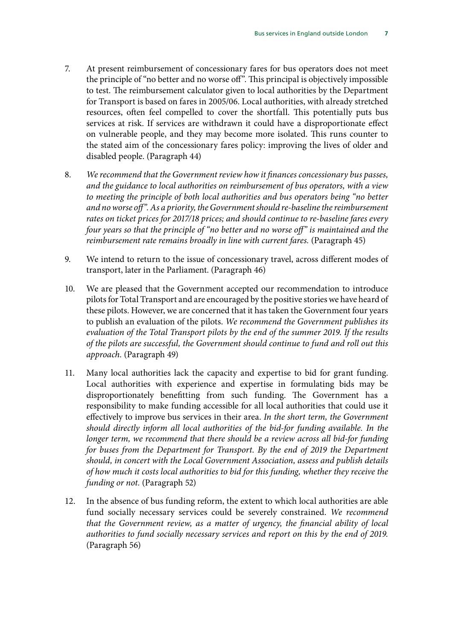- 7. At present reimbursement of concessionary fares for bus operators does not meet the principle of "no better and no worse off". This principal is objectively impossible to test. The reimbursement calculator given to local authorities by the Department for Transport is based on fares in 2005/06. Local authorities, with already stretched resources, often feel compelled to cover the shortfall. This potentially puts bus services at risk. If services are withdrawn it could have a disproportionate effect on vulnerable people, and they may become more isolated. This runs counter to the stated aim of the concessionary fares policy: improving the lives of older and disabled people. (Paragraph 44)
- 8. *We recommend that the Government review how it finances concessionary bus passes, and the guidance to local authorities on reimbursement of bus operators, with a view to meeting the principle of both local authorities and bus operators being "no better and no worse off". As a priority, the Government should re-baseline the reimbursement rates on ticket prices for 2017/18 prices; and should continue to re-baseline fares every four years so that the principle of "no better and no worse off" is maintained and the reimbursement rate remains broadly in line with current fares.* (Paragraph 45)
- 9. We intend to return to the issue of concessionary travel, across different modes of transport, later in the Parliament. (Paragraph 46)
- 10. We are pleased that the Government accepted our recommendation to introduce pilots for Total Transport and are encouraged by the positive stories we have heard of these pilots. However, we are concerned that it has taken the Government four years to publish an evaluation of the pilots. *We recommend the Government publishes its evaluation of the Total Transport pilots by the end of the summer 2019. If the results of the pilots are successful, the Government should continue to fund and roll out this approach.* (Paragraph 49)
- 11. Many local authorities lack the capacity and expertise to bid for grant funding. Local authorities with experience and expertise in formulating bids may be disproportionately benefitting from such funding. The Government has a responsibility to make funding accessible for all local authorities that could use it effectively to improve bus services in their area. *In the short term, the Government should directly inform all local authorities of the bid-for funding available. In the longer term, we recommend that there should be a review across all bid-for funding for buses from the Department for Transport. By the end of 2019 the Department should, in concert with the Local Government Association, assess and publish details of how much it costs local authorities to bid for this funding, whether they receive the funding or not.* (Paragraph 52)
- 12. In the absence of bus funding reform, the extent to which local authorities are able fund socially necessary services could be severely constrained. *We recommend that the Government review, as a matter of urgency, the financial ability of local authorities to fund socially necessary services and report on this by the end of 2019.* (Paragraph 56)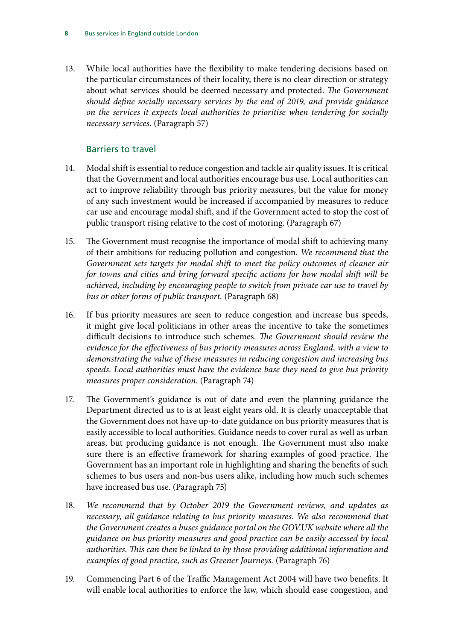13. While local authorities have the flexibility to make tendering decisions based on the particular circumstances of their locality, there is no clear direction or strategy about what services should be deemed necessary and protected. *The Government should define socially necessary services by the end of 2019, and provide guidance on the services it expects local authorities to prioritise when tendering for socially necessary services.* (Paragraph 57)

### Barriers to travel

- 14. Modal shift is essential to reduce congestion and tackle air quality issues. It is critical that the Government and local authorities encourage bus use. Local authorities can act to improve reliability through bus priority measures, but the value for money of any such investment would be increased if accompanied by measures to reduce car use and encourage modal shift, and if the Government acted to stop the cost of public transport rising relative to the cost of motoring. (Paragraph 67)
- 15. The Government must recognise the importance of modal shift to achieving many of their ambitions for reducing pollution and congestion. *We recommend that the Government sets targets for modal shift to meet the policy outcomes of cleaner air for towns and cities and bring forward specific actions for how modal shift will be achieved, including by encouraging people to switch from private car use to travel by bus or other forms of public transport.* (Paragraph 68)
- 16. If bus priority measures are seen to reduce congestion and increase bus speeds, it might give local politicians in other areas the incentive to take the sometimes difficult decisions to introduce such schemes. *The Government should review the evidence for the effectiveness of bus priority measures across England, with a view to demonstrating the value of these measures in reducing congestion and increasing bus speeds. Local authorities must have the evidence base they need to give bus priority measures proper consideration.* (Paragraph 74)
- 17. The Government's guidance is out of date and even the planning guidance the Department directed us to is at least eight years old. It is clearly unacceptable that the Government does not have up-to-date guidance on bus priority measures that is easily accessible to local authorities. Guidance needs to cover rural as well as urban areas, but producing guidance is not enough. The Government must also make sure there is an effective framework for sharing examples of good practice. The Government has an important role in highlighting and sharing the benefits of such schemes to bus users and non-bus users alike, including how much such schemes have increased bus use. (Paragraph 75)
- 18. *We recommend that by October 2019 the Government reviews, and updates as necessary, all guidance relating to bus priority measures. We also recommend that the Government creates a buses guidance portal on the GOV.UK website where all the guidance on bus priority measures and good practice can be easily accessed by local authorities. This can then be linked to by those providing additional information and examples of good practice, such as Greener Journeys.* (Paragraph 76)
- 19. Commencing Part 6 of the Traffic Management Act 2004 will have two benefits. It will enable local authorities to enforce the law, which should ease congestion, and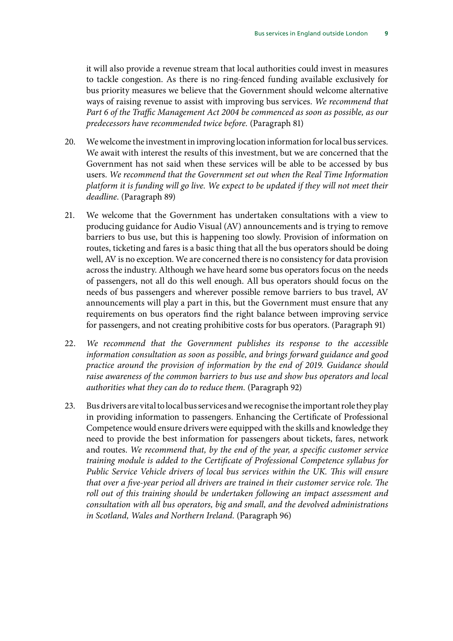it will also provide a revenue stream that local authorities could invest in measures to tackle congestion. As there is no ring-fenced funding available exclusively for bus priority measures we believe that the Government should welcome alternative ways of raising revenue to assist with improving bus services. *We recommend that Part 6 of the Traffic Management Act 2004 be commenced as soon as possible, as our predecessors have recommended twice before.* (Paragraph 81)

- 20. We welcome the investment in improving location information for local bus services. We await with interest the results of this investment, but we are concerned that the Government has not said when these services will be able to be accessed by bus users. *We recommend that the Government set out when the Real Time Information platform it is funding will go live. We expect to be updated if they will not meet their deadline.* (Paragraph 89)
- 21. We welcome that the Government has undertaken consultations with a view to producing guidance for Audio Visual (AV) announcements and is trying to remove barriers to bus use, but this is happening too slowly. Provision of information on routes, ticketing and fares is a basic thing that all the bus operators should be doing well, AV is no exception. We are concerned there is no consistency for data provision across the industry. Although we have heard some bus operators focus on the needs of passengers, not all do this well enough. All bus operators should focus on the needs of bus passengers and wherever possible remove barriers to bus travel, AV announcements will play a part in this, but the Government must ensure that any requirements on bus operators find the right balance between improving service for passengers, and not creating prohibitive costs for bus operators. (Paragraph 91)
- 22. *We recommend that the Government publishes its response to the accessible information consultation as soon as possible, and brings forward guidance and good practice around the provision of information by the end of 2019. Guidance should raise awareness of the common barriers to bus use and show bus operators and local authorities what they can do to reduce them.* (Paragraph 92)
- 23. Bus drivers are vital to local bus services and we recognise the important role they play in providing information to passengers. Enhancing the Certificate of Professional Competence would ensure drivers were equipped with the skills and knowledge they need to provide the best information for passengers about tickets, fares, network and routes. *We recommend that, by the end of the year, a specific customer service training module is added to the Certificate of Professional Competence syllabus for Public Service Vehicle drivers of local bus services within the UK. This will ensure that over a five-year period all drivers are trained in their customer service role. The roll out of this training should be undertaken following an impact assessment and consultation with all bus operators, big and small, and the devolved administrations in Scotland, Wales and Northern Ireland.* (Paragraph 96)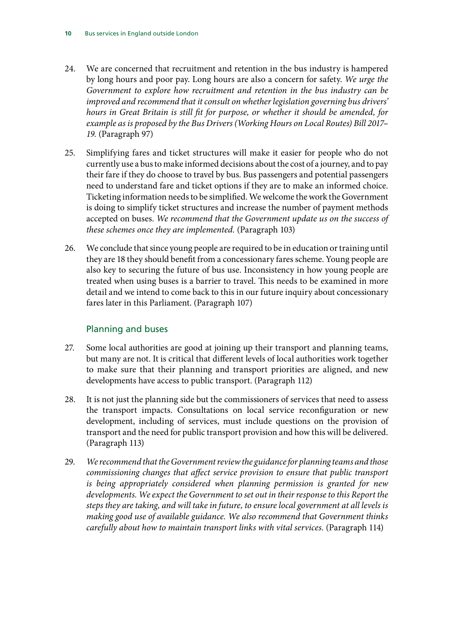- 24. We are concerned that recruitment and retention in the bus industry is hampered by long hours and poor pay. Long hours are also a concern for safety. *We urge the Government to explore how recruitment and retention in the bus industry can be improved and recommend that it consult on whether legislation governing bus drivers' hours in Great Britain is still fit for purpose, or whether it should be amended, for example as is proposed by the Bus Drivers (Working Hours on Local Routes) Bill 2017– 19.* (Paragraph 97)
- 25. Simplifying fares and ticket structures will make it easier for people who do not currently use a bus to make informed decisions about the cost of a journey, and to pay their fare if they do choose to travel by bus. Bus passengers and potential passengers need to understand fare and ticket options if they are to make an informed choice. Ticketing information needs to be simplified. We welcome the work the Government is doing to simplify ticket structures and increase the number of payment methods accepted on buses. *We recommend that the Government update us on the success of these schemes once they are implemented.* (Paragraph 103)
- 26. We conclude that since young people are required to be in education or training until they are 18 they should benefit from a concessionary fares scheme. Young people are also key to securing the future of bus use. Inconsistency in how young people are treated when using buses is a barrier to travel. This needs to be examined in more detail and we intend to come back to this in our future inquiry about concessionary fares later in this Parliament. (Paragraph 107)

### Planning and buses

- 27. Some local authorities are good at joining up their transport and planning teams, but many are not. It is critical that different levels of local authorities work together to make sure that their planning and transport priorities are aligned, and new developments have access to public transport. (Paragraph 112)
- 28. It is not just the planning side but the commissioners of services that need to assess the transport impacts. Consultations on local service reconfiguration or new development, including of services, must include questions on the provision of transport and the need for public transport provision and how this will be delivered. (Paragraph 113)
- 29. *We recommend that the Government review the guidance for planning teams and those commissioning changes that affect service provision to ensure that public transport is being appropriately considered when planning permission is granted for new developments. We expect the Government to set out in their response to this Report the steps they are taking, and will take in future, to ensure local government at all levels is making good use of available guidance. We also recommend that Government thinks carefully about how to maintain transport links with vital services.* (Paragraph 114)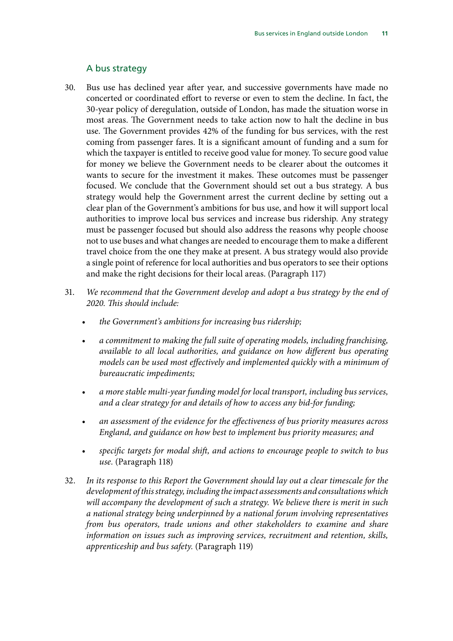#### A bus strategy

- 30. Bus use has declined year after year, and successive governments have made no concerted or coordinated effort to reverse or even to stem the decline. In fact, the 30-year policy of deregulation, outside of London, has made the situation worse in most areas. The Government needs to take action now to halt the decline in bus use. The Government provides 42% of the funding for bus services, with the rest coming from passenger fares. It is a significant amount of funding and a sum for which the taxpayer is entitled to receive good value for money. To secure good value for money we believe the Government needs to be clearer about the outcomes it wants to secure for the investment it makes. These outcomes must be passenger focused. We conclude that the Government should set out a bus strategy. A bus strategy would help the Government arrest the current decline by setting out a clear plan of the Government's ambitions for bus use, and how it will support local authorities to improve local bus services and increase bus ridership. Any strategy must be passenger focused but should also address the reasons why people choose not to use buses and what changes are needed to encourage them to make a different travel choice from the one they make at present. A bus strategy would also provide a single point of reference for local authorities and bus operators to see their options and make the right decisions for their local areas. (Paragraph 117)
- 31. *We recommend that the Government develop and adopt a bus strategy by the end of 2020. This should include:*
	- *the Government's ambitions for increasing bus ridership;*
	- *a commitment to making the full suite of operating models, including franchising, available to all local authorities, and guidance on how different bus operating models can be used most effectively and implemented quickly with a minimum of bureaucratic impediments;*
	- *a more stable multi-year funding model for local transport, including bus services, and a clear strategy for and details of how to access any bid-for funding;*
	- *an assessment of the evidence for the effectiveness of bus priority measures across England, and guidance on how best to implement bus priority measures; and*
	- *specific targets for modal shift, and actions to encourage people to switch to bus use.* (Paragraph 118)
- 32. *In its response to this Report the Government should lay out a clear timescale for the development of this strategy, including the impact assessments and consultations which will accompany the development of such a strategy. We believe there is merit in such a national strategy being underpinned by a national forum involving representatives from bus operators, trade unions and other stakeholders to examine and share information on issues such as improving services, recruitment and retention, skills, apprenticeship and bus safety.* (Paragraph 119)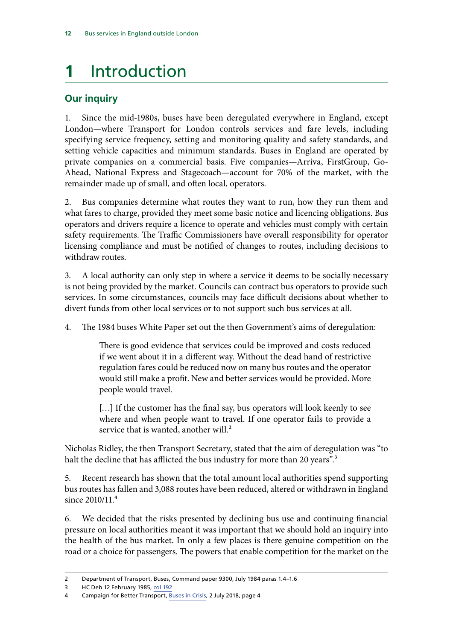# <span id="page-13-0"></span>**1** Introduction

## **Our inquiry**

1. Since the mid-1980s, buses have been deregulated everywhere in England, except London—where Transport for London controls services and fare levels, including specifying service frequency, setting and monitoring quality and safety standards, and setting vehicle capacities and minimum standards. Buses in England are operated by private companies on a commercial basis. Five companies—Arriva, FirstGroup, Go-Ahead, National Express and Stagecoach—account for 70% of the market, with the remainder made up of small, and often local, operators.

2. Bus companies determine what routes they want to run, how they run them and what fares to charge, provided they meet some basic notice and licencing obligations. Bus operators and drivers require a licence to operate and vehicles must comply with certain safety requirements. The Traffic Commissioners have overall responsibility for operator licensing compliance and must be notified of changes to routes, including decisions to withdraw routes.

3. A local authority can only step in where a service it deems to be socially necessary is not being provided by the market. Councils can contract bus operators to provide such services. In some circumstances, councils may face difficult decisions about whether to divert funds from other local services or to not support such bus services at all.

4. The 1984 buses White Paper set out the then Government's aims of deregulation:

There is good evidence that services could be improved and costs reduced if we went about it in a different way. Without the dead hand of restrictive regulation fares could be reduced now on many bus routes and the operator would still make a profit. New and better services would be provided. More people would travel.

[...] If the customer has the final say, bus operators will look keenly to see where and when people want to travel. If one operator fails to provide a service that is wanted, another will.<sup>2</sup>

Nicholas Ridley, the then Transport Secretary, stated that the aim of deregulation was "to halt the decline that has afflicted the bus industry for more than 20 years".<sup>3</sup>

5. Recent research has shown that the total amount local authorities spend supporting bus routes has fallen and 3,088 routes have been reduced, altered or withdrawn in England since 2010/11.4

6. We decided that the risks presented by declining bus use and continuing financial pressure on local authorities meant it was important that we should hold an inquiry into the health of the bus market. In only a few places is there genuine competition on the road or a choice for passengers. The powers that enable competition for the market on the

<sup>2</sup> Department of Transport, Buses, Command paper 9300, July 1984 paras 1.4–1.6

<sup>3</sup> HC Deb 12 February 1985, [col 192](https://api.parliament.uk/historic-hansard/commons/1985/feb/12/transport-bill)

<sup>4</sup> Campaign for Better Transport, [Buses in Crisis](https://bettertransport.org.uk/buses-in-crisis-2018), 2 July 2018, page 4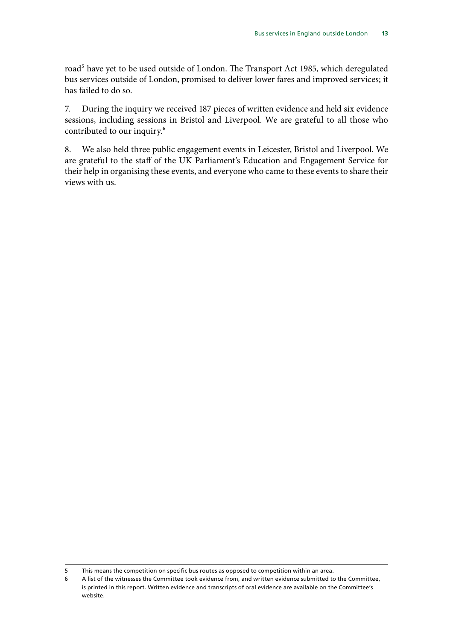road<sup>5</sup> have yet to be used outside of London. The Transport Act 1985, which deregulated bus services outside of London, promised to deliver lower fares and improved services; it has failed to do so.

7. During the inquiry we received 187 pieces of written evidence and held six evidence sessions, including sessions in Bristol and Liverpool. We are grateful to all those who contributed to our inquiry.6

8. We also held three public engagement events in Leicester, Bristol and Liverpool. We are grateful to the staff of the UK Parliament's Education and Engagement Service for their help in organising these events, and everyone who came to these events to share their views with us.

<sup>5</sup> This means the competition on specific bus routes as opposed to competition within an area.

<sup>6</sup> A list of the witnesses the Committee took evidence from, and written evidence submitted to the Committee, is printed in this report. Written evidence and transcripts of oral evidence are available on the Committee's website.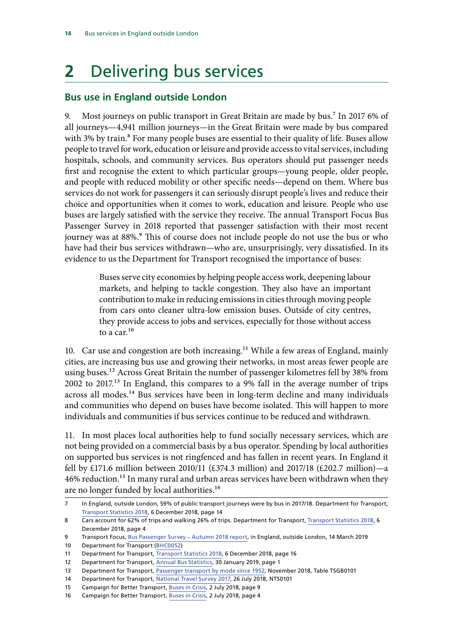# <span id="page-15-0"></span>**2** Delivering bus services

## **Bus use in England outside London**

9. Most journeys on public transport in Great Britain are made by bus.7 In 2017 6% of all journeys—4,941 million journeys—in the Great Britain were made by bus compared with 3% by train.<sup>8</sup> For many people buses are essential to their quality of life. Buses allow people to travel for work, education or leisure and provide access to vital services, including hospitals, schools, and community services. Bus operators should put passenger needs first and recognise the extent to which particular groups—young people, older people, and people with reduced mobility or other specific needs—depend on them. Where bus services do not work for passengers it can seriously disrupt people's lives and reduce their choice and opportunities when it comes to work, education and leisure. People who use buses are largely satisfied with the service they receive. The annual Transport Focus Bus Passenger Survey in 2018 reported that passenger satisfaction with their most recent journey was at 88%.<sup>9</sup> This of course does not include people do not use the bus or who have had their bus services withdrawn—who are, unsurprisingly, very dissatisfied. In its evidence to us the Department for Transport recognised the importance of buses:

> Buses serve city economies by helping people access work, deepening labour markets, and helping to tackle congestion. They also have an important contribution to make in reducing emissions in cities through moving people from cars onto cleaner ultra-low emission buses. Outside of city centres, they provide access to jobs and services, especially for those without access to a car.<sup>10</sup>

10. Car use and congestion are both increasing.<sup>11</sup> While a few areas of England, mainly cities, are increasing bus use and growing their networks, in most areas fewer people are using buses.<sup>12</sup> Across Great Britain the number of passenger kilometres fell by 38% from  $2002$  to  $2017<sup>13</sup>$  In England, this compares to a 9% fall in the average number of trips across all modes.<sup>14</sup> Bus services have been in long-term decline and many individuals and communities who depend on buses have become isolated. This will happen to more individuals and communities if bus services continue to be reduced and withdrawn.

11. In most places local authorities help to fund socially necessary services, which are not being provided on a commercial basis by a bus operator. Spending by local authorities on supported bus services is not ringfenced and has fallen in recent years. In England it fell by £171.6 million between 2010/11 (£374.3 million) and 2017/18 (£202.7 million)—a 46% reduction.<sup>15</sup> In many rural and urban areas services have been withdrawn when they are no longer funded by local authorities.16

<sup>7</sup> In England, outside London, 59% of public transport journeys were by bus in 2017/18. Department for Transport, [Transport Statistics 2018](https://assets.publishing.service.gov.uk/government/uploads/system/uploads/attachment_data/file/762011/tsgb-2018-report-summaries.pdf), 6 December 2018, page 14

<sup>8</sup> Cars account for 62% of trips and walking 26% of trips. Department for Transport, [Transport Statistics 2018,](https://assets.publishing.service.gov.uk/government/uploads/system/uploads/attachment_data/file/762011/tsgb-2018-report-summaries.pdf) 6 December 2018, page 4

<sup>9</sup> Transport Focus, [Bus Passenger Survey – Autumn 2018 report](https://www.transportfocus.org.uk/research-publications/publications/bus-passenger-survey-autumn-2018-report/), in England, outside London, 14 March 2019

<sup>10</sup> Department for Transport [\(BHC0052\)](http://data.parliament.uk/writtenevidence/committeeevidence.svc/evidencedocument/transport-committee/health-of-the-bus-market/written/90000.html)

<sup>11</sup> Department for Transport, [Transport Statistics 2018,](https://assets.publishing.service.gov.uk/government/uploads/system/uploads/attachment_data/file/762011/tsgb-2018-report-summaries.pdf) 6 December 2018, page 16

<sup>12</sup> Department for Transport, [Annual Bus Statistics,](https://www.gov.uk/government/statistics/annual-bus-statistics-year-ending-march-2018) 30 January 2019, page 1

<sup>13</sup> Department for Transport, [Passenger transport by mode since 1952](https://www.gov.uk/government/statistical-data-sets/tsgb01-modal-comparisons), November 2018, Table TSGB0101

<sup>14</sup> Department for Transport, [National Travel Survey 2017,](https://assets.publishing.service.gov.uk/government/uploads/system/uploads/attachment_data/file/729521/national-travel-survey-2017.pdf) 26 July 2018, NTS0101

<sup>15</sup> Campaign for Better Transport, [Buses in Crisis](https://bettertransport.org.uk/buses-in-crisis-2018), 2 July 2018, page 9

<sup>16</sup> Campaign for Better Transport, [Buses in Crisis](https://bettertransport.org.uk/buses-in-crisis-2018), 2 July 2018, page 4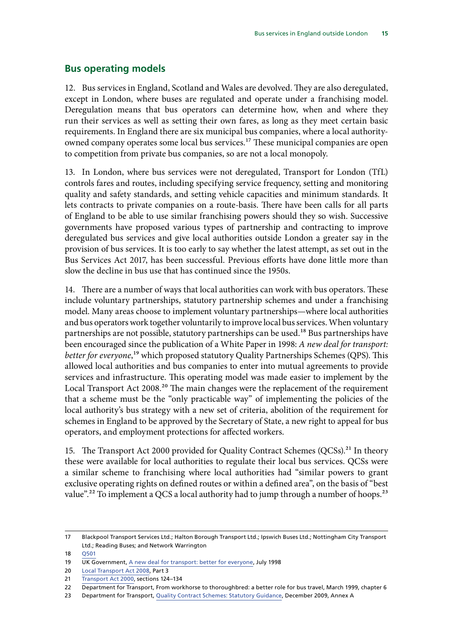#### <span id="page-16-0"></span>**Bus operating models**

12. Bus services in England, Scotland and Wales are devolved. They are also deregulated, except in London, where buses are regulated and operate under a franchising model. Deregulation means that bus operators can determine how, when and where they run their services as well as setting their own fares, as long as they meet certain basic requirements. In England there are six municipal bus companies, where a local authorityowned company operates some local bus services.<sup>17</sup> These municipal companies are open to competition from private bus companies, so are not a local monopoly.

13. In London, where bus services were not deregulated, Transport for London (TfL) controls fares and routes, including specifying service frequency, setting and monitoring quality and safety standards, and setting vehicle capacities and minimum standards. It lets contracts to private companies on a route-basis. There have been calls for all parts of England to be able to use similar franchising powers should they so wish. Successive governments have proposed various types of partnership and contracting to improve deregulated bus services and give local authorities outside London a greater say in the provision of bus services. It is too early to say whether the latest attempt, as set out in the Bus Services Act 2017, has been successful. Previous efforts have done little more than slow the decline in bus use that has continued since the 1950s.

14. There are a number of ways that local authorities can work with bus operators. These include voluntary partnerships, statutory partnership schemes and under a franchising model. Many areas choose to implement voluntary partnerships—where local authorities and bus operators work together voluntarily to improve local bus services. When voluntary partnerships are not possible, statutory partnerships can be used.<sup>18</sup> Bus partnerships have been encouraged since the publication of a White Paper in 1998: *A new deal for transport: better for everyone*,<sup>19</sup> which proposed statutory Quality Partnerships Schemes (QPS). This allowed local authorities and bus companies to enter into mutual agreements to provide services and infrastructure. This operating model was made easier to implement by the Local Transport Act 2008.<sup>20</sup> The main changes were the replacement of the requirement that a scheme must be the "only practicable way" of implementing the policies of the local authority's bus strategy with a new set of criteria, abolition of the requirement for schemes in England to be approved by the Secretary of State, a new right to appeal for bus operators, and employment protections for affected workers.

15. The Transport Act 2000 provided for Quality Contract Schemes (QCSs).<sup>21</sup> In theory these were available for local authorities to regulate their local bus services. QCSs were a similar scheme to franchising where local authorities had "similar powers to grant exclusive operating rights on defined routes or within a defined area", on the basis of "best value".<sup>22</sup> To implement a QCS a local authority had to jump through a number of hoops.<sup>23</sup>

18 [Q501](http://data.parliament.uk/writtenevidence/committeeevidence.svc/evidencedocument/transport-committee/health-of-the-bus-market/oral/96505.html)

<sup>17</sup> Blackpool Transport Services Ltd.; Halton Borough Transport Ltd.; Ipswich Buses Ltd.; Nottingham City Transport Ltd.; Reading Buses; and Network Warrington

<sup>19</sup> UK Government, [A new deal for transport: better for everyone,](https://webarchive.nationalarchives.gov.uk/20100303184715/http:/www.dft.gov.uk/about/strategy/whitepapers/previous/anewdealfortransportbetterfo5695) July 1998

<sup>20</sup> [Local Transport Act 2008,](https://www.legislation.gov.uk/ukpga/2008/26/contents) Part 3

<sup>21</sup> [Transport Act 2000,](https://www.legislation.gov.uk/ukpga/2000/38/contents) sections 124–134

<sup>22</sup> Department for Transport, From workhorse to thoroughbred: a better role for bus travel, March 1999, chapter 6

<sup>23</sup> Department for Transport, Quality Contract Schemes: Statutory Guidance, December 2009, Annex A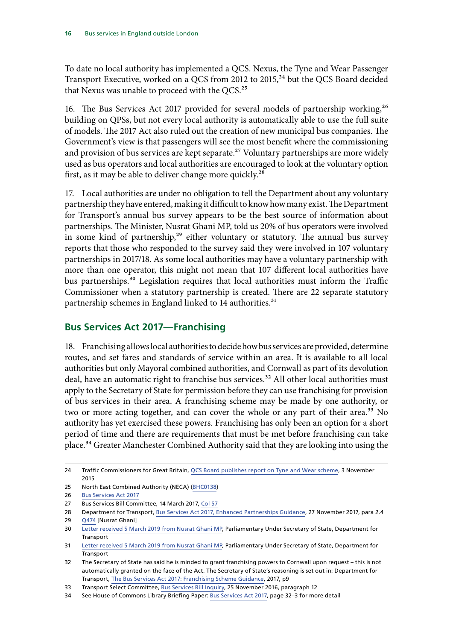<span id="page-17-0"></span>To date no local authority has implemented a QCS. Nexus, the Tyne and Wear Passenger Transport Executive, worked on a QCS from 2012 to 2015,<sup>24</sup> but the QCS Board decided that Nexus was unable to proceed with the QCS.<sup>25</sup>

16. The Bus Services Act 2017 provided for several models of partnership working,<sup>26</sup> building on QPSs, but not every local authority is automatically able to use the full suite of models. The 2017 Act also ruled out the creation of new municipal bus companies. The Government's view is that passengers will see the most benefit where the commissioning and provision of bus services are kept separate.<sup>27</sup> Voluntary partnerships are more widely used as bus operators and local authorities are encouraged to look at the voluntary option first, as it may be able to deliver change more quickly.<sup>28</sup>

17. Local authorities are under no obligation to tell the Department about any voluntary partnership they have entered, making it difficult to know how many exist. The Department for Transport's annual bus survey appears to be the best source of information about partnerships. The Minister, Nusrat Ghani MP, told us 20% of bus operators were involved in some kind of partnership, $29$  either voluntary or statutory. The annual bus survey reports that those who responded to the survey said they were involved in 107 voluntary partnerships in 2017/18. As some local authorities may have a voluntary partnership with more than one operator, this might not mean that 107 different local authorities have bus partnerships.<sup>30</sup> Legislation requires that local authorities must inform the Traffic Commissioner when a statutory partnership is created. There are 22 separate statutory partnership schemes in England linked to 14 authorities.<sup>31</sup>

## **Bus Services Act 2017—Franchising**

18. Franchising allows local authorities to decide how bus services are provided, determine routes, and set fares and standards of service within an area. It is available to all local authorities but only Mayoral combined authorities, and Cornwall as part of its devolution deal, have an automatic right to franchise bus services.<sup>32</sup> All other local authorities must apply to the Secretary of State for permission before they can use franchising for provision of bus services in their area. A franchising scheme may be made by one authority, or two or more acting together, and can cover the whole or any part of their area.<sup>33</sup> No authority has yet exercised these powers. Franchising has only been an option for a short period of time and there are requirements that must be met before franchising can take place.34 Greater Manchester Combined Authority said that they are looking into using the

<sup>24</sup> Traffic Commissioners for Great Britain, [QCS Board publishes report on Tyne and Wear scheme,](https://www.gov.uk/government/news/qcs-board-publishes-report-on-tyne-and-wear-scheme) 3 November 2015

<sup>25</sup> North East Combined Authority (NECA) [\(BHC0138\)](http://data.parliament.uk/writtenevidence/committeeevidence.svc/evidencedocument/transport-committee/health-of-the-bus-market/written/90692.html)

<sup>26</sup> [Bus Services Act 2017](http://www.legislation.gov.uk/ukpga/2017/21/contents/enacted)

<sup>27</sup> Bus Services Bill Committee, 14 March 2017, [Col 57](http://bit.ly/2Ib4D91)

<sup>28</sup> Department for Transport, [Bus Services Act 2017, Enhanced Partnerships Guidance](https://www.gov.uk/government/publications/bus-services-act-2017-enhanced-partnership-creation), 27 November 2017, para 2.4

<sup>29</sup> [Q474](http://data.parliament.uk/writtenevidence/committeeevidence.svc/evidencedocument/transport-committee/health-of-the-bus-market/oral/96505.html) [Nusrat Ghani]

<sup>30</sup> [Letter received 5 March 2019 from Nusrat Ghani MP](https://www.parliament.uk/documents/commons-committees/transport/nusrat-ghani-to-lilian-greenwood-health-of-the-bus-market-05032019.pdf), Parliamentary Under Secretary of State, Department for Transport

<sup>31</sup> [Letter received 5 March 2019 from Nusrat Ghani MP](https://www.parliament.uk/documents/commons-committees/transport/nusrat-ghani-to-lilian-greenwood-health-of-the-bus-market-05032019.pdf), Parliamentary Under Secretary of State, Department for **Transport** 

<sup>32</sup> The Secretary of State has said he is minded to grant franchising powers to Cornwall upon request – this is not automatically granted on the face of the Act. The Secretary of State's reasoning is set out in: Department for Transport, [The Bus Services Act 2017: Franchising Scheme Guidance,](https://assets.publishing.service.gov.uk/government/uploads/system/uploads/attachment_data/file/694428/bus-services-act-2017-franchising-guidance.pdf) 2017, p9

<sup>33</sup> Transport Select Committee, [Bus Services Bill Inquiry,](https://publications.parliament.uk/pa/cm201617/cmselect/cmtrans/611/611.pdf) 25 November 2016, paragraph 12

<sup>34</sup> See House of Commons Library Briefing Paper: [Bus Services Act 2017,](https://researchbriefings.parliament.uk/ResearchBriefing/Summary/CBP-7545) page 32–3 for more detail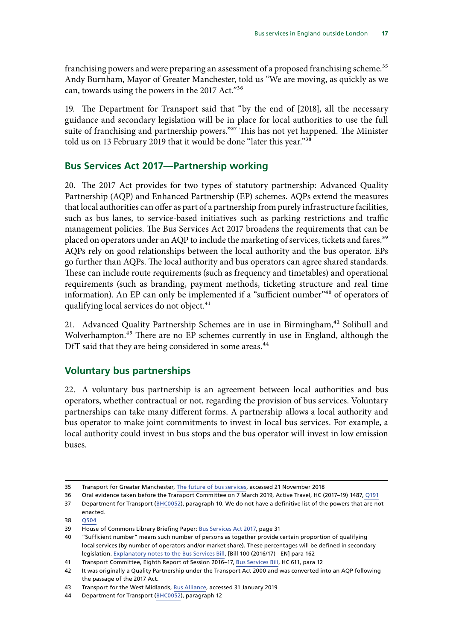<span id="page-18-0"></span>franchising powers and were preparing an assessment of a proposed franchising scheme.<sup>35</sup> Andy Burnham, Mayor of Greater Manchester, told us "We are moving, as quickly as we can, towards using the powers in the 2017 Act."36

19. The Department for Transport said that "by the end of [2018], all the necessary guidance and secondary legislation will be in place for local authorities to use the full suite of franchising and partnership powers."<sup>37</sup> This has not yet happened. The Minister told us on 13 February 2019 that it would be done "later this year."<sup>38</sup>

## **Bus Services Act 2017—Partnership working**

20. The 2017 Act provides for two types of statutory partnership: Advanced Quality Partnership (AQP) and Enhanced Partnership (EP) schemes. AQPs extend the measures that local authorities can offer as part of a partnership from purely infrastructure facilities, such as bus lanes, to service-based initiatives such as parking restrictions and traffic management policies. The Bus Services Act 2017 broadens the requirements that can be placed on operators under an AQP to include the marketing of services, tickets and fares.<sup>39</sup> AQPs rely on good relationships between the local authority and the bus operator. EPs go further than AQPs. The local authority and bus operators can agree shared standards. These can include route requirements (such as frequency and timetables) and operational requirements (such as branding, payment methods, ticketing structure and real time information). An EP can only be implemented if a "sufficient number"<sup>40</sup> of operators of qualifying local services do not object.<sup>41</sup>

21. Advanced Quality Partnership Schemes are in use in Birmingham,<sup>42</sup> Solihull and Wolverhampton.<sup>43</sup> There are no EP schemes currently in use in England, although the DfT said that they are being considered in some areas.<sup>44</sup>

## **Voluntary bus partnerships**

22. A voluntary bus partnership is an agreement between local authorities and bus operators, whether contractual or not, regarding the provision of bus services. Voluntary partnerships can take many different forms. A partnership allows a local authority and bus operator to make joint commitments to invest in local bus services. For example, a local authority could invest in bus stops and the bus operator will invest in low emission buses.

<sup>35</sup> Transport for Greater Manchester, [The future of bus services,](https://www.tfgm.com/future-travel/bus-reform) accessed 21 November 2018

<sup>36</sup> Oral evidence taken before the Transport Committee on 7 March 2019, Active Travel, HC (2017–19) 1487[, Q191](http://data.parliament.uk/writtenevidence/committeeevidence.svc/evidencedocument/transport-committee/active-travel/oral/97852.html)

<sup>37</sup> Department for Transport [\(BHC0052\)](http://data.parliament.uk/writtenevidence/committeeevidence.svc/evidencedocument/transport-committee/health-of-the-bus-market/written/90000.html), paragraph 10. We do not have a definitive list of the powers that are not enacted.

<sup>38</sup> [Q504](http://data.parliament.uk/writtenevidence/committeeevidence.svc/evidencedocument/transport-committee/health-of-the-bus-market/oral/96505.html)

<sup>39</sup> House of Commons Library Briefing Paper: [Bus Services Act 2017](https://researchbriefings.parliament.uk/ResearchBriefing/Summary/CBP-7545), page 31

<sup>40</sup> "Sufficient number" means such number of persons as together provide certain proportion of qualifying local services (by number of operators and/or market share). These percentages will be defined in secondary legislation. [Explanatory notes to the Bus Services Bill](https://publications.parliament.uk/pa/bills/cbill/2016-2017/0100/en/17100en06.htm), [Bill 100 (2016/17) - EN] para 162

<sup>41</sup> Transport Committee, Eighth Report of Session 2016–17, Bus Services Bill, HC 611, para 12

<sup>42</sup> It was originally a Quality Partnership under the Transport Act 2000 and was converted into an AQP following the passage of the 2017 Act.

<sup>43</sup> Transport for the West Midlands, [Bus Alliance](https://www.tfwm.org.uk/strategy/bus-alliance/), accessed 31 January 2019

<sup>44</sup> Department for Transport [\(BHC0052\)](http://data.parliament.uk/writtenevidence/committeeevidence.svc/evidencedocument/transport-committee/health-of-the-bus-market/written/90000.html), paragraph 12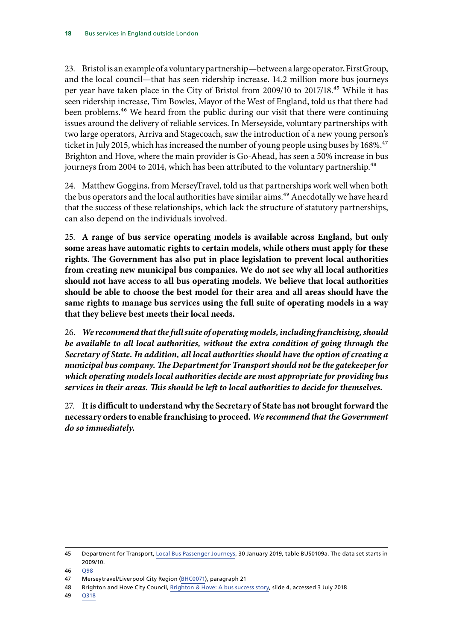23. Bristol is an example of a voluntary partnership—between a large operator, FirstGroup, and the local council—that has seen ridership increase. 14.2 million more bus journeys per year have taken place in the City of Bristol from 2009/10 to 2017/18.45 While it has seen ridership increase, Tim Bowles, Mayor of the West of England, told us that there had been problems.<sup>46</sup> We heard from the public during our visit that there were continuing issues around the delivery of reliable services. In Merseyside, voluntary partnerships with two large operators, Arriva and Stagecoach, saw the introduction of a new young person's ticket in July 2015, which has increased the number of young people using buses by 168%.<sup>47</sup> Brighton and Hove, where the main provider is Go-Ahead, has seen a 50% increase in bus journeys from 2004 to 2014, which has been attributed to the voluntary partnership.<sup>48</sup>

24. Matthew Goggins, from MerseyTravel, told us that partnerships work well when both the bus operators and the local authorities have similar aims.<sup>49</sup> Anecdotally we have heard that the success of these relationships, which lack the structure of statutory partnerships, can also depend on the individuals involved.

25. **A range of bus service operating models is available across England, but only some areas have automatic rights to certain models, while others must apply for these rights. The Government has also put in place legislation to prevent local authorities from creating new municipal bus companies. We do not see why all local authorities should not have access to all bus operating models. We believe that local authorities should be able to choose the best model for their area and all areas should have the same rights to manage bus services using the full suite of operating models in a way that they believe best meets their local needs.**

26. *We recommend that the full suite of operating models, including franchising, should be available to all local authorities, without the extra condition of going through the Secretary of State. In addition, all local authorities should have the option of creating a municipal bus company. The Department for Transport should not be the gatekeeper for which operating models local authorities decide are most appropriate for providing bus services in their areas. This should be left to local authorities to decide for themselves.*

27. **It is difficult to understand why the Secretary of State has not brought forward the necessary orders to enable franchising to proceed.** *We recommend that the Government do so immediately.*

<sup>45</sup> Department for Transport, Local Bus Passenger Journeys, 30 January 2019, table BUS0109a. The data set starts in 2009/10.

<sup>46</sup> [Q98](http://data.parliament.uk/writtenevidence/committeeevidence.svc/evidencedocument/transport-committee/health-of-the-bus-market/oral/92517.html)

<sup>47</sup> Merseytravel/Liverpool City Region ([BHC0071](http://data.parliament.uk/writtenevidence/committeeevidence.svc/evidencedocument/transport-committee/health-of-the-bus-market/written/90171.html)), paragraph 21

<sup>48</sup> Brighton and Hove City Council, [Brighton & Hove: A bus success story,](https://www.local.gov.uk/sites/default/files/documents/The%20Brighton%20Story%20-%20Mark%20Prior%20%281%29.pdf) slide 4, accessed 3 July 2018

<sup>49</sup> [Q318](http://data.parliament.uk/writtenevidence/committeeevidence.svc/evidencedocument/transport-committee/health-of-the-bus-market/oral/95131.html)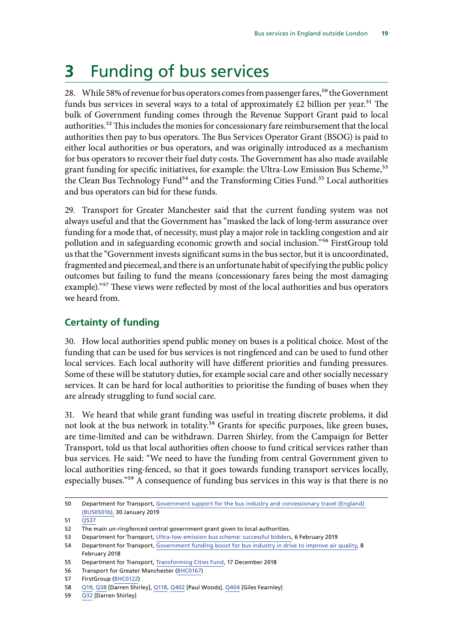# <span id="page-20-0"></span>**3** Funding of bus services

28. While 58% of revenue for bus operators comes from passenger fares,<sup>50</sup> the Government funds bus services in several ways to a total of approximately  $\pounds 2$  billion per year.<sup>51</sup> The bulk of Government funding comes through the Revenue Support Grant paid to local authorities.<sup>52</sup> This includes the monies for concessionary fare reimbursement that the local authorities then pay to bus operators. The Bus Services Operator Grant (BSOG) is paid to either local authorities or bus operators, and was originally introduced as a mechanism for bus operators to recover their fuel duty costs. The Government has also made available grant funding for specific initiatives, for example: the Ultra-Low Emission Bus Scheme,<sup>53</sup> the Clean Bus Technology Fund<sup>54</sup> and the Transforming Cities Fund.<sup>55</sup> Local authorities and bus operators can bid for these funds.

29. Transport for Greater Manchester said that the current funding system was not always useful and that the Government has "masked the lack of long-term assurance over funding for a mode that, of necessity, must play a major role in tackling congestion and air pollution and in safeguarding economic growth and social inclusion."56 FirstGroup told us that the "Government invests significant sums in the bus sector, but it is uncoordinated, fragmented and piecemeal, and there is an unfortunate habit of specifying the public policy outcomes but failing to fund the means (concessionary fares being the most damaging example)."<sup>57</sup> These views were reflected by most of the local authorities and bus operators we heard from.

### **Certainty of funding**

30. How local authorities spend public money on buses is a political choice. Most of the funding that can be used for bus services is not ringfenced and can be used to fund other local services. Each local authority will have different priorities and funding pressures. Some of these will be statutory duties, for example social care and other socially necessary services. It can be hard for local authorities to prioritise the funding of buses when they are already struggling to fund social care.

31. We heard that while grant funding was useful in treating discrete problems, it did not look at the bus network in totality.<sup>58</sup> Grants for specific purposes, like green buses, are time-limited and can be withdrawn. Darren Shirley, from the Campaign for Better Transport, told us that local authorities often choose to fund critical services rather than bus services. He said: "We need to have the funding from central Government given to local authorities ring-fenced, so that it goes towards funding transport services locally, especially buses."59 A consequence of funding bus services in this way is that there is no

59 [Q32](http://data.parliament.uk/writtenevidence/committeeevidence.svc/evidencedocument/transport-committee/health-of-the-bus-market/oral/92175.html) [Darren Shirley]

<sup>50</sup> Department for Transport, [Government support for the bus industry and concessionary travel \(England\)](https://www.gov.uk/government/statistical-data-sets/bus05-subsidies-and-concessions)  [\(BUS0501b\),](https://www.gov.uk/government/statistical-data-sets/bus05-subsidies-and-concessions) 30 January 2019

<sup>51</sup> [Q537](http://data.parliament.uk/writtenevidence/committeeevidence.svc/evidencedocument/transport-committee/health-of-the-bus-market/oral/96505.html)

<sup>52</sup> The main un-ringfenced central government grant given to local authorities.

<sup>53</sup> Department for Transport, [Ultra-low emission bus scheme: successful bidders](https://www.gov.uk/government/publications/ultra-low-emission-bus-scheme-successful-bidders), 6 February 2019

<sup>54</sup> Department for Transport, [Government funding boost for bus industry in drive to improve air quality,](https://www.gov.uk/government/news/government-funding-boost-for-bus-industry-in-drive-to-improve-air-quality) 8 February 2018

<sup>55</sup> Department for Transport, [Transforming Cities Fund](https://www.gov.uk/government/publications/apply-for-the-transforming-cities-fund), 17 December 2018

<sup>56</sup> Transport for Greater Manchester ([BHC0167\)](http://data.parliament.uk/writtenevidence/committeeevidence.svc/evidencedocument/transport-committee/health-of-the-bus-market/written/92079.html)

<sup>57</sup> FirstGroup [\(BHC0122](http://data.parliament.uk/writtenevidence/committeeevidence.svc/evidencedocument/transport-committee/health-of-the-bus-market/written/90279.html))

<sup>58</sup> [Q19,](http://data.parliament.uk/writtenevidence/committeeevidence.svc/evidencedocument/transport-committee/health-of-the-bus-market/oral/92175.html) [Q38](http://data.parliament.uk/writtenevidence/committeeevidence.svc/evidencedocument/transport-committee/health-of-the-bus-market/oral/92175.html) [Darren Shirley], [Q118,](http://data.parliament.uk/writtenevidence/committeeevidence.svc/evidencedocument/transport-committee/health-of-the-bus-market/oral/92517.html) [Q402](http://data.parliament.uk/writtenevidence/committeeevidence.svc/evidencedocument/transport-committee/health-of-the-bus-market/oral/95953.html) [Paul Woods], [Q404](http://data.parliament.uk/writtenevidence/committeeevidence.svc/evidencedocument/transport-committee/health-of-the-bus-market/oral/95953.html) [Giles Fearnley]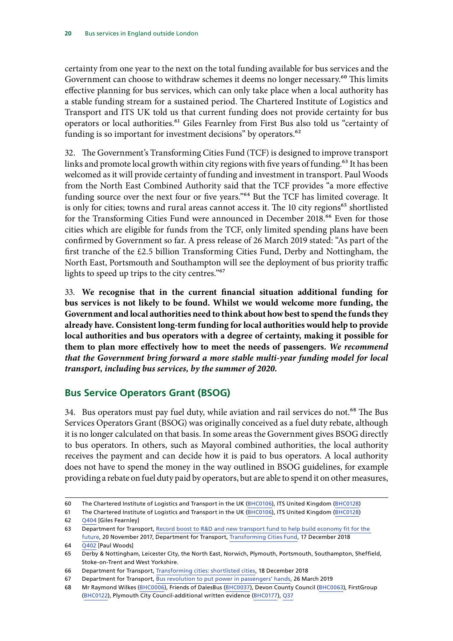<span id="page-21-0"></span>certainty from one year to the next on the total funding available for bus services and the Government can choose to withdraw schemes it deems no longer necessary.<sup>60</sup> This limits effective planning for bus services, which can only take place when a local authority has a stable funding stream for a sustained period. The Chartered Institute of Logistics and Transport and ITS UK told us that current funding does not provide certainty for bus operators or local authorities.<sup>61</sup> Giles Fearnley from First Bus also told us "certainty of funding is so important for investment decisions" by operators.<sup>62</sup>

32. The Government's Transforming Cities Fund (TCF) is designed to improve transport links and promote local growth within city regions with five years of funding.<sup>63</sup> It has been welcomed as it will provide certainty of funding and investment in transport. Paul Woods from the North East Combined Authority said that the TCF provides "a more effective funding source over the next four or five years."64 But the TCF has limited coverage. It is only for cities; towns and rural areas cannot access it. The 10 city regions<sup>65</sup> shortlisted for the Transforming Cities Fund were announced in December 2018.<sup>66</sup> Even for those cities which are eligible for funds from the TCF, only limited spending plans have been confirmed by Government so far. A press release of 26 March 2019 stated: "As part of the first tranche of the £2.5 billion Transforming Cities Fund, Derby and Nottingham, the North East, Portsmouth and Southampton will see the deployment of bus priority traffic lights to speed up trips to the city centres."67

33. **We recognise that in the current financial situation additional funding for bus services is not likely to be found. Whilst we would welcome more funding, the Government and local authorities need to think about how best to spend the funds they already have. Consistent long-term funding for local authorities would help to provide local authorities and bus operators with a degree of certainty, making it possible for them to plan more effectively how to meet the needs of passengers.** *We recommend that the Government bring forward a more stable multi-year funding model for local transport, including bus services, by the summer of 2020.*

## **Bus Service Operators Grant (BSOG)**

34. Bus operators must pay fuel duty, while aviation and rail services do not.<sup>68</sup> The Bus Services Operators Grant (BSOG) was originally conceived as a fuel duty rebate, although it is no longer calculated on that basis. In some areas the Government gives BSOG directly to bus operators. In others, such as Mayoral combined authorities, the local authority receives the payment and can decide how it is paid to bus operators. A local authority does not have to spend the money in the way outlined in BSOG guidelines, for example providing a rebate on fuel duty paid by operators, but are able to spend it on other measures,

61 The Chartered Institute of Logistics and Transport in the UK ([BHC0106](http://data.parliament.uk/writtenevidence/committeeevidence.svc/evidencedocument/transport-committee/health-of-the-bus-market/written/90248.html)), ITS United Kingdom [\(BHC0128\)](http://data.parliament.uk/writtenevidence/committeeevidence.svc/evidencedocument/transport-committee/health-of-the-bus-market/written/90286.html) 62 [Q404](http://data.parliament.uk/writtenevidence/committeeevidence.svc/evidencedocument/transport-committee/health-of-the-bus-market/oral/95953.html) [Giles Fearnley]

<sup>60</sup> The Chartered Institute of Logistics and Transport in the UK ([BHC0106](http://data.parliament.uk/writtenevidence/committeeevidence.svc/evidencedocument/transport-committee/health-of-the-bus-market/written/90248.html)), ITS United Kingdom [\(BHC0128\)](http://data.parliament.uk/writtenevidence/committeeevidence.svc/evidencedocument/transport-committee/health-of-the-bus-market/written/90286.html)

<sup>63</sup> Department for Transport, Record boost to R&D and new transport fund to help build economy fit for the [future](https://www.gov.uk/government/news/record-boost-to-rd-and-new-transport-fund-to-help-build-economy-fit-for-the-future), 20 November 2017, Department for Transport, [Transforming Cities Fund](https://www.gov.uk/government/publications/apply-for-the-transforming-cities-fund), 17 December 2018

<sup>64</sup> [Q402](http://data.parliament.uk/writtenevidence/committeeevidence.svc/evidencedocument/transport-committee/health-of-the-bus-market/oral/95953.html) [Paul Woods]

<sup>65</sup> Derby & Nottingham, Leicester City, the North East, Norwich, Plymouth, Portsmouth, Southampton, Sheffield, Stoke-on-Trent and West Yorkshire.

<sup>66</sup> Department for Transport, [Transforming cities: shortlisted cities,](https://www.gov.uk/government/publications/apply-for-the-transforming-cities-fund/transforming-cities-shortlisted-cities) 18 December 2018

<sup>67</sup> Department for Transport, [Bus revolution to put power in passengers' hands,](https://www.gov.uk/government/news/bus-revolution-to-put-power-in-passengers-hands) 26 March 2019

<sup>68</sup> Mr Raymond Wilkes ([BHC0006](http://data.parliament.uk/writtenevidence/committeeevidence.svc/evidencedocument/transport-committee/health-of-the-bus-market/written/87154.html)), Friends of DalesBus ([BHC0037\)](http://data.parliament.uk/writtenevidence/committeeevidence.svc/evidencedocument/transport-committee/health-of-the-bus-market/written/88699.html), Devon County Council [\(BHC0063](http://data.parliament.uk/writtenevidence/committeeevidence.svc/evidencedocument/transport-committee/health-of-the-bus-market/written/90146.html)), FirstGroup [\(BHC0122\)](http://data.parliament.uk/writtenevidence/committeeevidence.svc/evidencedocument/transport-committee/health-of-the-bus-market/written/90279.html), Plymouth City Council-additional written evidence [\(BHC0177\)](http://data.parliament.uk/writtenevidence/committeeevidence.svc/evidencedocument/transport-committee/health-of-the-bus-market/written/92673.html), [Q37](http://data.parliament.uk/writtenevidence/committeeevidence.svc/evidencedocument/transport-committee/health-of-the-bus-market/oral/92175.html)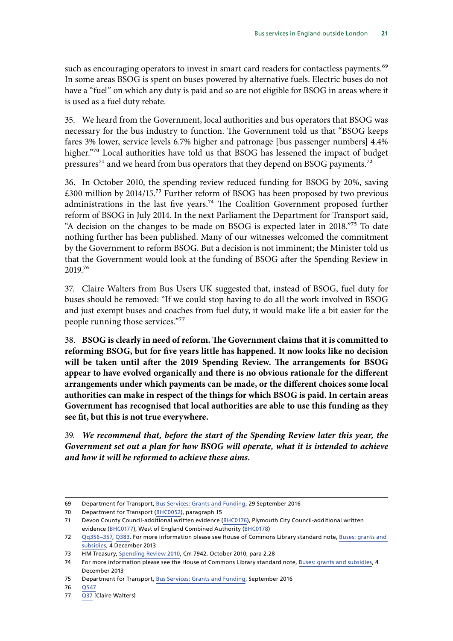such as encouraging operators to invest in smart card readers for contactless payments.<sup>69</sup> In some areas BSOG is spent on buses powered by alternative fuels. Electric buses do not have a "fuel" on which any duty is paid and so are not eligible for BSOG in areas where it is used as a fuel duty rebate.

35. We heard from the Government, local authorities and bus operators that BSOG was necessary for the bus industry to function. The Government told us that "BSOG keeps fares 3% lower, service levels 6.7% higher and patronage [bus passenger numbers] 4.4% higher."<sup>70</sup> Local authorities have told us that BSOG has lessened the impact of budget pressures<sup>71</sup> and we heard from bus operators that they depend on BSOG payments.<sup>72</sup>

36. In October 2010, the spending review reduced funding for BSOG by 20%, saving £300 million by 2014/15.73 Further reform of BSOG has been proposed by two previous administrations in the last five years.<sup>74</sup> The Coalition Government proposed further reform of BSOG in July 2014. In the next Parliament the Department for Transport said, "A decision on the changes to be made on BSOG is expected later in 2018."75 To date nothing further has been published. Many of our witnesses welcomed the commitment by the Government to reform BSOG. But a decision is not imminent; the Minister told us that the Government would look at the funding of BSOG after the Spending Review in 2019.76

37. Claire Walters from Bus Users UK suggested that, instead of BSOG, fuel duty for buses should be removed: "If we could stop having to do all the work involved in BSOG and just exempt buses and coaches from fuel duty, it would make life a bit easier for the people running those services."77

38. **BSOG is clearly in need of reform. The Government claims that it is committed to reforming BSOG, but for five years little has happened. It now looks like no decision will be taken until after the 2019 Spending Review. The arrangements for BSOG appear to have evolved organically and there is no obvious rationale for the different arrangements under which payments can be made, or the different choices some local authorities can make in respect of the things for which BSOG is paid. In certain areas Government has recognised that local authorities are able to use this funding as they see fit, but this is not true everywhere.**

39. *We recommend that, before the start of the Spending Review later this year, the Government set out a plan for how BSOG will operate, what it is intended to achieve and how it will be reformed to achieve these aims.*

<sup>69</sup> Department for Transport, [Bus Services: Grants and Funding,](https://www.gov.uk/government/collections/bus-services-grants-and-funding) 29 September 2016

<sup>70</sup> Department for Transport [\(BHC0052\)](http://data.parliament.uk/writtenevidence/committeeevidence.svc/evidencedocument/transport-committee/health-of-the-bus-market/written/90000.html), paragraph 15<br>71 Devon County Council-additional written evidence f Devon County Council-additional written evidence ([BHC0176\)](http://data.parliament.uk/writtenevidence/committeeevidence.svc/evidencedocument/transport-committee/health-of-the-bus-market/written/92449.html), Plymouth City Council-additional written evidence ([BHC0177](http://data.parliament.uk/writtenevidence/committeeevidence.svc/evidencedocument/transport-committee/health-of-the-bus-market/written/92673.html)), West of England Combined Authority [\(BHC0178\)](http://data.parliament.uk/writtenevidence/committeeevidence.svc/evidencedocument/transport-committee/health-of-the-bus-market/written/92687.html)

<sup>72</sup> [Qq356–357,](http://data.parliament.uk/writtenevidence/committeeevidence.svc/evidencedocument/transport-committee/health-of-the-bus-market/oral/95131.html) [Q383.](http://data.parliament.uk/writtenevidence/committeeevidence.svc/evidencedocument/transport-committee/health-of-the-bus-market/oral/95953.html) For more information please see House of Commons Library standard note, [Buses: grants and](https://researchbriefings.parliament.uk/ResearchBriefing/Summary/SN01522)  [subsidies,](https://researchbriefings.parliament.uk/ResearchBriefing/Summary/SN01522) 4 December 2013

<sup>73</sup> HM Treasury, [Spending Review 2010,](https://assets.publishing.service.gov.uk/government/uploads/system/uploads/attachment_data/file/203826/Spending_review_2010.pdf) Cm 7942, October 2010, para 2.28

<sup>74</sup> For more information please see the House of Commons Library standard note, [Buses: grants and subsidies](https://researchbriefings.parliament.uk/ResearchBriefing/Summary/SN01522), 4 December 2013

<sup>75</sup> Department for Transport, [Bus Services: Grants and Funding,](https://www.gov.uk/government/collections/bus-services-grants-and-funding) September 2016

<sup>76</sup> [Q547](http://data.parliament.uk/writtenevidence/committeeevidence.svc/evidencedocument/transport-committee/health-of-the-bus-market/oral/96505.html)

<sup>77</sup> [Q37](http://data.parliament.uk/writtenevidence/committeeevidence.svc/evidencedocument/transport-committee/health-of-the-bus-market/oral/92175.html) [Claire Walters]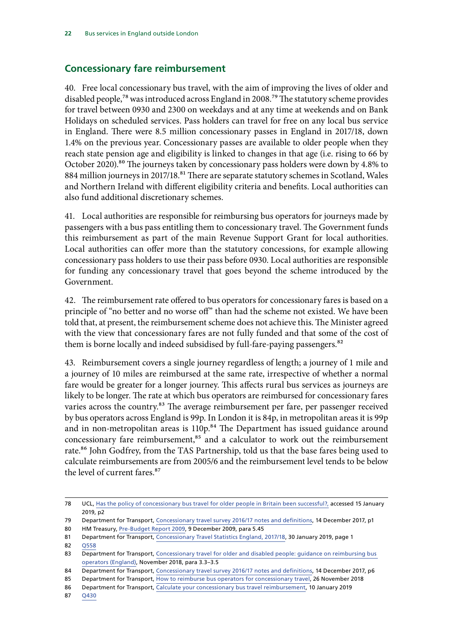## <span id="page-23-0"></span>**Concessionary fare reimbursement**

40. Free local concessionary bus travel, with the aim of improving the lives of older and disabled people,<sup>78</sup> was introduced across England in 2008.<sup>79</sup> The statutory scheme provides for travel between 0930 and 2300 on weekdays and at any time at weekends and on Bank Holidays on scheduled services. Pass holders can travel for free on any local bus service in England. There were 8.5 million concessionary passes in England in 2017/18, down 1.4% on the previous year. Concessionary passes are available to older people when they reach state pension age and eligibility is linked to changes in that age (i.e. rising to 66 by October 2020).<sup>80</sup> The journeys taken by concessionary pass holders were down by 4.8% to 884 million journeys in 2017/18.<sup>81</sup> There are separate statutory schemes in Scotland, Wales and Northern Ireland with different eligibility criteria and benefits. Local authorities can also fund additional discretionary schemes.

41. Local authorities are responsible for reimbursing bus operators for journeys made by passengers with a bus pass entitling them to concessionary travel. The Government funds this reimbursement as part of the main Revenue Support Grant for local authorities. Local authorities can offer more than the statutory concessions, for example allowing concessionary pass holders to use their pass before 0930. Local authorities are responsible for funding any concessionary travel that goes beyond the scheme introduced by the Government.

42. The reimbursement rate offered to bus operators for concessionary fares is based on a principle of "no better and no worse off" than had the scheme not existed. We have been told that, at present, the reimbursement scheme does not achieve this. The Minister agreed with the view that concessionary fares are not fully funded and that some of the cost of them is borne locally and indeed subsidised by full-fare-paying passengers.<sup>82</sup>

43. Reimbursement covers a single journey regardless of length; a journey of 1 mile and a journey of 10 miles are reimbursed at the same rate, irrespective of whether a normal fare would be greater for a longer journey. This affects rural bus services as journeys are likely to be longer. The rate at which bus operators are reimbursed for concessionary fares varies across the country.<sup>83</sup> The average reimbursement per fare, per passenger received by bus operators across England is 99p. In London it is 84p, in metropolitan areas it is 99p and in non-metropolitan areas is  $110p<sup>84</sup>$  The Department has issued guidance around concessionary fare reimbursement,<sup>85</sup> and a calculator to work out the reimbursement rate.<sup>86</sup> John Godfrey, from the TAS Partnership, told us that the base fares being used to calculate reimbursements are from 2005/6 and the reimbursement level tends to be below the level of current fares.87

<sup>78</sup> UCL, [Has the policy of concessionary bus travel for older people in Britain been successful?,](http://discovery.ucl.ac.uk/1443617/1/Mackett_B60%2526%20CS%20in%20TP%20on%20concessionary%20travel.pdf) accessed 15 January 2019, p2

<sup>79</sup> Department for Transport, [Concessionary travel survey 2016/17 notes and definitions,](https://assets.publishing.service.gov.uk/government/uploads/system/uploads/attachment_data/file/666753/concessionary-travel-notes.pdf) 14 December 2017, p1

<sup>80</sup> HM Treasury, [Pre-Budget Report 2009](https://www.gov.uk/government/publications/pre-budget-report-december-2009), 9 December 2009, para 5.45

<sup>81</sup> Department for Transport, [Concessionary Travel Statistics England, 2017/18,](https://assets.publishing.service.gov.uk/government/uploads/system/uploads/attachment_data/file/774523/concessionary-travel-statistics-2018.pdf) 30 January 2019, page 1

<sup>82</sup> [Q558](http://data.parliament.uk/writtenevidence/committeeevidence.svc/evidencedocument/transport-committee/health-of-the-bus-market/oral/96505.html)

<sup>83</sup> Department for Transport, Concessionary travel for older and disabled people: guidance on reimbursing bus [operators \(England\)](https://assets.publishing.service.gov.uk/government/uploads/system/uploads/attachment_data/file/758868/reimbursing-bus-operators-for-concessionary-travel-2019-to-2020.pdf), November 2018, para 3.3–3.5

<sup>84</sup> Department for Transport, [Concessionary travel survey 2016/17 notes and definitions,](https://assets.publishing.service.gov.uk/government/uploads/system/uploads/attachment_data/file/666753/concessionary-travel-notes.pdf) 14 December 2017, p6

<sup>85</sup> Department for Transport, [How to reimburse bus operators for concessionary travel,](https://www.gov.uk/government/publications/guidance-on-reimbursing-bus-operators-for-concessionary-travel) 26 November 2018

<sup>86</sup> Department for Transport, [Calculate your concessionary bus travel reimbursement,](https://www.gov.uk/government/publications/concessionary-bus-travel-reimbursement-calculator?utm_source=211d36c3-1414-4b10-9be2-c8afbda3c696&utm_medium=email&utm_campaign=govuk-notifications&utm_content=daily) 10 January 2019

<sup>87</sup> [Q430](http://data.parliament.uk/writtenevidence/committeeevidence.svc/evidencedocument/transport-committee/health-of-the-bus-market/oral/95953.html)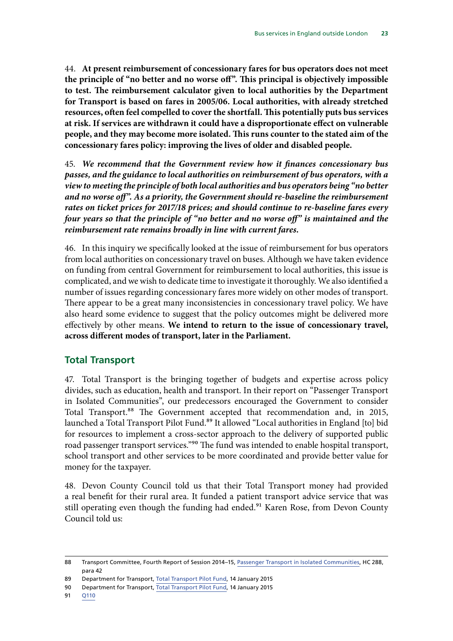<span id="page-24-0"></span>44. **At present reimbursement of concessionary fares for bus operators does not meet the principle of "no better and no worse off". This principal is objectively impossible to test. The reimbursement calculator given to local authorities by the Department for Transport is based on fares in 2005/06. Local authorities, with already stretched resources, often feel compelled to cover the shortfall. This potentially puts bus services at risk. If services are withdrawn it could have a disproportionate effect on vulnerable people, and they may become more isolated. This runs counter to the stated aim of the concessionary fares policy: improving the lives of older and disabled people.**

45. *We recommend that the Government review how it finances concessionary bus passes, and the guidance to local authorities on reimbursement of bus operators, with a view to meeting the principle of both local authorities and bus operators being "no better and no worse off". As a priority, the Government should re-baseline the reimbursement rates on ticket prices for 2017/18 prices; and should continue to re-baseline fares every four years so that the principle of "no better and no worse off" is maintained and the reimbursement rate remains broadly in line with current fares.*

46. In this inquiry we specifically looked at the issue of reimbursement for bus operators from local authorities on concessionary travel on buses. Although we have taken evidence on funding from central Government for reimbursement to local authorities, this issue is complicated, and we wish to dedicate time to investigate it thoroughly. We also identified a number of issues regarding concessionary fares more widely on other modes of transport. There appear to be a great many inconsistencies in concessionary travel policy. We have also heard some evidence to suggest that the policy outcomes might be delivered more effectively by other means. **We intend to return to the issue of concessionary travel, across different modes of transport, later in the Parliament.**

### **Total Transport**

47. Total Transport is the bringing together of budgets and expertise across policy divides, such as education, health and transport. In their report on "Passenger Transport in Isolated Communities", our predecessors encouraged the Government to consider Total Transport.<sup>88</sup> The Government accepted that recommendation and, in 2015, launched a Total Transport Pilot Fund.<sup>89</sup> It allowed "Local authorities in England [to] bid for resources to implement a cross-sector approach to the delivery of supported public road passenger transport services."90 The fund was intended to enable hospital transport, school transport and other services to be more coordinated and provide better value for money for the taxpayer.

48. Devon County Council told us that their Total Transport money had provided a real benefit for their rural area. It funded a patient transport advice service that was still operating even though the funding had ended.<sup>91</sup> Karen Rose, from Devon County Council told us:

<sup>88</sup> Transport Committee, Fourth Report of Session 2014–15, [Passenger Transport in Isolated Communities,](https://publications.parliament.uk/pa/cm201415/cmselect/cmtran/288/28802.htm) HC 288, para 42

<sup>89</sup> Department for Transport, [Total Transport Pilot Fund,](https://www.gov.uk/government/publications/total-transport-pilot-fund) 14 January 2015

<sup>90</sup> Department for Transport, [Total Transport Pilot Fund,](https://www.gov.uk/government/publications/total-transport-pilot-fund) 14 January 2015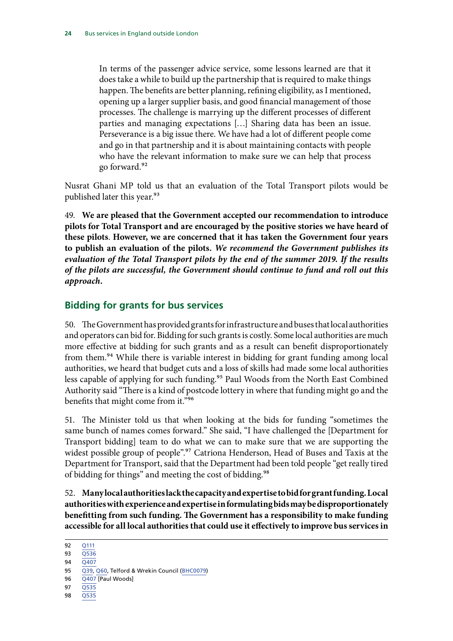<span id="page-25-0"></span>In terms of the passenger advice service, some lessons learned are that it does take a while to build up the partnership that is required to make things happen. The benefits are better planning, refining eligibility, as I mentioned, opening up a larger supplier basis, and good financial management of those processes. The challenge is marrying up the different processes of different parties and managing expectations […] Sharing data has been an issue. Perseverance is a big issue there. We have had a lot of different people come and go in that partnership and it is about maintaining contacts with people who have the relevant information to make sure we can help that process go forward.92

Nusrat Ghani MP told us that an evaluation of the Total Transport pilots would be published later this year.<sup>93</sup>

49. **We are pleased that the Government accepted our recommendation to introduce pilots for Total Transport and are encouraged by the positive stories we have heard of these pilots**. **However, we are concerned that it has taken the Government four years to publish an evaluation of the pilots.** *We recommend the Government publishes its evaluation of the Total Transport pilots by the end of the summer 2019. If the results of the pilots are successful, the Government should continue to fund and roll out this approach.*

## **Bidding for grants for bus services**

50. The Government has provided grants for infrastructure and buses that local authorities and operators can bid for. Bidding for such grants is costly. Some local authorities are much more effective at bidding for such grants and as a result can benefit disproportionately from them.<sup>94</sup> While there is variable interest in bidding for grant funding among local authorities, we heard that budget cuts and a loss of skills had made some local authorities less capable of applying for such funding.<sup>95</sup> Paul Woods from the North East Combined Authority said "There is a kind of postcode lottery in where that funding might go and the benefits that might come from it."96

51. The Minister told us that when looking at the bids for funding "sometimes the same bunch of names comes forward." She said, "I have challenged the [Department for Transport bidding] team to do what we can to make sure that we are supporting the widest possible group of people".<sup>97</sup> Catriona Henderson, Head of Buses and Taxis at the Department for Transport, said that the Department had been told people "get really tired of bidding for things" and meeting the cost of bidding.<sup>98</sup>

52. **Many local authorities lack the capacity and expertise to bid for grant funding. Local authorities with experience and expertise in formulating bids may be disproportionately benefitting from such funding. The Government has a responsibility to make funding accessible for all local authorities that could use it effectively to improve bus services in** 

94 [Q407](http://data.parliament.uk/writtenevidence/committeeevidence.svc/evidencedocument/transport-committee/health-of-the-bus-market/oral/95953.html)

- 96  $\overline{Q407}$  [Paul Woods]
- 97 [Q535](http://data.parliament.uk/writtenevidence/committeeevidence.svc/evidencedocument/transport-committee/health-of-the-bus-market/oral/96505.html)
- 98 [Q535](http://data.parliament.uk/writtenevidence/committeeevidence.svc/evidencedocument/transport-committee/health-of-the-bus-market/oral/96505.html)

<sup>92</sup> [Q111](http://data.parliament.uk/writtenevidence/committeeevidence.svc/evidencedocument/transport-committee/health-of-the-bus-market/oral/92517.html)

<sup>93</sup> [Q536](http://data.parliament.uk/writtenevidence/committeeevidence.svc/evidencedocument/transport-committee/health-of-the-bus-market/oral/96505.html)

<sup>95</sup> [Q39](http://data.parliament.uk/writtenevidence/committeeevidence.svc/evidencedocument/transport-committee/health-of-the-bus-market/oral/92175.html), [Q60,](http://data.parliament.uk/writtenevidence/committeeevidence.svc/evidencedocument/transport-committee/health-of-the-bus-market/oral/92175.html) Telford & Wrekin Council [\(BHC0079](http://data.parliament.uk/writtenevidence/committeeevidence.svc/evidencedocument/transport-committee/health-of-the-bus-market/written/90198.html))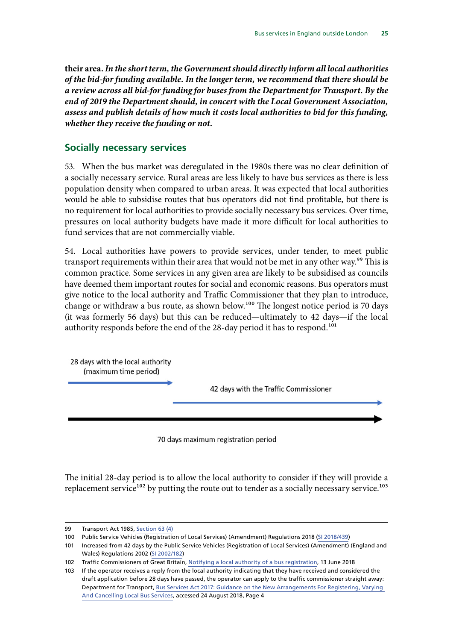<span id="page-26-0"></span>**their area.** *In the short term, the Government should directly inform all local authorities of the bid-for funding available. In the longer term, we recommend that there should be a review across all bid-for funding for buses from the Department for Transport. By the end of 2019 the Department should, in concert with the Local Government Association, assess and publish details of how much it costs local authorities to bid for this funding, whether they receive the funding or not.*

#### **Socially necessary services**

53. When the bus market was deregulated in the 1980s there was no clear definition of a socially necessary service. Rural areas are less likely to have bus services as there is less population density when compared to urban areas. It was expected that local authorities would be able to subsidise routes that bus operators did not find profitable, but there is no requirement for local authorities to provide socially necessary bus services. Over time, pressures on local authority budgets have made it more difficult for local authorities to fund services that are not commercially viable.

54. Local authorities have powers to provide services, under tender, to meet public transport requirements within their area that would not be met in any other way.<sup>99</sup> This is common practice. Some services in any given area are likely to be subsidised as councils have deemed them important routes for social and economic reasons. Bus operators must give notice to the local authority and Traffic Commissioner that they plan to introduce, change or withdraw a bus route, as shown below.<sup>100</sup> The longest notice period is 70 days (it was formerly 56 days) but this can be reduced—ultimately to 42 days—if the local authority responds before the end of the 28-day period it has to respond.<sup>101</sup>



70 days maximum registration period

The initial 28-day period is to allow the local authority to consider if they will provide a replacement service $102$  by putting the route out to tender as a socially necessary service.<sup>103</sup>

<sup>99</sup> Transport Act 1985, [Section 63 \(4\)](https://www.legislation.gov.uk/ukpga/1985/67/section/63)

<sup>100</sup> Public Service Vehicles (Registration of Local Services) (Amendment) Regulations 2018 [\(SI 2018/439\)](http://www.legislation.gov.uk/uksi/2018/439/contents/made)

<sup>101</sup> Increased from 42 days by the Public Service Vehicles (Registration of Local Services) (Amendment) (England and Wales) Regulations 2002 [\(SI 2002/182\)](http://www.legislation.gov.uk/uksi/2002/182/contents/made)

<sup>102</sup> Traffic Commissioners of Great Britain, [Notifying a local authority of a bus registration](https://www.gov.uk/government/publications/notifying-a-local-authority-of-a-bus-registration), 13 June 2018

<sup>103</sup> If the operator receives a reply from the local authority indicating that they have received and considered the draft application before 28 days have passed, the operator can apply to the traffic commissioner straight away: Department for Transport, [Bus Services Act 2017: Guidance on the New Arrangements For Registering, Varying](https://assets.publishing.service.gov.uk/government/uploads/system/uploads/attachment_data/file/719858/notifying_a_local_authority_of_a_bus_registration.pdf)  [And Cancelling Local Bus Services](https://assets.publishing.service.gov.uk/government/uploads/system/uploads/attachment_data/file/719858/notifying_a_local_authority_of_a_bus_registration.pdf), accessed 24 August 2018, Page 4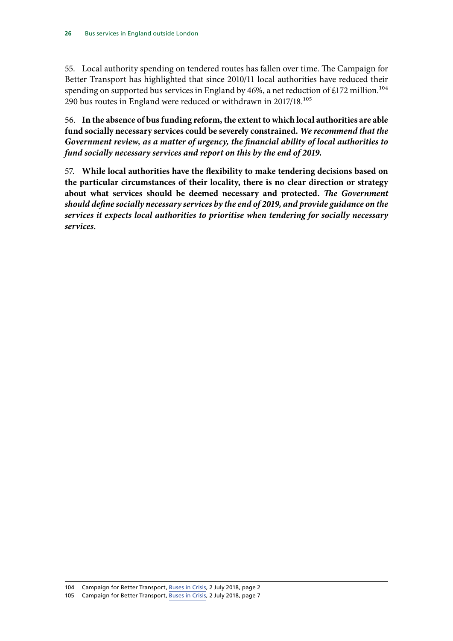55. Local authority spending on tendered routes has fallen over time. The Campaign for Better Transport has highlighted that since 2010/11 local authorities have reduced their spending on supported bus services in England by 46%, a net reduction of £172 million.<sup>104</sup> 290 bus routes in England were reduced or withdrawn in 2017/18.105

56. **In the absence of bus funding reform, the extent to which local authorities are able fund socially necessary services could be severely constrained.** *We recommend that the Government review, as a matter of urgency, the financial ability of local authorities to fund socially necessary services and report on this by the end of 2019.*

57. **While local authorities have the flexibility to make tendering decisions based on the particular circumstances of their locality, there is no clear direction or strategy about what services should be deemed necessary and protected.** *The Government should define socially necessary services by the end of 2019, and provide guidance on the services it expects local authorities to prioritise when tendering for socially necessary services.*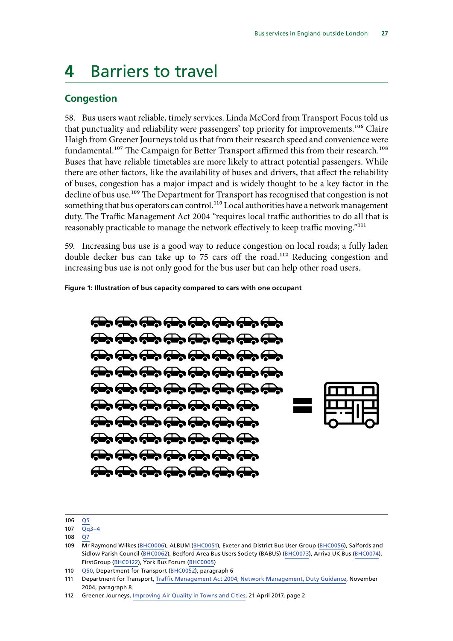# <span id="page-28-0"></span>**4** Barriers to travel

### **Congestion**

58. Bus users want reliable, timely services. Linda McCord from Transport Focus told us that punctuality and reliability were passengers' top priority for improvements.<sup>106</sup> Claire Haigh from Greener Journeys told us that from their research speed and convenience were fundamental.<sup>107</sup> The Campaign for Better Transport affirmed this from their research.<sup>108</sup> Buses that have reliable timetables are more likely to attract potential passengers. While there are other factors, like the availability of buses and drivers, that affect the reliability of buses, congestion has a major impact and is widely thought to be a key factor in the decline of bus use.<sup>109</sup> The Department for Transport has recognised that congestion is not something that bus operators can control.<sup>110</sup> Local authorities have a network management duty. The Traffic Management Act 2004 "requires local traffic authorities to do all that is reasonably practicable to manage the network effectively to keep traffic moving."<sup>111</sup>

59. Increasing bus use is a good way to reduce congestion on local roads; a fully laden double decker bus can take up to 75 cars off the road.<sup>112</sup> Reducing congestion and increasing bus use is not only good for the bus user but can help other road users.

**Figure 1: Illustration of bus capacity compared to cars with one occupant**

**The The Theory The Theory The Theory Theory** and and an and an and  $\overline{A}$  and  $\overline{A}$  and  $\overline{A}$  and  $\overline{A}$  and  $\overline{A}$  $\overrightarrow{A}$   $\overrightarrow{A}$   $\overrightarrow{A}$   $\overrightarrow{A}$   $\overrightarrow{A}$   $\overrightarrow{A}$   $\overrightarrow{A}$ **The Top Top Top Top Top Top**  $\overline{a}$  and  $\overline{a}$  and  $\overline{a}$  and  $\overline{a}$ **The Top Top Top Top Top** and and an and an de de de de de de de de de de de de de



<sup>106</sup> [Q5](http://data.parliament.uk/writtenevidence/committeeevidence.svc/evidencedocument/transport-committee/health-of-the-bus-market/oral/92175.html)

<sup>107</sup> [Qq3–4](http://data.parliament.uk/writtenevidence/committeeevidence.svc/evidencedocument/transport-committee/health-of-the-bus-market/oral/92175.html)

<sup>108</sup> [Q7](http://data.parliament.uk/writtenevidence/committeeevidence.svc/evidencedocument/transport-committee/health-of-the-bus-market/oral/92175.html)

<sup>109</sup> Mr Raymond Wilkes ([BHC0006](http://data.parliament.uk/writtenevidence/committeeevidence.svc/evidencedocument/transport-committee/health-of-the-bus-market/written/87154.html)), ALBUM [\(BHC0051\)](http://data.parliament.uk/writtenevidence/committeeevidence.svc/evidencedocument/transport-committee/health-of-the-bus-market/written/89987.html), Exeter and District Bus User Group ([BHC0056](http://data.parliament.uk/writtenevidence/committeeevidence.svc/evidencedocument/transport-committee/health-of-the-bus-market/written/90075.html)), Salfords and Sidlow Parish Council ([BHC0062](http://data.parliament.uk/writtenevidence/committeeevidence.svc/evidencedocument/transport-committee/health-of-the-bus-market/written/90138.html)), Bedford Area Bus Users Society (BABUS) [\(BHC0073](http://data.parliament.uk/writtenevidence/committeeevidence.svc/evidencedocument/transport-committee/health-of-the-bus-market/written/90185.html)), Arriva UK Bus [\(BHC0074\)](http://data.parliament.uk/writtenevidence/committeeevidence.svc/evidencedocument/transport-committee/health-of-the-bus-market/written/90189.html), FirstGroup [\(BHC0122](http://data.parliament.uk/writtenevidence/committeeevidence.svc/evidencedocument/transport-committee/health-of-the-bus-market/written/90279.html)), York Bus Forum ([BHC0005](http://data.parliament.uk/writtenevidence/committeeevidence.svc/evidencedocument/transport-committee/health-of-the-bus-market/written/87134.html))

<sup>110</sup> [Q50](http://data.parliament.uk/writtenevidence/committeeevidence.svc/evidencedocument/transport-committee/health-of-the-bus-market/oral/92175.html), Department for Transport [\(BHC0052](http://data.parliament.uk/writtenevidence/committeeevidence.svc/evidencedocument/transport-committee/health-of-the-bus-market/written/90000.html)), paragraph 6

<sup>111</sup> Department for Transport, [Traffic Management Act 2004, Network Management, Duty Guidance](https://webarchive.nationalarchives.gov.uk/+/http:/www.dft.gov.uk/pgr/roads/tpm/tmaportal/tmafeatures/tmapart2/tmafeaturespart2.pdf), November 2004, paragraph 8

<sup>112</sup> Greener Journeys, [Improving Air Quality in Towns and Cities,](https://greenerjourneys.com/publication/improving-air-quality-towns-cities/) 21 April 2017, page 2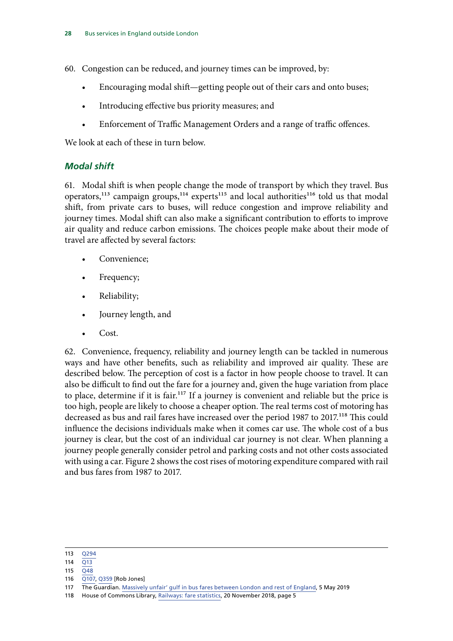<span id="page-29-0"></span>60. Congestion can be reduced, and journey times can be improved, by:

- Encouraging modal shift—getting people out of their cars and onto buses;
- Introducing effective bus priority measures; and
- Enforcement of Traffic Management Orders and a range of traffic offences.

We look at each of these in turn below.

### *Modal shift*

61. Modal shift is when people change the mode of transport by which they travel. Bus operators,<sup>113</sup> campaign groups,<sup>114</sup> experts<sup>115</sup> and local authorities<sup>116</sup> told us that modal shift, from private cars to buses, will reduce congestion and improve reliability and journey times. Modal shift can also make a significant contribution to efforts to improve air quality and reduce carbon emissions. The choices people make about their mode of travel are affected by several factors:

- Convenience;
- Frequency;
- Reliability;
- Journey length, and
- Cost.

62. Convenience, frequency, reliability and journey length can be tackled in numerous ways and have other benefits, such as reliability and improved air quality. These are described below. The perception of cost is a factor in how people choose to travel. It can also be difficult to find out the fare for a journey and, given the huge variation from place to place, determine if it is fair.<sup>117</sup> If a journey is convenient and reliable but the price is too high, people are likely to choose a cheaper option. The real terms cost of motoring has decreased as bus and rail fares have increased over the period 1987 to 2017.<sup>118</sup> This could influence the decisions individuals make when it comes car use. The whole cost of a bus journey is clear, but the cost of an individual car journey is not clear. When planning a journey people generally consider petrol and parking costs and not other costs associated with using a car. Figure 2 shows the cost rises of motoring expenditure compared with rail and bus fares from 1987 to 2017.

- 115 [Q48](http://data.parliament.uk/writtenevidence/committeeevidence.svc/evidencedocument/transport-committee/health-of-the-bus-market/oral/92175.html)
- 116 [Q107](http://data.parliament.uk/writtenevidence/committeeevidence.svc/evidencedocument/transport-committee/health-of-the-bus-market/oral/92517.html), [Q359](http://data.parliament.uk/writtenevidence/committeeevidence.svc/evidencedocument/transport-committee/health-of-the-bus-market/oral/95131.html) [Rob Jones]

<sup>113</sup> [Q294](http://data.parliament.uk/writtenevidence/committeeevidence.svc/evidencedocument/transport-committee/health-of-the-bus-market/oral/93040.html)

<sup>114</sup> [Q13](http://data.parliament.uk/writtenevidence/committeeevidence.svc/evidencedocument/transport-committee/health-of-the-bus-market/oral/92175.html)

<sup>117</sup> The Guardian. [Massively unfair' gulf in bus fares between London and rest of England](https://www.theguardian.com/uk-news/2019/may/05/bus-fares-reveal-massively-unfair-gulf-between-london-and-rest-of-england), 5 May 2019

<sup>118</sup> House of Commons Library, [Railways: fare statistics](https://researchbriefings.parliament.uk/ResearchBriefing/Summary/SN06384), 20 November 2018, page 5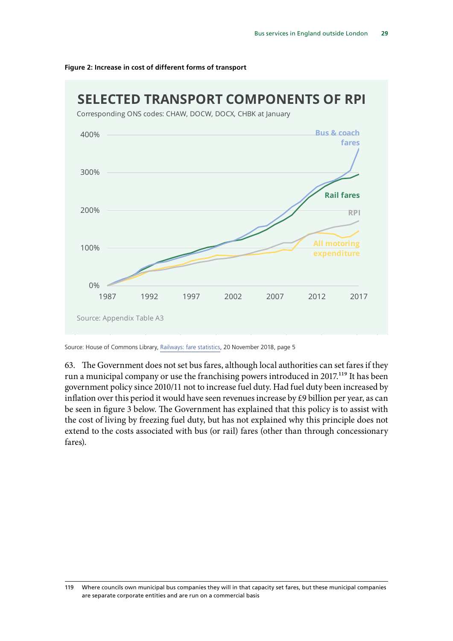

#### **Figure 2: Increase in cost of different forms of transport**

Source: House of Commons Library, [Railways: fare statistics](https://researchbriefings.parliament.uk/ResearchBriefing/Summary/SN06384), 20 November 2018, page 5

63. The Government does not set bus fares, although local authorities can set fares if they run a municipal company or use the franchising powers introduced in 2017.119 It has been government policy since 2010/11 not to increase fuel duty. Had fuel duty been increased by inflation over this period it would have seen revenues increase by £9 billion per year, as can be seen in figure 3 below. The Government has explained that this policy is to assist with the cost of living by freezing fuel duty, but has not explained why this principle does not extend to the costs associated with bus (or rail) fares (other than through concessionary fares).

<sup>119</sup> Where councils own municipal bus companies they will in that capacity set fares, but these municipal companies are separate corporate entities and are run on a commercial basis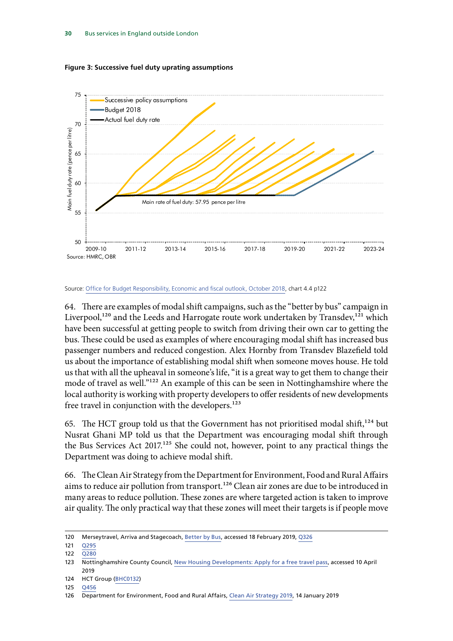

**Figure 3: Successive fuel duty uprating assumptions**

#### Source: [Office for Budget Responsibility, Economic and fiscal outlook, October 2018,](https://obr.uk/efo/economic-fiscal-outlook-october-2018/) chart 4.4 p122

64. There are examples of modal shift campaigns, such as the "better by bus" campaign in Liverpool,<sup>120</sup> and the Leeds and Harrogate route work undertaken by Transdev,<sup>121</sup> which have been successful at getting people to switch from driving their own car to getting the bus. These could be used as examples of where encouraging modal shift has increased bus passenger numbers and reduced congestion. Alex Hornby from Transdev Blazefield told us about the importance of establishing modal shift when someone moves house. He told us that with all the upheaval in someone's life, "it is a great way to get them to change their mode of travel as well."122 An example of this can be seen in Nottinghamshire where the local authority is working with property developers to offer residents of new developments free travel in conjunction with the developers.<sup>123</sup>

65. The HCT group told us that the Government has not prioritised modal shift,  $124$  but Nusrat Ghani MP told us that the Department was encouraging modal shift through the Bus Services Act 2017.<sup>125</sup> She could not, however, point to any practical things the Department was doing to achieve modal shift.

66. The Clean Air Strategy from the Department for Environment, Food and Rural Affairs aims to reduce air pollution from transport.<sup>126</sup> Clean air zones are due to be introduced in many areas to reduce pollution. These zones are where targeted action is taken to improve air quality. The only practical way that these zones will meet their targets is if people move

<sup>120</sup> Merseytravel, Arriva and Stagecoach, [Better by Bus](https://betterbybus.org/), accessed 18 February 2019, [Q326](http://data.parliament.uk/writtenevidence/committeeevidence.svc/evidencedocument/transport-committee/health-of-the-bus-market/oral/95131.html)

<sup>121</sup> [Q295](http://data.parliament.uk/writtenevidence/committeeevidence.svc/evidencedocument/transport-committee/health-of-the-bus-market/oral/93040.html)

<sup>122</sup> [Q280](http://data.parliament.uk/writtenevidence/committeeevidence.svc/evidencedocument/transport-committee/health-of-the-bus-market/oral/93040.html)

<sup>123</sup> Nottinghamshire County Council, [New Housing Developments: Apply for a free travel pass,](https://www.nottinghamshire.gov.uk/transport/public-transport/apply-free-travel-pass) accessed 10 April 2019

<sup>124</sup> HCT Group ([BHC0132\)](http://data.parliament.uk/writtenevidence/committeeevidence.svc/evidencedocument/transport-committee/health-of-the-bus-market/written/90436.html)

<sup>125</sup> [Q456](http://data.parliament.uk/writtenevidence/committeeevidence.svc/evidencedocument/transport-committee/health-of-the-bus-market/oral/96505.html)

<sup>126</sup> Department for Environment, Food and Rural Affairs, [Clean Air Strategy 2019,](https://www.gov.uk/government/publications/clean-air-strategy-2019) 14 January 2019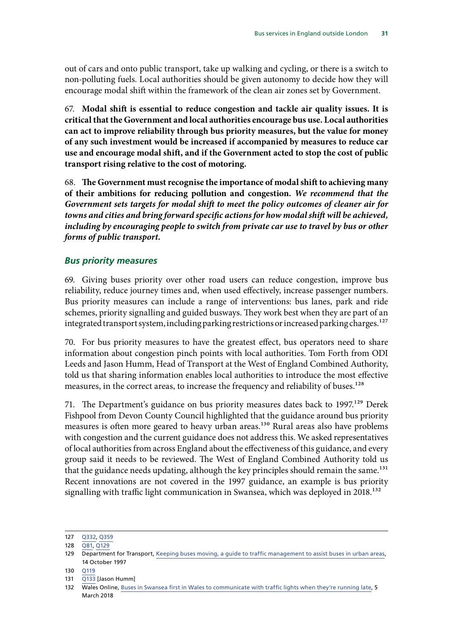<span id="page-32-0"></span>out of cars and onto public transport, take up walking and cycling, or there is a switch to non-polluting fuels. Local authorities should be given autonomy to decide how they will encourage modal shift within the framework of the clean air zones set by Government.

67. **Modal shift is essential to reduce congestion and tackle air quality issues. It is critical that the Government and local authorities encourage bus use. Local authorities can act to improve reliability through bus priority measures, but the value for money of any such investment would be increased if accompanied by measures to reduce car use and encourage modal shift, and if the Government acted to stop the cost of public transport rising relative to the cost of motoring.**

68. **The Government must recognise the importance of modal shift to achieving many of their ambitions for reducing pollution and congestion.** *We recommend that the Government sets targets for modal shift to meet the policy outcomes of cleaner air for towns and cities and bring forward specific actions for how modal shift will be achieved, including by encouraging people to switch from private car use to travel by bus or other forms of public transport.*

### *Bus priority measures*

69. Giving buses priority over other road users can reduce congestion, improve bus reliability, reduce journey times and, when used effectively, increase passenger numbers. Bus priority measures can include a range of interventions: bus lanes, park and ride schemes, priority signalling and guided busways. They work best when they are part of an integrated transport system, including parking restrictions or increased parking charges.<sup>127</sup>

70. For bus priority measures to have the greatest effect, bus operators need to share information about congestion pinch points with local authorities. Tom Forth from ODI Leeds and Jason Humm, Head of Transport at the West of England Combined Authority, told us that sharing information enables local authorities to introduce the most effective measures, in the correct areas, to increase the frequency and reliability of buses.<sup>128</sup>

71. The Department's guidance on bus priority measures dates back to 1997.<sup>129</sup> Derek Fishpool from Devon County Council highlighted that the guidance around bus priority measures is often more geared to heavy urban areas.<sup>130</sup> Rural areas also have problems with congestion and the current guidance does not address this. We asked representatives of local authorities from across England about the effectiveness of this guidance, and every group said it needs to be reviewed. The West of England Combined Authority told us that the guidance needs updating, although the key principles should remain the same.<sup>131</sup> Recent innovations are not covered in the 1997 guidance, an example is bus priority signalling with traffic light communication in Swansea, which was deployed in 2018.<sup>132</sup>

- 130 [Q119](http://data.parliament.uk/writtenevidence/committeeevidence.svc/evidencedocument/transport-committee/health-of-the-bus-market/oral/92517.html)
- 131 [Q133](http://data.parliament.uk/writtenevidence/committeeevidence.svc/evidencedocument/transport-committee/health-of-the-bus-market/oral/92517.html) [Jason Humm]

<sup>127</sup> [Q332](http://data.parliament.uk/writtenevidence/committeeevidence.svc/evidencedocument/transport-committee/health-of-the-bus-market/oral/95131.html), [Q359](http://data.parliament.uk/writtenevidence/committeeevidence.svc/evidencedocument/transport-committee/health-of-the-bus-market/oral/95131.html)

<sup>128</sup> [Q81,](http://data.parliament.uk/writtenevidence/committeeevidence.svc/evidencedocument/transport-committee/health-of-the-bus-market/oral/92175.html) [Q129](http://data.parliament.uk/writtenevidence/committeeevidence.svc/evidencedocument/transport-committee/health-of-the-bus-market/oral/92517.html)

<sup>129</sup> Department for Transport, [Keeping buses moving, a guide to traffic management to assist buses in urban areas,](https://www.gov.uk/government/publications/keeping-buses-moving-ltn-197) 14 October 1997

<sup>132</sup> Wales Online, [Buses in Swansea first in Wales to communicate with traffic lights when they're running late](https://www.walesonline.co.uk/news/wales-news/buses-swansea-first-wales-change-14368745), 5 March 2018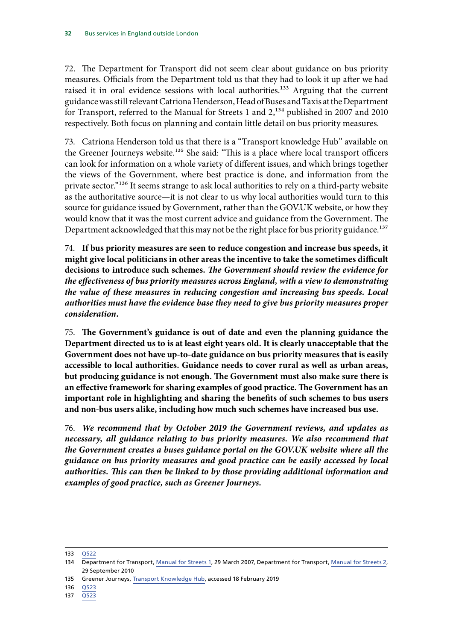72. The Department for Transport did not seem clear about guidance on bus priority measures. Officials from the Department told us that they had to look it up after we had raised it in oral evidence sessions with local authorities.<sup>133</sup> Arguing that the current guidance was still relevant Catriona Henderson, Head of Buses and Taxis at the Department for Transport, referred to the Manual for Streets 1 and  $2,134$  published in 2007 and 2010 respectively. Both focus on planning and contain little detail on bus priority measures.

73. Catriona Henderson told us that there is a "Transport knowledge Hub" available on the Greener Journeys website.<sup>135</sup> She said: "This is a place where local transport officers can look for information on a whole variety of different issues, and which brings together the views of the Government, where best practice is done, and information from the private sector."<sup>136</sup> It seems strange to ask local authorities to rely on a third-party website as the authoritative source—it is not clear to us why local authorities would turn to this source for guidance issued by Government, rather than the GOV.UK website, or how they would know that it was the most current advice and guidance from the Government. The Department acknowledged that this may not be the right place for bus priority guidance.<sup>137</sup>

74. **If bus priority measures are seen to reduce congestion and increase bus speeds, it might give local politicians in other areas the incentive to take the sometimes difficult decisions to introduce such schemes.** *The Government should review the evidence for the effectiveness of bus priority measures across England, with a view to demonstrating the value of these measures in reducing congestion and increasing bus speeds. Local authorities must have the evidence base they need to give bus priority measures proper consideration.*

75. **The Government's guidance is out of date and even the planning guidance the Department directed us to is at least eight years old. It is clearly unacceptable that the Government does not have up-to-date guidance on bus priority measures that is easily accessible to local authorities. Guidance needs to cover rural as well as urban areas, but producing guidance is not enough. The Government must also make sure there is an effective framework for sharing examples of good practice. The Government has an important role in highlighting and sharing the benefits of such schemes to bus users and non-bus users alike, including how much such schemes have increased bus use.**

76. *We recommend that by October 2019 the Government reviews, and updates as necessary, all guidance relating to bus priority measures. We also recommend that the Government creates a buses guidance portal on the GOV.UK website where all the guidance on bus priority measures and good practice can be easily accessed by local authorities. This can then be linked to by those providing additional information and examples of good practice, such as Greener Journeys.*

<sup>133</sup> [Q522](http://data.parliament.uk/writtenevidence/committeeevidence.svc/evidencedocument/transport-committee/health-of-the-bus-market/oral/96505.html)

<sup>134</sup> Department for Transport, [Manual for Streets 1,](https://www.gov.uk/government/publications/manual-for-streets) 29 March 2007, Department for Transport, [Manual for Streets 2](https://www.gov.uk/government/publications/manual-for-streets-2), 29 September 2010

<sup>135</sup> Greener Journeys, [Transport Knowledge Hub](https://transportknowledgehub.org.uk/), accessed 18 February 2019

<sup>136</sup> [Q523](http://data.parliament.uk/writtenevidence/committeeevidence.svc/evidencedocument/transport-committee/health-of-the-bus-market/oral/96505.html)

<sup>137</sup> [Q523](http://data.parliament.uk/writtenevidence/committeeevidence.svc/evidencedocument/transport-committee/health-of-the-bus-market/oral/96505.html)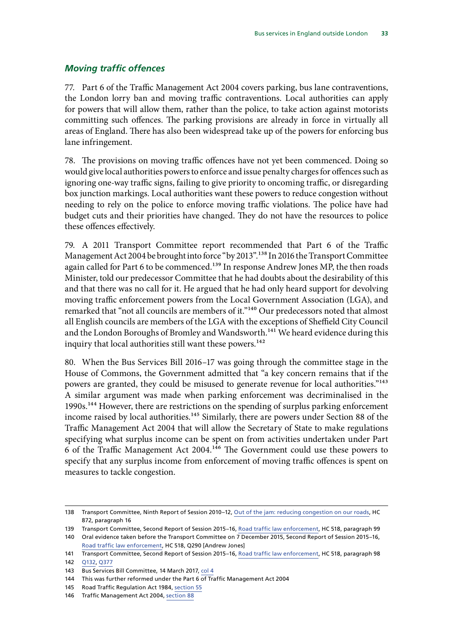#### <span id="page-34-0"></span>*Moving traffic offences*

77. Part 6 of the Traffic Management Act 2004 covers parking, bus lane contraventions, the London lorry ban and moving traffic contraventions. Local authorities can apply for powers that will allow them, rather than the police, to take action against motorists committing such offences. The parking provisions are already in force in virtually all areas of England. There has also been widespread take up of the powers for enforcing bus lane infringement.

78. The provisions on moving traffic offences have not yet been commenced. Doing so would give local authorities powers to enforce and issue penalty charges for offences such as ignoring one-way traffic signs, failing to give priority to oncoming traffic, or disregarding box junction markings. Local authorities want these powers to reduce congestion without needing to rely on the police to enforce moving traffic violations. The police have had budget cuts and their priorities have changed. They do not have the resources to police these offences effectively.

79. A 2011 Transport Committee report recommended that Part 6 of the Traffic Management Act 2004 be brought into force "by 2013".138 In 2016 the Transport Committee again called for Part 6 to be commenced.<sup>139</sup> In response Andrew Jones MP, the then roads Minister, told our predecessor Committee that he had doubts about the desirability of this and that there was no call for it. He argued that he had only heard support for devolving moving traffic enforcement powers from the Local Government Association (LGA), and remarked that "not all councils are members of it."140 Our predecessors noted that almost all English councils are members of the LGA with the exceptions of Sheffield City Council and the London Boroughs of Bromley and Wandsworth.<sup>141</sup> We heard evidence during this inquiry that local authorities still want these powers.<sup>142</sup>

80. When the Bus Services Bill 2016–17 was going through the committee stage in the House of Commons, the Government admitted that "a key concern remains that if the powers are granted, they could be misused to generate revenue for local authorities."143 A similar argument was made when parking enforcement was decriminalised in the 1990s.<sup>144</sup> However, there are restrictions on the spending of surplus parking enforcement income raised by local authorities.<sup>145</sup> Similarly, there are powers under Section 88 of the Traffic Management Act 2004 that will allow the Secretary of State to make regulations specifying what surplus income can be spent on from activities undertaken under Part 6 of the Traffic Management Act 2004.146 The Government could use these powers to specify that any surplus income from enforcement of moving traffic offences is spent on measures to tackle congestion.

<sup>138</sup> Transport Committee, Ninth Report of Session 2010–12, [Out of the jam: reducing congestion on our roads](https://publications.parliament.uk/pa/cm201012/cmselect/cmtran/872/87202.htm), HC 872, paragraph 16

<sup>139</sup> Transport Committee, Second Report of Session 2015–16, [Road traffic law enforcement,](https://publications.parliament.uk/pa/cm201516/cmselect/cmtrans/518/51802.htm) HC 518, paragraph 99

<sup>140</sup> Oral evidence taken before the Transport Committee on 7 December 2015, Second Report of Session 2015–16, [Road traffic law enforcement](https://publications.parliament.uk/pa/cm201516/cmselect/cmtrans/518/51802.htm), HC 518, Q290 [Andrew Jones]

<sup>141</sup> Transport Committee, Second Report of Session 2015–16, [Road traffic law enforcement,](https://publications.parliament.uk/pa/cm201516/cmselect/cmtrans/518/51802.htm) HC 518, paragraph 98 142 [Q132,](http://data.parliament.uk/writtenevidence/committeeevidence.svc/evidencedocument/transport-committee/health-of-the-bus-market/oral/92517.html) [Q377](http://data.parliament.uk/writtenevidence/committeeevidence.svc/evidencedocument/transport-committee/health-of-the-bus-market/oral/95131.html)

<sup>143</sup> Bus Services Bill Committee, 14 March 2017, [col 4](http://bit.ly/2EzkN9b)

<sup>144</sup> This was further reformed under the Part 6 of Traffic Management Act 2004

<sup>145</sup> Road Traffic Regulation Act 1984, [section 55](https://www.legislation.gov.uk/ukpga/1984/27/section/55)

<sup>146</sup> Traffic Management Act 2004, [section 88](https://www.legislation.gov.uk/ukpga/2004/18/section/88)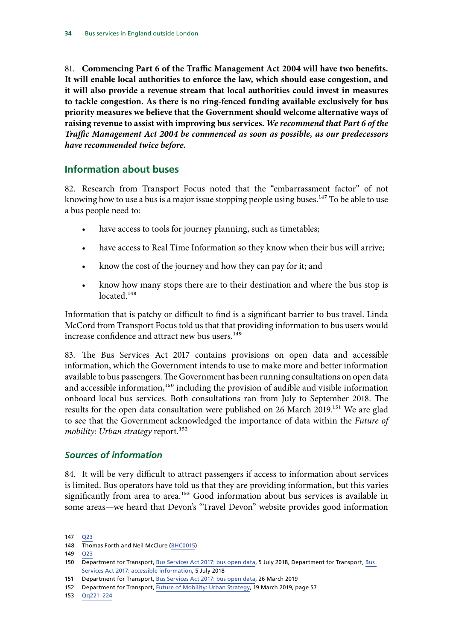<span id="page-35-0"></span>81. **Commencing Part 6 of the Traffic Management Act 2004 will have two benefits. It will enable local authorities to enforce the law, which should ease congestion, and it will also provide a revenue stream that local authorities could invest in measures to tackle congestion. As there is no ring-fenced funding available exclusively for bus priority measures we believe that the Government should welcome alternative ways of raising revenue to assist with improving bus services.** *We recommend that Part 6 of the Traffic Management Act 2004 be commenced as soon as possible, as our predecessors have recommended twice before.*

## **Information about buses**

82. Research from Transport Focus noted that the "embarrassment factor" of not knowing how to use a bus is a major issue stopping people using buses.<sup>147</sup> To be able to use a bus people need to:

- have access to tools for journey planning, such as timetables;
- have access to Real Time Information so they know when their bus will arrive;
- know the cost of the journey and how they can pay for it; and
- know how many stops there are to their destination and where the bus stop is located.<sup>148</sup>

Information that is patchy or difficult to find is a significant barrier to bus travel. Linda McCord from Transport Focus told us that that providing information to bus users would increase confidence and attract new bus users.<sup>149</sup>

83. The Bus Services Act 2017 contains provisions on open data and accessible information, which the Government intends to use to make more and better information available to bus passengers. The Government has been running consultations on open data and accessible information,<sup>150</sup> including the provision of audible and visible information onboard local bus services. Both consultations ran from July to September 2018. The results for the open data consultation were published on 26 March 2019.151 We are glad to see that the Government acknowledged the importance of data within the *Future of mobility: Urban strategy* report.<sup>152</sup>

### *Sources of information*

84. It will be very difficult to attract passengers if access to information about services is limited. Bus operators have told us that they are providing information, but this varies significantly from area to area.<sup>153</sup> Good information about bus services is available in some areas—we heard that Devon's "Travel Devon" website provides good information

153 [Qq221–224](http://data.parliament.uk/writtenevidence/committeeevidence.svc/evidencedocument/transport-committee/health-of-the-bus-market/oral/93040.html)

<sup>147</sup> [Q23](http://data.parliament.uk/writtenevidence/committeeevidence.svc/evidencedocument/transport-committee/health-of-the-bus-market/oral/92175.html) 148 Thomas Forth and Neil McClure ([BHC0015\)](http://data.parliament.uk/writtenevidence/committeeevidence.svc/evidencedocument/transport-committee/health-of-the-bus-market/written/87600.html)

<sup>149</sup> [Q23](http://data.parliament.uk/writtenevidence/committeeevidence.svc/evidencedocument/transport-committee/health-of-the-bus-market/oral/92175.html)

<sup>150</sup> Department for Transport, [Bus Services Act 2017: bus open data,](https://www.gov.uk/government/consultations/bus-services-act-2017-bus-open-data) 5 July 2018, Department for Transport, Bus [Services Act 2017: accessible information,](https://www.gov.uk/government/consultations/bus-services-act-2017-accessible-information) 5 July 2018

<sup>151</sup> Department for Transport, [Bus Services Act 2017: bus open data,](https://www.gov.uk/government/consultations/bus-services-act-2017-bus-open-data) 26 March 2019

<sup>152</sup> Department for Transport, [Future of Mobility: Urban Strategy](https://www.gov.uk/government/publications/future-of-mobility-urban-strategy), 19 March 2019, page 57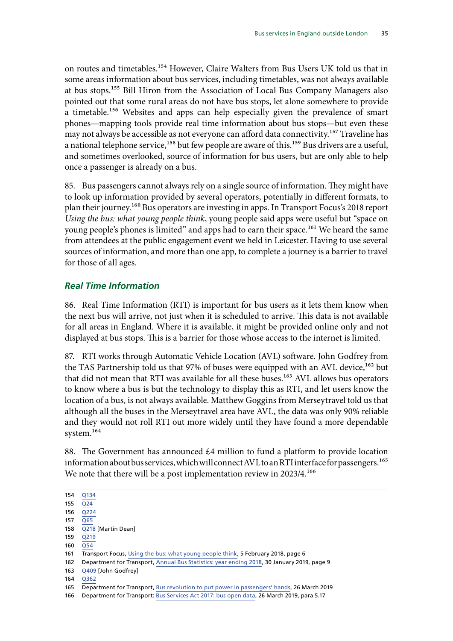<span id="page-36-0"></span>on routes and timetables.154 However, Claire Walters from Bus Users UK told us that in some areas information about bus services, including timetables, was not always available at bus stops.155 Bill Hiron from the Association of Local Bus Company Managers also pointed out that some rural areas do not have bus stops, let alone somewhere to provide a timetable.156 Websites and apps can help especially given the prevalence of smart phones—mapping tools provide real time information about bus stops—but even these may not always be accessible as not everyone can afford data connectivity.<sup>157</sup> Traveline has a national telephone service,<sup>158</sup> but few people are aware of this.<sup>159</sup> Bus drivers are a useful, and sometimes overlooked, source of information for bus users, but are only able to help once a passenger is already on a bus.

85. Bus passengers cannot always rely on a single source of information. They might have to look up information provided by several operators, potentially in different formats, to plan their journey.160 Bus operators are investing in apps. In Transport Focus's 2018 report *Using the bus: what young people think*, young people said apps were useful but "space on young people's phones is limited" and apps had to earn their space.<sup>161</sup> We heard the same from attendees at the public engagement event we held in Leicester. Having to use several sources of information, and more than one app, to complete a journey is a barrier to travel for those of all ages.

#### *Real Time Information*

86. Real Time Information (RTI) is important for bus users as it lets them know when the next bus will arrive, not just when it is scheduled to arrive. This data is not available for all areas in England. Where it is available, it might be provided online only and not displayed at bus stops. This is a barrier for those whose access to the internet is limited.

87. RTI works through Automatic Vehicle Location (AVL) software. John Godfrey from the TAS Partnership told us that 97% of buses were equipped with an AVL device,<sup>162</sup> but that did not mean that RTI was available for all these buses.<sup>163</sup> AVL allows bus operators to know where a bus is but the technology to display this as RTI, and let users know the location of a bus, is not always available. Matthew Goggins from Merseytravel told us that although all the buses in the Merseytravel area have AVL, the data was only 90% reliable and they would not roll RTI out more widely until they have found a more dependable system.<sup>164</sup>

88. The Government has announced £4 million to fund a platform to provide location information about bus services, which will connect AVL to an RTI interface for passengers.<sup>165</sup> We note that there will be a post implementation review in 2023/4.<sup>166</sup>

163 [Q409](http://data.parliament.uk/writtenevidence/committeeevidence.svc/evidencedocument/transport-committee/health-of-the-bus-market/oral/95953.html) [John Godfrey]

<sup>154</sup> [Q134](http://data.parliament.uk/writtenevidence/committeeevidence.svc/evidencedocument/transport-committee/health-of-the-bus-market/oral/92517.html)

<sup>155</sup> [Q24](http://data.parliament.uk/writtenevidence/committeeevidence.svc/evidencedocument/transport-committee/health-of-the-bus-market/oral/92175.html)

<sup>156</sup> [Q224](http://data.parliament.uk/writtenevidence/committeeevidence.svc/evidencedocument/transport-committee/health-of-the-bus-market/oral/93040.html)

<sup>157</sup> [Q65](http://data.parliament.uk/writtenevidence/committeeevidence.svc/evidencedocument/transport-committee/health-of-the-bus-market/oral/92175.html)

<sup>158</sup> [Q218](http://data.parliament.uk/writtenevidence/committeeevidence.svc/evidencedocument/transport-committee/health-of-the-bus-market/oral/93040.html) [Martin Dean]

<sup>159</sup> [Q219](http://data.parliament.uk/writtenevidence/committeeevidence.svc/evidencedocument/transport-committee/health-of-the-bus-market/oral/93040.html) 160 [Q54](http://data.parliament.uk/writtenevidence/committeeevidence.svc/evidencedocument/transport-committee/health-of-the-bus-market/oral/92175.html)

<sup>161</sup> Transport Focus, [Using the bus: what young people think,](https://www.transportfocus.org.uk/research-publications/publications/using-bus-young-people-think/) 5 February 2018, page 6

<sup>162</sup> Department for Transport, [Annual Bus Statistics: year ending 2018](https://www.gov.uk/government/statistics/annual-bus-statistics-year-ending-march-2018), 30 January 2019, page 9

<sup>164</sup> [Q362](http://data.parliament.uk/writtenevidence/committeeevidence.svc/evidencedocument/transport-committee/health-of-the-bus-market/oral/95131.html)

<sup>165</sup> Department for Transport, [Bus revolution to put power in passengers' hands,](https://www.gov.uk/government/news/bus-revolution-to-put-power-in-passengers-hands) 26 March 2019

<sup>166</sup> Department for Transport: [Bus Services Act 2017: bus open data,](https://www.gov.uk/government/consultations/bus-services-act-2017-bus-open-data) 26 March 2019, para 5.17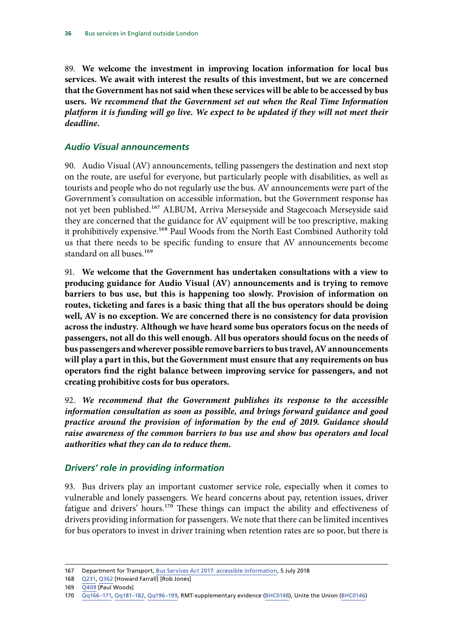<span id="page-37-0"></span>89. **We welcome the investment in improving location information for local bus services. We await with interest the results of this investment, but we are concerned that the Government has not said when these services will be able to be accessed by bus users.** *We recommend that the Government set out when the Real Time Information platform it is funding will go live. We expect to be updated if they will not meet their deadline.*

### *Audio Visual announcements*

90. Audio Visual (AV) announcements, telling passengers the destination and next stop on the route, are useful for everyone, but particularly people with disabilities, as well as tourists and people who do not regularly use the bus. AV announcements were part of the Government's consultation on accessible information, but the Government response has not yet been published.<sup>167</sup> ALBUM, Arriva Merseyside and Stagecoach Merseyside said they are concerned that the guidance for AV equipment will be too prescriptive, making it prohibitively expensive.<sup>168</sup> Paul Woods from the North East Combined Authority told us that there needs to be specific funding to ensure that AV announcements become standard on all buses.<sup>169</sup>

91. **We welcome that the Government has undertaken consultations with a view to producing guidance for Audio Visual (AV) announcements and is trying to remove barriers to bus use, but this is happening too slowly. Provision of information on routes, ticketing and fares is a basic thing that all the bus operators should be doing well, AV is no exception. We are concerned there is no consistency for data provision across the industry. Although we have heard some bus operators focus on the needs of passengers, not all do this well enough. All bus operators should focus on the needs of bus passengers and wherever possible remove barriers to bus travel, AV announcements will play a part in this, but the Government must ensure that any requirements on bus operators find the right balance between improving service for passengers, and not creating prohibitive costs for bus operators.**

92. *We recommend that the Government publishes its response to the accessible information consultation as soon as possible, and brings forward guidance and good practice around the provision of information by the end of 2019. Guidance should raise awareness of the common barriers to bus use and show bus operators and local authorities what they can do to reduce them.*

### *Drivers' role in providing information*

93. Bus drivers play an important customer service role, especially when it comes to vulnerable and lonely passengers. We heard concerns about pay, retention issues, driver fatigue and drivers' hours.170 These things can impact the ability and effectiveness of drivers providing information for passengers. We note that there can be limited incentives for bus operators to invest in driver training when retention rates are so poor, but there is

<sup>167</sup> Department for Transport, [Bus Services Act 2017: accessible information](https://www.gov.uk/government/consultations/bus-services-act-2017-accessible-information), 5 July 2018

<sup>168</sup> [Q231,](http://data.parliament.uk/writtenevidence/committeeevidence.svc/evidencedocument/transport-committee/health-of-the-bus-market/oral/93040.html) [Q362](http://data.parliament.uk/writtenevidence/committeeevidence.svc/evidencedocument/transport-committee/health-of-the-bus-market/oral/95131.html) [Howard Farrall] [Rob Jones]

<sup>169</sup> [Q409](http://data.parliament.uk/writtenevidence/committeeevidence.svc/evidencedocument/transport-committee/health-of-the-bus-market/oral/95953.html) [Paul Woods]

<sup>170</sup> [Qq166–171,](http://data.parliament.uk/writtenevidence/committeeevidence.svc/evidencedocument/transport-committee/health-of-the-bus-market/oral/93040.html) [Qq181–182,](http://data.parliament.uk/writtenevidence/committeeevidence.svc/evidencedocument/transport-committee/health-of-the-bus-market/oral/93040.html) [Qq196–199](http://data.parliament.uk/writtenevidence/committeeevidence.svc/evidencedocument/transport-committee/health-of-the-bus-market/oral/93040.html), RMT-supplementary evidence ([BHC0148](http://data.parliament.uk/writtenevidence/committeeevidence.svc/evidencedocument/transport-committee/health-of-the-bus-market/written/91069.html)), Unite the Union ([BHC0146](http://data.parliament.uk/writtenevidence/committeeevidence.svc/evidencedocument/transport-committee/health-of-the-bus-market/written/90913.html))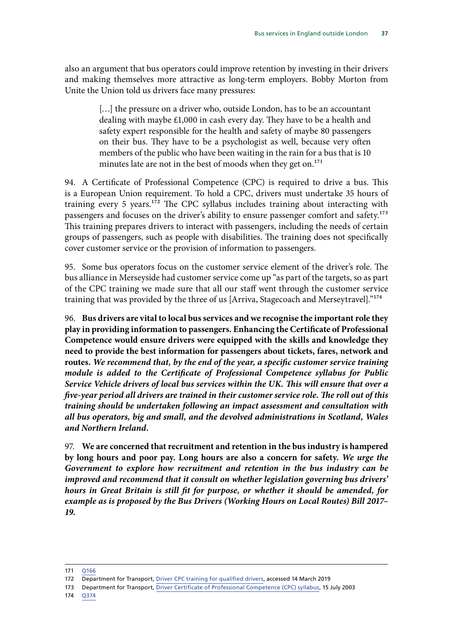also an argument that bus operators could improve retention by investing in their drivers and making themselves more attractive as long-term employers. Bobby Morton from Unite the Union told us drivers face many pressures:

> [...] the pressure on a driver who, outside London, has to be an accountant dealing with maybe £1,000 in cash every day. They have to be a health and safety expert responsible for the health and safety of maybe 80 passengers on their bus. They have to be a psychologist as well, because very often members of the public who have been waiting in the rain for a bus that is 10 minutes late are not in the best of moods when they get on.<sup>171</sup>

94. A Certificate of Professional Competence (CPC) is required to drive a bus. This is a European Union requirement. To hold a CPC, drivers must undertake 35 hours of training every 5 years.172 The CPC syllabus includes training about interacting with passengers and focuses on the driver's ability to ensure passenger comfort and safety.<sup>173</sup> This training prepares drivers to interact with passengers, including the needs of certain groups of passengers, such as people with disabilities. The training does not specifically cover customer service or the provision of information to passengers.

95. Some bus operators focus on the customer service element of the driver's role. The bus alliance in Merseyside had customer service come up "as part of the targets, so as part of the CPC training we made sure that all our staff went through the customer service training that was provided by the three of us [Arriva, Stagecoach and Merseytravel]."174

96. **Bus drivers are vital to local bus services and we recognise the important role they play in providing information to passengers. Enhancing the Certificate of Professional Competence would ensure drivers were equipped with the skills and knowledge they need to provide the best information for passengers about tickets, fares, network and routes.** *We recommend that, by the end of the year, a specific customer service training module is added to the Certificate of Professional Competence syllabus for Public Service Vehicle drivers of local bus services within the UK. This will ensure that over a five-year period all drivers are trained in their customer service role. The roll out of this training should be undertaken following an impact assessment and consultation with all bus operators, big and small, and the devolved administrations in Scotland, Wales and Northern Ireland.*

97. **We are concerned that recruitment and retention in the bus industry is hampered by long hours and poor pay. Long hours are also a concern for safety.** *We urge the Government to explore how recruitment and retention in the bus industry can be improved and recommend that it consult on whether legislation governing bus drivers' hours in Great Britain is still fit for purpose, or whether it should be amended, for example as is proposed by the Bus Drivers (Working Hours on Local Routes) Bill 2017– 19.*

<sup>171</sup> [Q166](http://data.parliament.uk/writtenevidence/committeeevidence.svc/evidencedocument/transport-committee/health-of-the-bus-market/oral/93040.html)

<sup>172</sup> Department for Transport, [Driver CPC training for qualified drivers](https://www.gov.uk/driver-cpc-training), accessed 14 March 2019

<sup>173</sup> Department for Transport, [Driver Certificate of Professional Competence \(CPC\) syllabus,](https://www.gov.uk/government/publications/driver-cpc-syllabus/driver-certificate-of-professional-competence-cpc-syllabus) 15 July 2003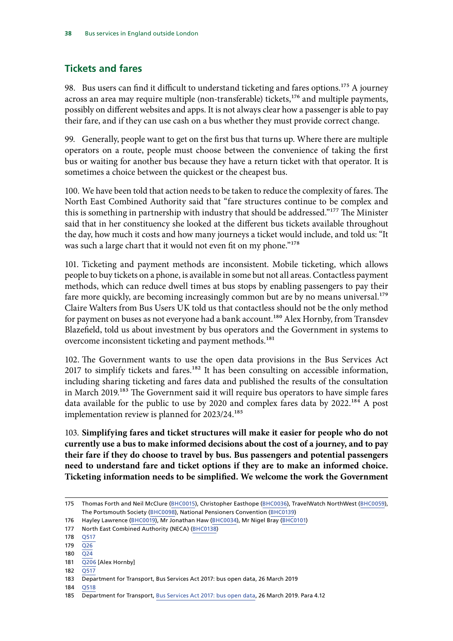## <span id="page-39-0"></span>**Tickets and fares**

98. Bus users can find it difficult to understand ticketing and fares options.<sup>175</sup> A journey across an area may require multiple (non-transferable) tickets,<sup>176</sup> and multiple payments, possibly on different websites and apps. It is not always clear how a passenger is able to pay their fare, and if they can use cash on a bus whether they must provide correct change.

99. Generally, people want to get on the first bus that turns up. Where there are multiple operators on a route, people must choose between the convenience of taking the first bus or waiting for another bus because they have a return ticket with that operator. It is sometimes a choice between the quickest or the cheapest bus.

100. We have been told that action needs to be taken to reduce the complexity of fares. The North East Combined Authority said that "fare structures continue to be complex and this is something in partnership with industry that should be addressed."<sup>177</sup> The Minister said that in her constituency she looked at the different bus tickets available throughout the day, how much it costs and how many journeys a ticket would include, and told us: "It was such a large chart that it would not even fit on my phone."<sup>178</sup>

101. Ticketing and payment methods are inconsistent. Mobile ticketing, which allows people to buy tickets on a phone, is available in some but not all areas. Contactless payment methods, which can reduce dwell times at bus stops by enabling passengers to pay their fare more quickly, are becoming increasingly common but are by no means universal.<sup>179</sup> Claire Walters from Bus Users UK told us that contactless should not be the only method for payment on buses as not everyone had a bank account.<sup>180</sup> Alex Hornby, from Transdev Blazefield, told us about investment by bus operators and the Government in systems to overcome inconsistent ticketing and payment methods.<sup>181</sup>

102. The Government wants to use the open data provisions in the Bus Services Act  $2017$  to simplify tickets and fares.<sup>182</sup> It has been consulting on accessible information, including sharing ticketing and fares data and published the results of the consultation in March 2019.<sup>183</sup> The Government said it will require bus operators to have simple fares data available for the public to use by 2020 and complex fares data by  $2022$ <sup>184</sup> A post implementation review is planned for 2023/24.185

103. **Simplifying fares and ticket structures will make it easier for people who do not currently use a bus to make informed decisions about the cost of a journey, and to pay their fare if they do choose to travel by bus. Bus passengers and potential passengers need to understand fare and ticket options if they are to make an informed choice. Ticketing information needs to be simplified. We welcome the work the Government** 

182 O<sub>517</sub>

184 [Q518](http://data.parliament.uk/writtenevidence/committeeevidence.svc/evidencedocument/transport-committee/health-of-the-bus-market/oral/96505.html)

<sup>175</sup> Thomas Forth and Neil McClure ([BHC0015\)](http://data.parliament.uk/writtenevidence/committeeevidence.svc/evidencedocument/transport-committee/health-of-the-bus-market/written/87600.html), Christopher Easthope ([BHC0036](http://data.parliament.uk/writtenevidence/committeeevidence.svc/evidencedocument/transport-committee/health-of-the-bus-market/written/88611.html)), TravelWatch NorthWest ([BHC0059\)](http://data.parliament.uk/writtenevidence/committeeevidence.svc/evidencedocument/transport-committee/health-of-the-bus-market/written/90110.html), The Portsmouth Society ([BHC0098\)](http://data.parliament.uk/writtenevidence/committeeevidence.svc/evidencedocument/transport-committee/health-of-the-bus-market/written/90237.html), National Pensioners Convention ([BHC0139\)](http://data.parliament.uk/writtenevidence/committeeevidence.svc/evidencedocument/transport-committee/health-of-the-bus-market/written/90693.html)

<sup>176</sup> Hayley Lawrence [\(BHC0019](http://data.parliament.uk/writtenevidence/committeeevidence.svc/evidencedocument/transport-committee/health-of-the-bus-market/written/87721.html)), Mr Jonathan Haw ([BHC0034](http://data.parliament.uk/writtenevidence/committeeevidence.svc/evidencedocument/transport-committee/health-of-the-bus-market/written/88425.html)), Mr Nigel Bray [\(BHC0101](http://data.parliament.uk/writtenevidence/committeeevidence.svc/evidencedocument/transport-committee/health-of-the-bus-market/written/90240.html))

<sup>177</sup> North East Combined Authority (NECA) [\(BHC0138\)](http://data.parliament.uk/writtenevidence/committeeevidence.svc/evidencedocument/transport-committee/health-of-the-bus-market/written/90692.html)

<sup>178</sup> [Q517](http://data.parliament.uk/writtenevidence/committeeevidence.svc/evidencedocument/transport-committee/health-of-the-bus-market/oral/96505.html)

<sup>179</sup> [Q26](http://data.parliament.uk/writtenevidence/committeeevidence.svc/evidencedocument/transport-committee/health-of-the-bus-market/oral/92175.html)

<sup>180</sup> [Q24](http://data.parliament.uk/writtenevidence/committeeevidence.svc/evidencedocument/transport-committee/health-of-the-bus-market/oral/92175.html)

<sup>181</sup> [Q206](http://data.parliament.uk/writtenevidence/committeeevidence.svc/evidencedocument/transport-committee/health-of-the-bus-market/oral/93040.html) [Alex Hornby]

<sup>183</sup> Department for Transport, Bus Services Act 2017: bus open data, 26 March 2019

<sup>185</sup> Department for Transport, [Bus Services Act 2017: bus open data,](Bus Services Act 2017: bus open data) 26 March 2019. Para 4.12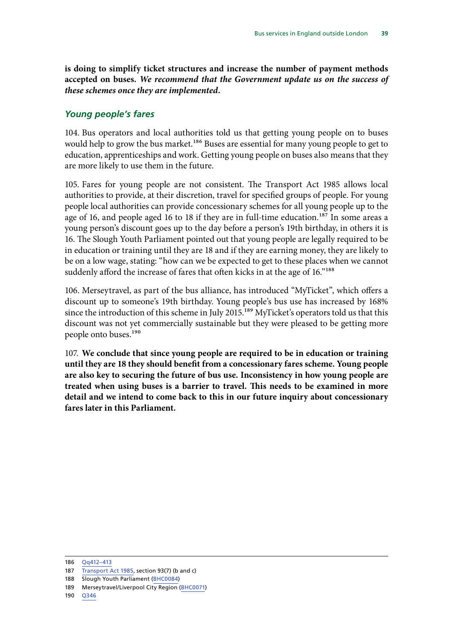<span id="page-40-0"></span>**is doing to simplify ticket structures and increase the number of payment methods accepted on buses.** *We recommend that the Government update us on the success of these schemes once they are implemented.*

#### *Young people's fares*

104. Bus operators and local authorities told us that getting young people on to buses would help to grow the bus market.<sup>186</sup> Buses are essential for many young people to get to education, apprenticeships and work. Getting young people on buses also means that they are more likely to use them in the future.

105. Fares for young people are not consistent. The Transport Act 1985 allows local authorities to provide, at their discretion, travel for specified groups of people. For young people local authorities can provide concessionary schemes for all young people up to the age of 16, and people aged 16 to 18 if they are in full-time education.<sup>187</sup> In some areas a young person's discount goes up to the day before a person's 19th birthday, in others it is 16. The Slough Youth Parliament pointed out that young people are legally required to be in education or training until they are 18 and if they are earning money, they are likely to be on a low wage, stating: "how can we be expected to get to these places when we cannot suddenly afford the increase of fares that often kicks in at the age of 16."<sup>188</sup>

106. Merseytravel, as part of the bus alliance, has introduced "MyTicket", which offers a discount up to someone's 19th birthday. Young people's bus use has increased by 168% since the introduction of this scheme in July 2015.<sup>189</sup> MyTicket's operators told us that this discount was not yet commercially sustainable but they were pleased to be getting more people onto buses.<sup>190</sup>

107. **We conclude that since young people are required to be in education or training until they are 18 they should benefit from a concessionary fares scheme. Young people are also key to securing the future of bus use. Inconsistency in how young people are treated when using buses is a barrier to travel. This needs to be examined in more detail and we intend to come back to this in our future inquiry about concessionary fares later in this Parliament.**

<sup>186</sup> [Qq412–413](http://data.parliament.uk/writtenevidence/committeeevidence.svc/evidencedocument/transport-committee/health-of-the-bus-market/oral/95953.html)

<sup>187</sup> [Transport Act 1985](https://www.legislation.gov.uk/ukpga/1985/67/section/93), section 93(7) (b and c)

<sup>188</sup> Slough Youth Parliament [\(BHC0084](http://data.parliament.uk/writtenevidence/committeeevidence.svc/evidencedocument/transport-committee/health-of-the-bus-market/written/90205.html))

<sup>189</sup> Merseytravel/Liverpool City Region ([BHC0071](http://data.parliament.uk/writtenevidence/committeeevidence.svc/evidencedocument/transport-committee/health-of-the-bus-market/written/90171.html))

<sup>190</sup> [Q346](http://data.parliament.uk/writtenevidence/committeeevidence.svc/evidencedocument/transport-committee/health-of-the-bus-market/oral/95131.html)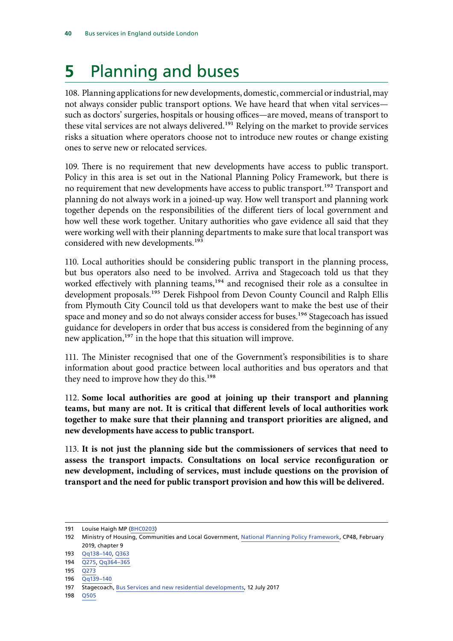# <span id="page-41-0"></span>**5** Planning and buses

108. Planning applications for new developments, domestic, commercial or industrial, may not always consider public transport options. We have heard that when vital services such as doctors' surgeries, hospitals or housing offices—are moved, means of transport to these vital services are not always delivered.<sup>191</sup> Relying on the market to provide services risks a situation where operators choose not to introduce new routes or change existing ones to serve new or relocated services.

109. There is no requirement that new developments have access to public transport. Policy in this area is set out in the National Planning Policy Framework, but there is no requirement that new developments have access to public transport.<sup>192</sup> Transport and planning do not always work in a joined-up way. How well transport and planning work together depends on the responsibilities of the different tiers of local government and how well these work together. Unitary authorities who gave evidence all said that they were working well with their planning departments to make sure that local transport was considered with new developments.<sup>193</sup>

110. Local authorities should be considering public transport in the planning process, but bus operators also need to be involved. Arriva and Stagecoach told us that they worked effectively with planning teams,<sup>194</sup> and recognised their role as a consultee in development proposals.<sup>195</sup> Derek Fishpool from Devon County Council and Ralph Ellis from Plymouth City Council told us that developers want to make the best use of their space and money and so do not always consider access for buses.<sup>196</sup> Stagecoach has issued guidance for developers in order that bus access is considered from the beginning of any new application,<sup>197</sup> in the hope that this situation will improve.

111. The Minister recognised that one of the Government's responsibilities is to share information about good practice between local authorities and bus operators and that they need to improve how they do this.<sup>198</sup>

112. **Some local authorities are good at joining up their transport and planning teams, but many are not. It is critical that different levels of local authorities work together to make sure that their planning and transport priorities are aligned, and new developments have access to public transport.**

113. **It is not just the planning side but the commissioners of services that need to assess the transport impacts. Consultations on local service reconfiguration or new development, including of services, must include questions on the provision of transport and the need for public transport provision and how this will be delivered.**

<sup>191</sup> Louise Haigh MP ([BHC0203\)](http://data.parliament.uk/writtenevidence/committeeevidence.svc/evidencedocument/transport-committee/health-of-the-bus-market/written/96054.html)

<sup>192</sup> Ministry of Housing, Communities and Local Government, [National Planning Policy Framework](https://assets.publishing.service.gov.uk/government/uploads/system/uploads/attachment_data/file/779764/NPPF_Feb_2019_web.pdf), CP48, February 2019, chapter 9

<sup>193</sup> [Qq138–140](http://data.parliament.uk/writtenevidence/committeeevidence.svc/evidencedocument/transport-committee/health-of-the-bus-market/oral/92517.html), [Q363](http://data.parliament.uk/writtenevidence/committeeevidence.svc/evidencedocument/transport-committee/health-of-the-bus-market/oral/95131.html)

<sup>194</sup> [Q275](http://data.parliament.uk/writtenevidence/committeeevidence.svc/evidencedocument/transport-committee/health-of-the-bus-market/oral/93040.html), [Qq364–365](http://data.parliament.uk/writtenevidence/committeeevidence.svc/evidencedocument/transport-committee/health-of-the-bus-market/oral/95131.html)

 $195 \overline{0273}$ 

<sup>196</sup> [Qq139–140](http://data.parliament.uk/writtenevidence/committeeevidence.svc/evidencedocument/transport-committee/health-of-the-bus-market/oral/92517.html)

<sup>197</sup> Stagecoach, [Bus Services and new residential developments,](https://www.stagecoach.com/~/media/Files/S/Stagecoach-Group/Attachments/pdf/bus-services-and-new-residential-developments.pdf) 12 July 2017

<sup>198</sup> [Q505](http://data.parliament.uk/writtenevidence/committeeevidence.svc/evidencedocument/transport-committee/health-of-the-bus-market/oral/96505.html)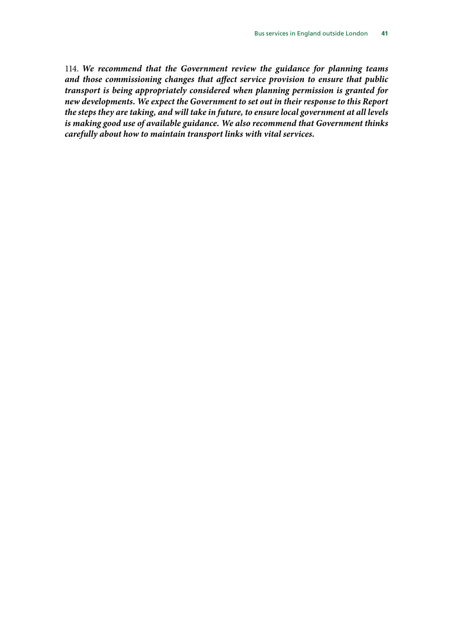114. *We recommend that the Government review the guidance for planning teams and those commissioning changes that affect service provision to ensure that public transport is being appropriately considered when planning permission is granted for new developments. We expect the Government to set out in their response to this Report the steps they are taking, and will take in future, to ensure local government at all levels is making good use of available guidance. We also recommend that Government thinks carefully about how to maintain transport links with vital services.*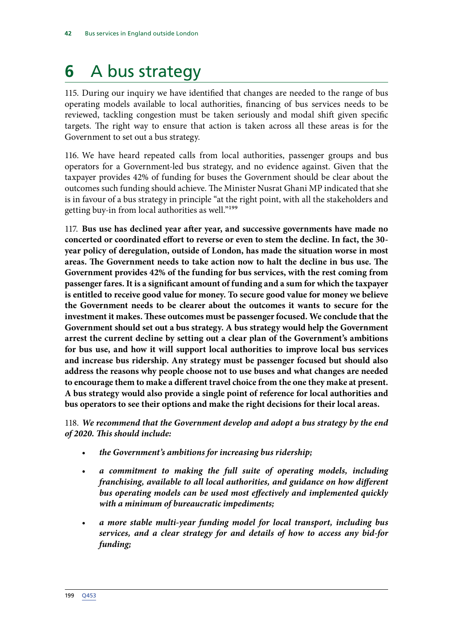# <span id="page-43-0"></span>**6** A bus strategy

115. During our inquiry we have identified that changes are needed to the range of bus operating models available to local authorities, financing of bus services needs to be reviewed, tackling congestion must be taken seriously and modal shift given specific targets. The right way to ensure that action is taken across all these areas is for the Government to set out a bus strategy.

116. We have heard repeated calls from local authorities, passenger groups and bus operators for a Government-led bus strategy, and no evidence against. Given that the taxpayer provides 42% of funding for buses the Government should be clear about the outcomes such funding should achieve. The Minister Nusrat Ghani MP indicated that she is in favour of a bus strategy in principle "at the right point, with all the stakeholders and getting buy-in from local authorities as well."199

117. **Bus use has declined year after year, and successive governments have made no concerted or coordinated effort to reverse or even to stem the decline. In fact, the 30 year policy of deregulation, outside of London, has made the situation worse in most areas. The Government needs to take action now to halt the decline in bus use. The Government provides 42% of the funding for bus services, with the rest coming from passenger fares. It is a significant amount of funding and a sum for which the taxpayer is entitled to receive good value for money. To secure good value for money we believe the Government needs to be clearer about the outcomes it wants to secure for the investment it makes. These outcomes must be passenger focused. We conclude that the Government should set out a bus strategy. A bus strategy would help the Government arrest the current decline by setting out a clear plan of the Government's ambitions for bus use, and how it will support local authorities to improve local bus services and increase bus ridership. Any strategy must be passenger focused but should also address the reasons why people choose not to use buses and what changes are needed to encourage them to make a different travel choice from the one they make at present. A bus strategy would also provide a single point of reference for local authorities and bus operators to see their options and make the right decisions for their local areas.**

118. *We recommend that the Government develop and adopt a bus strategy by the end of 2020. This should include:*

- *the Government's ambitions for increasing bus ridership;*
- *a commitment to making the full suite of operating models, including franchising, available to all local authorities, and guidance on how different bus operating models can be used most effectively and implemented quickly with a minimum of bureaucratic impediments;*
- *a more stable multi-year funding model for local transport, including bus services, and a clear strategy for and details of how to access any bid-for funding;*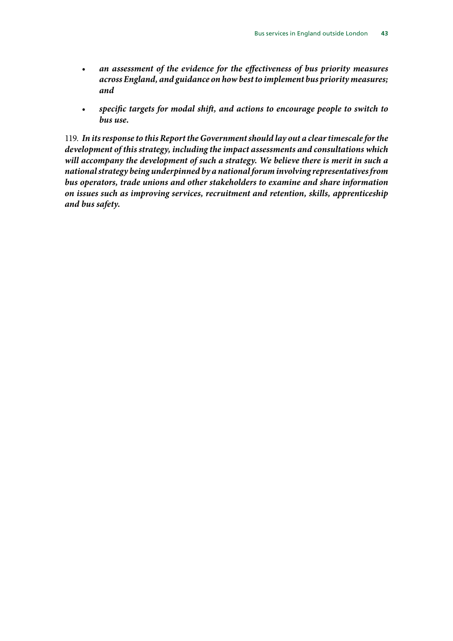- *an assessment of the evidence for the effectiveness of bus priority measures across England, and guidance on how best to implement bus priority measures; and*
- *specific targets for modal shift, and actions to encourage people to switch to bus use.*

119. *In its response to this Report the Government should lay out a clear timescale for the development of this strategy, including the impact assessments and consultations which will accompany the development of such a strategy. We believe there is merit in such a national strategy being underpinned by a national forum involving representatives from bus operators, trade unions and other stakeholders to examine and share information on issues such as improving services, recruitment and retention, skills, apprenticeship and bus safety.*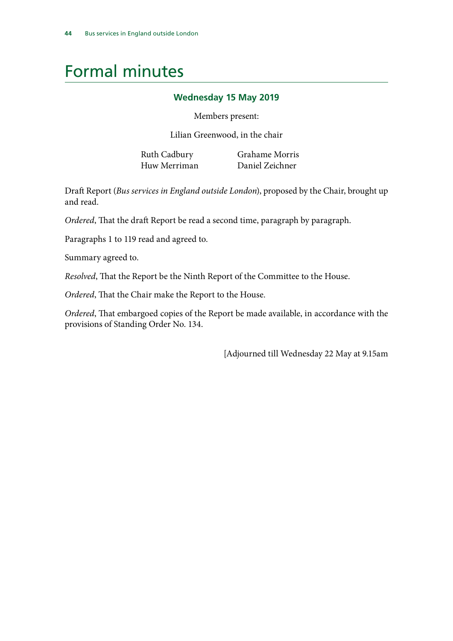# <span id="page-45-0"></span>Formal minutes

#### **Wednesday 15 May 2019**

Members present:

Lilian Greenwood, in the chair

Huw Merriman Daniel Zeichner

Ruth Cadbury Grahame Morris

Draft Report (*Bus services in England outside London*), proposed by the Chair, brought up and read.

*Ordered*, That the draft Report be read a second time, paragraph by paragraph.

Paragraphs 1 to 119 read and agreed to.

Summary agreed to.

*Resolved*, That the Report be the Ninth Report of the Committee to the House.

*Ordered*, That the Chair make the Report to the House.

*Ordered*, That embargoed copies of the Report be made available, in accordance with the provisions of Standing Order No. 134.

[Adjourned till Wednesday 22 May at 9.15am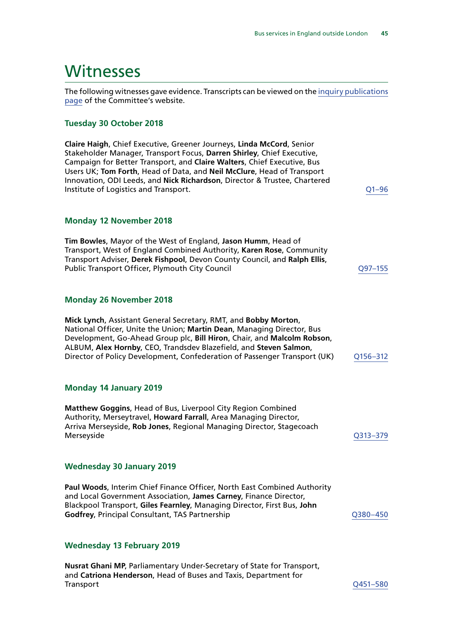## <span id="page-46-0"></span>**Witnesses**

The following witnesses gave evidence. Transcripts can be viewed on the [inquiry publications](https://www.parliament.uk/business/committees/committees-a-z/commons-select/transport-committee/inquiries/parliament-2017/health-of-bus-market-17-19/publications/) [page](https://www.parliament.uk/business/committees/committees-a-z/commons-select/transport-committee/inquiries/parliament-2017/health-of-bus-market-17-19/publications/) of the Committee's website.

#### **Tuesday 30 October 2018**

| Claire Haigh, Chief Executive, Greener Journeys, Linda McCord, Senior<br>Stakeholder Manager, Transport Focus, Darren Shirley, Chief Executive,<br>Campaign for Better Transport, and Claire Walters, Chief Executive, Bus<br>Users UK; Tom Forth, Head of Data, and Neil McClure, Head of Transport<br>Innovation, ODI Leeds, and Nick Richardson, Director & Trustee, Chartered<br>Institute of Logistics and Transport. | $Q1 - 96$ |
|----------------------------------------------------------------------------------------------------------------------------------------------------------------------------------------------------------------------------------------------------------------------------------------------------------------------------------------------------------------------------------------------------------------------------|-----------|
| <b>Monday 12 November 2018</b>                                                                                                                                                                                                                                                                                                                                                                                             |           |
| Tim Bowles, Mayor of the West of England, Jason Humm, Head of<br>Transport, West of England Combined Authority, Karen Rose, Community<br>Transport Adviser, Derek Fishpool, Devon County Council, and Ralph Ellis,<br>Public Transport Officer, Plymouth City Council                                                                                                                                                      | Q97-155   |
| <b>Monday 26 November 2018</b>                                                                                                                                                                                                                                                                                                                                                                                             |           |
| Mick Lynch, Assistant General Secretary, RMT, and Bobby Morton,<br>National Officer, Unite the Union; Martin Dean, Managing Director, Bus<br>Development, Go-Ahead Group plc, Bill Hiron, Chair, and Malcolm Robson,<br>ALBUM, Alex Hornby, CEO, Trandsdev Blazefield, and Steven Salmon,<br>Director of Policy Development, Confederation of Passenger Transport (UK)                                                     | Q156-312  |
| <b>Monday 14 January 2019</b>                                                                                                                                                                                                                                                                                                                                                                                              |           |
| Matthew Goggins, Head of Bus, Liverpool City Region Combined<br>Authority, Merseytravel, Howard Farrall, Area Managing Director,<br>Arriva Merseyside, Rob Jones, Regional Managing Director, Stagecoach<br>Merseyside                                                                                                                                                                                                     | Q313-379  |
| <b>Wednesday 30 January 2019</b>                                                                                                                                                                                                                                                                                                                                                                                           |           |
| Paul Woods, Interim Chief Finance Officer, North East Combined Authority<br>and Local Government Association, James Carney, Finance Director,<br>Blackpool Transport, Giles Fearnley, Managing Director, First Bus, John<br>Godfrey, Principal Consultant, TAS Partnership                                                                                                                                                 | Q380-450  |
| <b>Wednesday 13 February 2019</b>                                                                                                                                                                                                                                                                                                                                                                                          |           |
| Nurrat Chani MD Darliamontary Under Secretary of State for Transport                                                                                                                                                                                                                                                                                                                                                       |           |

**Nusrat Ghani MP**, Parliamentary Under-Secretary of State for Transport, and **Catriona Henderson**, Head of Buses and Taxis, Department for [Q451–580](http://data.parliament.uk/WrittenEvidence/CommitteeEvidence.svc/EvidenceDocument/Transport/Health%20of%20the%20Bus%20Market/Oral/96505.html)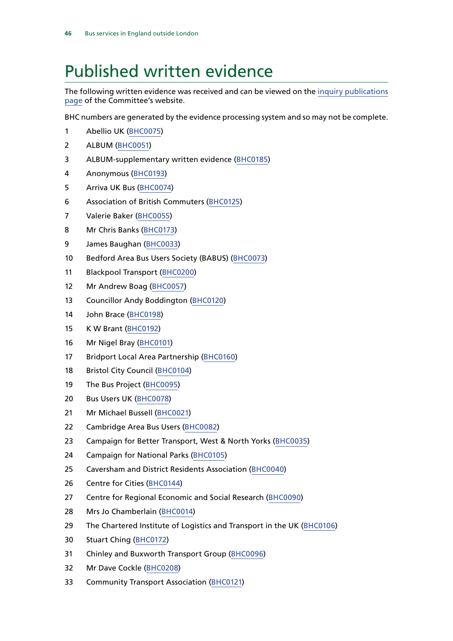# <span id="page-47-0"></span>Published written evidence

The following written evidence was received and can be viewed on the [inquiry publications](https://www.parliament.uk/business/committees/committees-a-z/commons-select/transport-committee/inquiries/parliament-2017/health-of-bus-market-17-19/publications/) [page](https://www.parliament.uk/business/committees/committees-a-z/commons-select/transport-committee/inquiries/parliament-2017/health-of-bus-market-17-19/publications/) of the Committee's website.

BHC numbers are generated by the evidence processing system and so may not be complete.

- Abellio UK ([BHC0075](http://data.parliament.uk/WrittenEvidence/CommitteeEvidence.svc/EvidenceDocument/Transport/Health%20of%20the%20Bus%20Market/Written/90190.html))
- ALBUM ([BHC0051\)](http://data.parliament.uk/WrittenEvidence/CommitteeEvidence.svc/EvidenceDocument/Transport/Health%20of%20the%20Bus%20Market/Written/89987.html)
- ALBUM-supplementary written evidence ([BHC0185](http://data.parliament.uk/WrittenEvidence/CommitteeEvidence.svc/EvidenceDocument/Transport/Health%20of%20the%20Bus%20Market/Written/93683.html))
- Anonymous [\(BHC0193](http://data.parliament.uk/WrittenEvidence/CommitteeEvidence.svc/EvidenceDocument/Transport/Health%20of%20the%20Bus%20Market/Written/94620.html))
- Arriva UK Bus ([BHC0074\)](http://data.parliament.uk/WrittenEvidence/CommitteeEvidence.svc/EvidenceDocument/Transport/Health%20of%20the%20Bus%20Market/Written/90189.html)
- Association of British Commuters ([BHC0125](http://data.parliament.uk/WrittenEvidence/CommitteeEvidence.svc/EvidenceDocument/Transport/Health%20of%20the%20Bus%20Market/Written/90282.html))
- Valerie Baker [\(BHC0055](http://data.parliament.uk/WrittenEvidence/CommitteeEvidence.svc/EvidenceDocument/Transport/Health%20of%20the%20Bus%20Market/Written/90041.html))
- Mr Chris Banks ([BHC0173](http://data.parliament.uk/WrittenEvidence/CommitteeEvidence.svc/EvidenceDocument/Transport/Health%20of%20the%20Bus%20Market/Written/92274.html))
- James Baughan [\(BHC0033\)](http://data.parliament.uk/WrittenEvidence/CommitteeEvidence.svc/EvidenceDocument/Transport/Health%20of%20the%20Bus%20Market/Written/88347.html)
- Bedford Area Bus Users Society (BABUS) ([BHC0073](http://data.parliament.uk/WrittenEvidence/CommitteeEvidence.svc/EvidenceDocument/Transport/Health%20of%20the%20Bus%20Market/Written/90185.html))
- Blackpool Transport [\(BHC0200](http://data.parliament.uk/WrittenEvidence/CommitteeEvidence.svc/EvidenceDocument/Transport/Health%20of%20the%20Bus%20Market/Written/95469.html))
- Mr Andrew Boag ([BHC0057](http://data.parliament.uk/WrittenEvidence/CommitteeEvidence.svc/EvidenceDocument/Transport/Health%20of%20the%20Bus%20Market/Written/90103.html))
- Councillor Andy Boddington ([BHC0120\)](http://data.parliament.uk/WrittenEvidence/CommitteeEvidence.svc/EvidenceDocument/Transport/Health%20of%20the%20Bus%20Market/Written/90276.html)
- John Brace [\(BHC0198](http://data.parliament.uk/WrittenEvidence/CommitteeEvidence.svc/EvidenceDocument/Transport/Health%20of%20the%20Bus%20Market/Written/95262.html))
- K W Brant [\(BHC0192](http://data.parliament.uk/WrittenEvidence/CommitteeEvidence.svc/EvidenceDocument/Transport/Health%20of%20the%20Bus%20Market/Written/94560.html))
- Mr Nigel Bray [\(BHC0101\)](http://data.parliament.uk/WrittenEvidence/CommitteeEvidence.svc/EvidenceDocument/Transport/Health%20of%20the%20Bus%20Market/Written/90240.html)
- Bridport Local Area Partnership ([BHC0160\)](http://data.parliament.uk/WrittenEvidence/CommitteeEvidence.svc/EvidenceDocument/Transport/Health%20of%20the%20Bus%20Market/Written/91894.html)
- 18 Bristol City Council [\(BHC0104\)](http://data.parliament.uk/WrittenEvidence/CommitteeEvidence.svc/EvidenceDocument/Transport/Health%20of%20the%20Bus%20Market/Written/90246.html)
- The Bus Project [\(BHC0095\)](http://data.parliament.uk/WrittenEvidence/CommitteeEvidence.svc/EvidenceDocument/Transport/Health%20of%20the%20Bus%20Market/Written/90233.html)
- Bus Users UK [\(BHC0078\)](http://data.parliament.uk/WrittenEvidence/CommitteeEvidence.svc/EvidenceDocument/Transport/Health%20of%20the%20Bus%20Market/Written/90195.html)
- Mr Michael Bussell ([BHC0021\)](http://data.parliament.uk/WrittenEvidence/CommitteeEvidence.svc/EvidenceDocument/Transport/Health%20of%20the%20Bus%20Market/Written/87815.html)
- Cambridge Area Bus Users ([BHC0082](http://data.parliament.uk/WrittenEvidence/CommitteeEvidence.svc/EvidenceDocument/Transport/Health%20of%20the%20Bus%20Market/Written/90202.html))
- Campaign for Better Transport, West & North Yorks ([BHC0035\)](http://data.parliament.uk/WrittenEvidence/CommitteeEvidence.svc/EvidenceDocument/Transport/Health%20of%20the%20Bus%20Market/Written/88507.html)
- 24 Campaign for National Parks ([BHC0105](http://data.parliament.uk/WrittenEvidence/CommitteeEvidence.svc/EvidenceDocument/Transport/Health%20of%20the%20Bus%20Market/Written/90247.html))
- Caversham and District Residents Association ([BHC0040](http://data.parliament.uk/WrittenEvidence/CommitteeEvidence.svc/EvidenceDocument/Transport/Health%20of%20the%20Bus%20Market/Written/89465.html))
- Centre for Cities [\(BHC0144\)](http://data.parliament.uk/WrittenEvidence/CommitteeEvidence.svc/EvidenceDocument/Transport/Health%20of%20the%20Bus%20Market/Written/90802.html)
- 27 Centre for Regional Economic and Social Research ([BHC0090](http://data.parliament.uk/WrittenEvidence/CommitteeEvidence.svc/EvidenceDocument/Transport/Health%20of%20the%20Bus%20Market/Written/90225.html))
- Mrs Jo Chamberlain [\(BHC0014](http://data.parliament.uk/WrittenEvidence/CommitteeEvidence.svc/EvidenceDocument/Transport/Health%20of%20the%20Bus%20Market/Written/87580.html))
- 29 The Chartered Institute of Logistics and Transport in the UK [\(BHC0106\)](http://data.parliament.uk/WrittenEvidence/CommitteeEvidence.svc/EvidenceDocument/Transport/Health%20of%20the%20Bus%20Market/Written/90248.html)
- Stuart Ching [\(BHC0172\)](http://data.parliament.uk/WrittenEvidence/CommitteeEvidence.svc/EvidenceDocument/Transport/Health%20of%20the%20Bus%20Market/Written/92225.html)
- Chinley and Buxworth Transport Group ([BHC0096](http://data.parliament.uk/WrittenEvidence/CommitteeEvidence.svc/EvidenceDocument/Transport/Health%20of%20the%20Bus%20Market/Written/90235.html))
- Mr Dave Cockle [\(BHC0208](http://data.parliament.uk/WrittenEvidence/CommitteeEvidence.svc/EvidenceDocument/Transport/Health%20of%20the%20Bus%20Market/Written/97631.html))
- Community Transport Association ([BHC0121\)](http://data.parliament.uk/WrittenEvidence/CommitteeEvidence.svc/EvidenceDocument/Transport/Health%20of%20the%20Bus%20Market/Written/90278.html)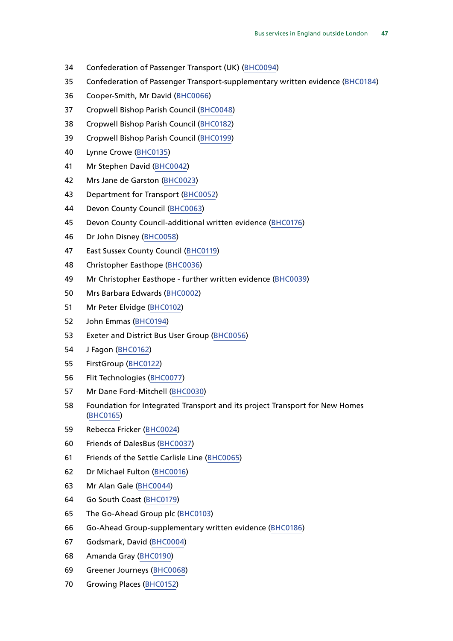- Confederation of Passenger Transport (UK) [\(BHC0094](http://data.parliament.uk/WrittenEvidence/CommitteeEvidence.svc/EvidenceDocument/Transport/Health%20of%20the%20Bus%20Market/Written/90232.html))
- Confederation of Passenger Transport-supplementary written evidence [\(BHC0184\)](http://data.parliament.uk/WrittenEvidence/CommitteeEvidence.svc/EvidenceDocument/Transport/Health%20of%20the%20Bus%20Market/Written/93670.html)
- Cooper-Smith, Mr David ([BHC0066](http://data.parliament.uk/WrittenEvidence/CommitteeEvidence.svc/EvidenceDocument/Transport/Health%20of%20the%20Bus%20Market/Written/90152.html))
- Cropwell Bishop Parish Council [\(BHC0048\)](http://data.parliament.uk/WrittenEvidence/CommitteeEvidence.svc/EvidenceDocument/Transport/Health%20of%20the%20Bus%20Market/Written/89956.html)
- Cropwell Bishop Parish Council [\(BHC0182](http://data.parliament.uk/WrittenEvidence/CommitteeEvidence.svc/EvidenceDocument/Transport/Health%20of%20the%20Bus%20Market/Written/92809.html))
- Cropwell Bishop Parish Council [\(BHC0199](http://data.parliament.uk/WrittenEvidence/CommitteeEvidence.svc/EvidenceDocument/Transport/Health%20of%20the%20Bus%20Market/Written/95398.html))
- Lynne Crowe ([BHC0135\)](http://data.parliament.uk/WrittenEvidence/CommitteeEvidence.svc/EvidenceDocument/Transport/Health%20of%20the%20Bus%20Market/Written/90587.html)
- Mr Stephen David ([BHC0042\)](http://data.parliament.uk/WrittenEvidence/CommitteeEvidence.svc/EvidenceDocument/Transport/Health%20of%20the%20Bus%20Market/Written/89842.html)
- Mrs Jane de Garston [\(BHC0023](http://data.parliament.uk/WrittenEvidence/CommitteeEvidence.svc/EvidenceDocument/Transport/Health%20of%20the%20Bus%20Market/Written/87866.html))
- Department for Transport [\(BHC0052](http://data.parliament.uk/WrittenEvidence/CommitteeEvidence.svc/EvidenceDocument/Transport/Health%20of%20the%20Bus%20Market/Written/90000.html))
- Devon County Council [\(BHC0063](http://data.parliament.uk/WrittenEvidence/CommitteeEvidence.svc/EvidenceDocument/Transport/Health%20of%20the%20Bus%20Market/Written/90146.html))
- Devon County Council-additional written evidence ([BHC0176](http://data.parliament.uk/WrittenEvidence/CommitteeEvidence.svc/EvidenceDocument/Transport/Health%20of%20the%20Bus%20Market/Written/92449.html))
- Dr John Disney [\(BHC0058\)](http://data.parliament.uk/WrittenEvidence/CommitteeEvidence.svc/EvidenceDocument/Transport/Health%20of%20the%20Bus%20Market/Written/90108.html)
- East Sussex County Council [\(BHC0119](http://data.parliament.uk/WrittenEvidence/CommitteeEvidence.svc/EvidenceDocument/Transport/Health%20of%20the%20Bus%20Market/Written/90274.html))
- Christopher Easthope [\(BHC0036\)](http://data.parliament.uk/WrittenEvidence/CommitteeEvidence.svc/EvidenceDocument/Transport/Health%20of%20the%20Bus%20Market/Written/88611.html)
- Mr Christopher Easthope further written evidence [\(BHC0039](http://data.parliament.uk/WrittenEvidence/CommitteeEvidence.svc/EvidenceDocument/Transport/Health%20of%20the%20Bus%20Market/Written/89158.html))
- Mrs Barbara Edwards ([BHC0002\)](http://data.parliament.uk/WrittenEvidence/CommitteeEvidence.svc/EvidenceDocument/Transport/Health%20of%20the%20Bus%20Market/Written/86822.html)
- Mr Peter Elvidge [\(BHC0102](http://data.parliament.uk/WrittenEvidence/CommitteeEvidence.svc/EvidenceDocument/Transport/Health%20of%20the%20Bus%20Market/Written/90244.html))
- John Emmas [\(BHC0194\)](http://data.parliament.uk/WrittenEvidence/CommitteeEvidence.svc/EvidenceDocument/Transport/Health%20of%20the%20Bus%20Market/Written/94975.html)
- Exeter and District Bus User Group ([BHC0056](http://data.parliament.uk/WrittenEvidence/CommitteeEvidence.svc/EvidenceDocument/Transport/Health%20of%20the%20Bus%20Market/Written/90075.html))
- J Fagon ([BHC0162](http://data.parliament.uk/WrittenEvidence/CommitteeEvidence.svc/EvidenceDocument/Transport/Health%20of%20the%20Bus%20Market/Written/91908.html))
- FirstGroup ([BHC0122\)](http://data.parliament.uk/WrittenEvidence/CommitteeEvidence.svc/EvidenceDocument/Transport/Health%20of%20the%20Bus%20Market/Written/90279.html)
- Flit Technologies [\(BHC0077\)](http://data.parliament.uk/WrittenEvidence/CommitteeEvidence.svc/EvidenceDocument/Transport/Health%20of%20the%20Bus%20Market/Written/90193.html)
- Mr Dane Ford-Mitchell ([BHC0030\)](http://data.parliament.uk/WrittenEvidence/CommitteeEvidence.svc/EvidenceDocument/Transport/Health%20of%20the%20Bus%20Market/Written/88044.html)
- Foundation for Integrated Transport and its project Transport for New Homes ([BHC0165\)](http://data.parliament.uk/WrittenEvidence/CommitteeEvidence.svc/EvidenceDocument/Transport/Health%20of%20the%20Bus%20Market/Written/92020.html)
- Rebecca Fricker [\(BHC0024](http://data.parliament.uk/WrittenEvidence/CommitteeEvidence.svc/EvidenceDocument/Transport/Health%20of%20the%20Bus%20Market/Written/87887.html))
- Friends of DalesBus ([BHC0037\)](http://data.parliament.uk/WrittenEvidence/CommitteeEvidence.svc/EvidenceDocument/Transport/Health%20of%20the%20Bus%20Market/Written/88699.html)
- Friends of the Settle Carlisle Line ([BHC0065\)](http://data.parliament.uk/WrittenEvidence/CommitteeEvidence.svc/EvidenceDocument/Transport/Health%20of%20the%20Bus%20Market/Written/90150.html)
- Dr Michael Fulton ([BHC0016](http://data.parliament.uk/WrittenEvidence/CommitteeEvidence.svc/EvidenceDocument/Transport/Health%20of%20the%20Bus%20Market/Written/87608.html))
- Mr Alan Gale [\(BHC0044\)](http://data.parliament.uk/WrittenEvidence/CommitteeEvidence.svc/EvidenceDocument/Transport/Health%20of%20the%20Bus%20Market/Written/89884.html)
- Go South Coast ([BHC0179\)](http://data.parliament.uk/WrittenEvidence/CommitteeEvidence.svc/EvidenceDocument/Transport/Health%20of%20the%20Bus%20Market/Written/92769.html)
- The Go-Ahead Group plc [\(BHC0103](http://data.parliament.uk/WrittenEvidence/CommitteeEvidence.svc/EvidenceDocument/Transport/Health%20of%20the%20Bus%20Market/Written/90245.html))
- Go-Ahead Group-supplementary written evidence ([BHC0186](http://data.parliament.uk/WrittenEvidence/CommitteeEvidence.svc/EvidenceDocument/Transport/Health%20of%20the%20Bus%20Market/Written/93694.html))
- Godsmark, David ([BHC0004](http://data.parliament.uk/WrittenEvidence/CommitteeEvidence.svc/EvidenceDocument/Transport/Health%20of%20the%20Bus%20Market/Written/86991.html))
- Amanda Gray ([BHC0190\)](http://data.parliament.uk/WrittenEvidence/CommitteeEvidence.svc/EvidenceDocument/Transport/Health%20of%20the%20Bus%20Market/Written/94387.html)
- Greener Journeys [\(BHC0068\)](http://data.parliament.uk/WrittenEvidence/CommitteeEvidence.svc/EvidenceDocument/Transport/Health%20of%20the%20Bus%20Market/Written/90156.html)
- Growing Places ([BHC0152\)](http://data.parliament.uk/WrittenEvidence/CommitteeEvidence.svc/EvidenceDocument/Transport/Health%20of%20the%20Bus%20Market/Written/91433.html)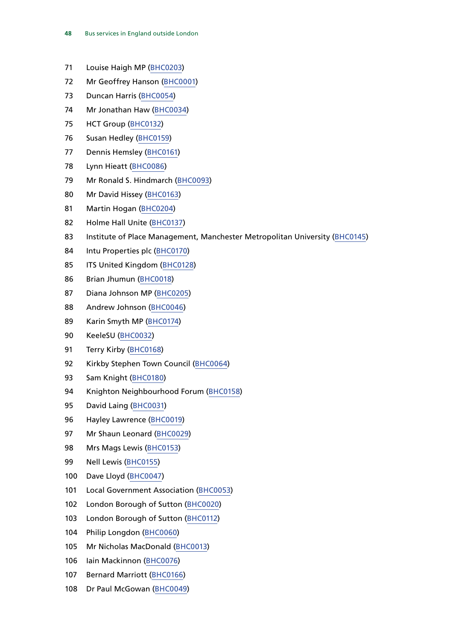- Louise Haigh MP ([BHC0203](http://data.parliament.uk/WrittenEvidence/CommitteeEvidence.svc/EvidenceDocument/Transport/Health%20of%20the%20Bus%20Market/Written/96054.html))
- Mr Geoffrey Hanson [\(BHC0001\)](http://data.parliament.uk/WrittenEvidence/CommitteeEvidence.svc/EvidenceDocument/Transport/Health%20of%20the%20Bus%20Market/Written/86821.html)
- Duncan Harris [\(BHC0054\)](http://data.parliament.uk/WrittenEvidence/CommitteeEvidence.svc/EvidenceDocument/Transport/Health%20of%20the%20Bus%20Market/Written/90010.html)
- Mr Jonathan Haw [\(BHC0034](http://data.parliament.uk/WrittenEvidence/CommitteeEvidence.svc/EvidenceDocument/Transport/Health%20of%20the%20Bus%20Market/Written/88425.html))
- HCT Group [\(BHC0132\)](http://data.parliament.uk/WrittenEvidence/CommitteeEvidence.svc/EvidenceDocument/Transport/Health%20of%20the%20Bus%20Market/Written/90436.html)
- Susan Hedley ([BHC0159](http://data.parliament.uk/WrittenEvidence/CommitteeEvidence.svc/EvidenceDocument/Transport/Health%20of%20the%20Bus%20Market/Written/91890.html))
- Dennis Hemsley [\(BHC0161\)](http://data.parliament.uk/WrittenEvidence/CommitteeEvidence.svc/EvidenceDocument/Transport/Health%20of%20the%20Bus%20Market/Written/91901.html)
- Lynn Hieatt [\(BHC0086](http://data.parliament.uk/WrittenEvidence/CommitteeEvidence.svc/EvidenceDocument/Transport/Health%20of%20the%20Bus%20Market/Written/90210.html))
- Mr Ronald S. Hindmarch [\(BHC0093](http://data.parliament.uk/WrittenEvidence/CommitteeEvidence.svc/EvidenceDocument/Transport/Health%20of%20the%20Bus%20Market/Written/90231.html))
- Mr David Hissey ([BHC0163\)](http://data.parliament.uk/WrittenEvidence/CommitteeEvidence.svc/EvidenceDocument/Transport/Health%20of%20the%20Bus%20Market/Written/91981.html)
- Martin Hogan ([BHC0204\)](http://data.parliament.uk/WrittenEvidence/CommitteeEvidence.svc/EvidenceDocument/Transport/Health%20of%20the%20Bus%20Market/Written/96067.html)
- Holme Hall Unite ([BHC0137](http://data.parliament.uk/WrittenEvidence/CommitteeEvidence.svc/EvidenceDocument/Transport/Health%20of%20the%20Bus%20Market/Written/90691.html))
- 83 Institute of Place Management, Manchester Metropolitan University ([BHC0145](http://data.parliament.uk/WrittenEvidence/CommitteeEvidence.svc/EvidenceDocument/Transport/Health%20of%20the%20Bus%20Market/Written/90804.html))
- Intu Properties plc [\(BHC0170](http://data.parliament.uk/WrittenEvidence/CommitteeEvidence.svc/EvidenceDocument/Transport/Health%20of%20the%20Bus%20Market/Written/92138.html))
- ITS United Kingdom ([BHC0128](http://data.parliament.uk/WrittenEvidence/CommitteeEvidence.svc/EvidenceDocument/Transport/Health%20of%20the%20Bus%20Market/Written/90286.html))
- Brian Jhumun ([BHC0018](http://data.parliament.uk/WrittenEvidence/CommitteeEvidence.svc/EvidenceDocument/Transport/Health%20of%20the%20Bus%20Market/Written/87703.html))
- Diana Johnson MP [\(BHC0205\)](http://data.parliament.uk/WrittenEvidence/CommitteeEvidence.svc/EvidenceDocument/Transport/Health%20of%20the%20Bus%20Market/Written/96102.html)
- Andrew Johnson [\(BHC0046\)](http://data.parliament.uk/WrittenEvidence/CommitteeEvidence.svc/EvidenceDocument/Transport/Health%20of%20the%20Bus%20Market/Written/89942.html)
- Karin Smyth MP [\(BHC0174\)](http://data.parliament.uk/WrittenEvidence/CommitteeEvidence.svc/EvidenceDocument/Transport/Health%20of%20the%20Bus%20Market/Written/92352.html)
- KeeleSU ([BHC0032\)](http://data.parliament.uk/WrittenEvidence/CommitteeEvidence.svc/EvidenceDocument/Transport/Health%20of%20the%20Bus%20Market/Written/88228.html)
- Terry Kirby [\(BHC0168\)](http://data.parliament.uk/WrittenEvidence/CommitteeEvidence.svc/EvidenceDocument/Transport/Health%20of%20the%20Bus%20Market/Written/92081.html)
- Kirkby Stephen Town Council [\(BHC0064\)](http://data.parliament.uk/WrittenEvidence/CommitteeEvidence.svc/EvidenceDocument/Transport/Health%20of%20the%20Bus%20Market/Written/90148.html)
- Sam Knight ([BHC0180](http://data.parliament.uk/WrittenEvidence/CommitteeEvidence.svc/EvidenceDocument/Transport/Health%20of%20the%20Bus%20Market/Written/92807.html))
- Knighton Neighbourhood Forum [\(BHC0158](http://data.parliament.uk/WrittenEvidence/CommitteeEvidence.svc/EvidenceDocument/Transport/Health%20of%20the%20Bus%20Market/Written/91889.html))
- David Laing ([BHC0031\)](http://data.parliament.uk/WrittenEvidence/CommitteeEvidence.svc/EvidenceDocument/Transport/Health%20of%20the%20Bus%20Market/Written/88143.html)
- Hayley Lawrence [\(BHC0019](http://data.parliament.uk/WrittenEvidence/CommitteeEvidence.svc/EvidenceDocument/Transport/Health%20of%20the%20Bus%20Market/Written/87721.html))
- Mr Shaun Leonard ([BHC0029\)](http://data.parliament.uk/WrittenEvidence/CommitteeEvidence.svc/EvidenceDocument/Transport/Health%20of%20the%20Bus%20Market/Written/88028.html)
- Mrs Mags Lewis [\(BHC0153](http://data.parliament.uk/WrittenEvidence/CommitteeEvidence.svc/EvidenceDocument/Transport/Health%20of%20the%20Bus%20Market/Written/91678.html))
- Nell Lewis [\(BHC0155](http://data.parliament.uk/WrittenEvidence/CommitteeEvidence.svc/EvidenceDocument/Transport/Health%20of%20the%20Bus%20Market/Written/91819.html))
- Dave Lloyd [\(BHC0047\)](http://data.parliament.uk/WrittenEvidence/CommitteeEvidence.svc/EvidenceDocument/Transport/Health%20of%20the%20Bus%20Market/Written/89955.html)
- 101 Local Government Association [\(BHC0053](http://data.parliament.uk/WrittenEvidence/CommitteeEvidence.svc/EvidenceDocument/Transport/Health%20of%20the%20Bus%20Market/Written/90007.html))
- London Borough of Sutton ([BHC0020\)](http://data.parliament.uk/WrittenEvidence/CommitteeEvidence.svc/EvidenceDocument/Transport/Health%20of%20the%20Bus%20Market/Written/87730.html)
- London Borough of Sutton ([BHC0112\)](http://data.parliament.uk/WrittenEvidence/CommitteeEvidence.svc/EvidenceDocument/Transport/Health%20of%20the%20Bus%20Market/Written/90256.html)
- Philip Longdon [\(BHC0060\)](http://data.parliament.uk/WrittenEvidence/CommitteeEvidence.svc/EvidenceDocument/Transport/Health%20of%20the%20Bus%20Market/Written/90124.html)
- Mr Nicholas MacDonald [\(BHC0013](http://data.parliament.uk/WrittenEvidence/CommitteeEvidence.svc/EvidenceDocument/Transport/Health%20of%20the%20Bus%20Market/Written/87572.html))
- Iain Mackinnon ([BHC0076\)](http://data.parliament.uk/WrittenEvidence/CommitteeEvidence.svc/EvidenceDocument/Transport/Health%20of%20the%20Bus%20Market/Written/90191.html)
- Bernard Marriott [\(BHC0166\)](http://data.parliament.uk/WrittenEvidence/CommitteeEvidence.svc/EvidenceDocument/Transport/Health%20of%20the%20Bus%20Market/Written/92073.html)
- Dr Paul McGowan ([BHC0049\)](http://data.parliament.uk/WrittenEvidence/CommitteeEvidence.svc/EvidenceDocument/Transport/Health%20of%20the%20Bus%20Market/Written/89978.html)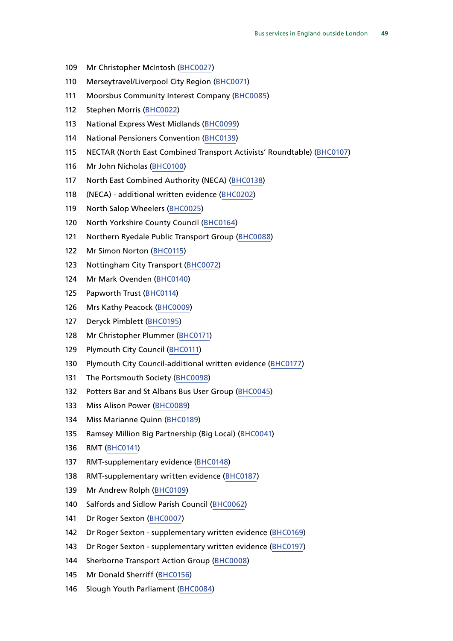- Mr Christopher McIntosh [\(BHC0027](http://data.parliament.uk/WrittenEvidence/CommitteeEvidence.svc/EvidenceDocument/Transport/Health%20of%20the%20Bus%20Market/Written/87948.html))
- Merseytravel/Liverpool City Region ([BHC0071\)](http://data.parliament.uk/WrittenEvidence/CommitteeEvidence.svc/EvidenceDocument/Transport/Health%20of%20the%20Bus%20Market/Written/90171.html)
- 111 Moorsbus Community Interest Company [\(BHC0085\)](http://data.parliament.uk/WrittenEvidence/CommitteeEvidence.svc/EvidenceDocument/Transport/Health%20of%20the%20Bus%20Market/Written/90209.html)
- Stephen Morris ([BHC0022\)](http://data.parliament.uk/WrittenEvidence/CommitteeEvidence.svc/EvidenceDocument/Transport/Health%20of%20the%20Bus%20Market/Written/87847.html)
- National Express West Midlands ([BHC0099](http://data.parliament.uk/WrittenEvidence/CommitteeEvidence.svc/EvidenceDocument/Transport/Health%20of%20the%20Bus%20Market/Written/90238.html))
- National Pensioners Convention [\(BHC0139\)](http://data.parliament.uk/WrittenEvidence/CommitteeEvidence.svc/EvidenceDocument/Transport/Health%20of%20the%20Bus%20Market/Written/90693.html)
- NECTAR (North East Combined Transport Activists' Roundtable) [\(BHC0107\)](http://data.parliament.uk/WrittenEvidence/CommitteeEvidence.svc/EvidenceDocument/Transport/Health%20of%20the%20Bus%20Market/Written/90250.html)
- Mr John Nicholas ([BHC0100](http://data.parliament.uk/WrittenEvidence/CommitteeEvidence.svc/EvidenceDocument/Transport/Health%20of%20the%20Bus%20Market/Written/90239.html))
- North East Combined Authority (NECA) [\(BHC0138](http://data.parliament.uk/WrittenEvidence/CommitteeEvidence.svc/EvidenceDocument/Transport/Health%20of%20the%20Bus%20Market/Written/90692.html))
- (NECA) additional written evidence [\(BHC0202\)](http://data.parliament.uk/WrittenEvidence/CommitteeEvidence.svc/EvidenceDocument/Transport/Health%20of%20the%20Bus%20Market/Written/96045.html)
- North Salop Wheelers ([BHC0025](http://data.parliament.uk/WrittenEvidence/CommitteeEvidence.svc/EvidenceDocument/Transport/Health%20of%20the%20Bus%20Market/Written/87938.html))
- North Yorkshire County Council ([BHC0164](http://data.parliament.uk/WrittenEvidence/CommitteeEvidence.svc/EvidenceDocument/Transport/Health%20of%20the%20Bus%20Market/Written/91999.html))
- Northern Ryedale Public Transport Group [\(BHC0088\)](http://data.parliament.uk/WrittenEvidence/CommitteeEvidence.svc/EvidenceDocument/Transport/Health%20of%20the%20Bus%20Market/Written/90217.html)
- Mr Simon Norton [\(BHC0115](http://data.parliament.uk/WrittenEvidence/CommitteeEvidence.svc/EvidenceDocument/Transport/Health%20of%20the%20Bus%20Market/Written/90263.html))
- Nottingham City Transport [\(BHC0072](http://data.parliament.uk/WrittenEvidence/CommitteeEvidence.svc/EvidenceDocument/Transport/Health%20of%20the%20Bus%20Market/Written/90183.html))
- Mr Mark Ovenden ([BHC0140\)](http://data.parliament.uk/WrittenEvidence/CommitteeEvidence.svc/EvidenceDocument/Transport/Health%20of%20the%20Bus%20Market/Written/90709.html)
- Papworth Trust [\(BHC0114](http://data.parliament.uk/WrittenEvidence/CommitteeEvidence.svc/EvidenceDocument/Transport/Health%20of%20the%20Bus%20Market/Written/90262.html))
- Mrs Kathy Peacock [\(BHC0009](http://data.parliament.uk/WrittenEvidence/CommitteeEvidence.svc/EvidenceDocument/Transport/Health%20of%20the%20Bus%20Market/Written/87508.html))
- Deryck Pimblett [\(BHC0195](http://data.parliament.uk/WrittenEvidence/CommitteeEvidence.svc/EvidenceDocument/Transport/Health%20of%20the%20Bus%20Market/Written/95036.html))
- Mr Christopher Plummer [\(BHC0171](http://data.parliament.uk/WrittenEvidence/CommitteeEvidence.svc/EvidenceDocument/Transport/Health%20of%20the%20Bus%20Market/Written/92223.html))
- Plymouth City Council [\(BHC0111\)](http://data.parliament.uk/WrittenEvidence/CommitteeEvidence.svc/EvidenceDocument/Transport/Health%20of%20the%20Bus%20Market/Written/90255.html)
- Plymouth City Council-additional written evidence ([BHC0177\)](http://data.parliament.uk/WrittenEvidence/CommitteeEvidence.svc/EvidenceDocument/Transport/Health%20of%20the%20Bus%20Market/Written/92673.html)
- The Portsmouth Society [\(BHC0098\)](http://data.parliament.uk/WrittenEvidence/CommitteeEvidence.svc/EvidenceDocument/Transport/Health%20of%20the%20Bus%20Market/Written/90237.html)
- 132 Potters Bar and St Albans Bus User Group ([BHC0045](http://data.parliament.uk/WrittenEvidence/CommitteeEvidence.svc/EvidenceDocument/Transport/Health%20of%20the%20Bus%20Market/Written/89940.html))
- Miss Alison Power ([BHC0089](http://data.parliament.uk/WrittenEvidence/CommitteeEvidence.svc/EvidenceDocument/Transport/Health%20of%20the%20Bus%20Market/Written/90218.html))
- Miss Marianne Quinn [\(BHC0189](http://data.parliament.uk/WrittenEvidence/CommitteeEvidence.svc/EvidenceDocument/Transport/Health%20of%20the%20Bus%20Market/Written/94010.html))
- Ramsey Million Big Partnership (Big Local) ([BHC0041](http://data.parliament.uk/WrittenEvidence/CommitteeEvidence.svc/EvidenceDocument/Transport/Health%20of%20the%20Bus%20Market/Written/89499.html))
- RMT ([BHC0141\)](http://data.parliament.uk/WrittenEvidence/CommitteeEvidence.svc/EvidenceDocument/Transport/Health%20of%20the%20Bus%20Market/Written/90712.html)
- RMT-supplementary evidence [\(BHC0148\)](http://data.parliament.uk/WrittenEvidence/CommitteeEvidence.svc/EvidenceDocument/Transport/Health%20of%20the%20Bus%20Market/Written/91069.html)
- RMT-supplementary written evidence [\(BHC0187](http://data.parliament.uk/WrittenEvidence/CommitteeEvidence.svc/EvidenceDocument/Transport/Health%20of%20the%20Bus%20Market/Written/93696.html))
- Mr Andrew Rolph [\(BHC0109](http://data.parliament.uk/WrittenEvidence/CommitteeEvidence.svc/EvidenceDocument/Transport/Health%20of%20the%20Bus%20Market/Written/90253.html))
- Salfords and Sidlow Parish Council [\(BHC0062](http://data.parliament.uk/WrittenEvidence/CommitteeEvidence.svc/EvidenceDocument/Transport/Health%20of%20the%20Bus%20Market/Written/90138.html))
- Dr Roger Sexton [\(BHC0007\)](http://data.parliament.uk/WrittenEvidence/CommitteeEvidence.svc/EvidenceDocument/Transport/Health%20of%20the%20Bus%20Market/Written/87279.html)
- 142 Dr Roger Sexton supplementary written evidence ([BHC0169\)](http://data.parliament.uk/WrittenEvidence/CommitteeEvidence.svc/EvidenceDocument/Transport/Health%20of%20the%20Bus%20Market/Written/92124.html)
- Dr Roger Sexton supplementary written evidence ([BHC0197\)](http://data.parliament.uk/WrittenEvidence/CommitteeEvidence.svc/EvidenceDocument/Transport/Health%20of%20the%20Bus%20Market/Written/95204.html)
- Sherborne Transport Action Group [\(BHC0008\)](http://data.parliament.uk/WrittenEvidence/CommitteeEvidence.svc/EvidenceDocument/Transport/Health%20of%20the%20Bus%20Market/Written/87383.html)
- Mr Donald Sherriff ([BHC0156](http://data.parliament.uk/WrittenEvidence/CommitteeEvidence.svc/EvidenceDocument/Transport/Health%20of%20the%20Bus%20Market/Written/91859.html))
- Slough Youth Parliament [\(BHC0084\)](http://data.parliament.uk/WrittenEvidence/CommitteeEvidence.svc/EvidenceDocument/Transport/Health%20of%20the%20Bus%20Market/Written/90205.html)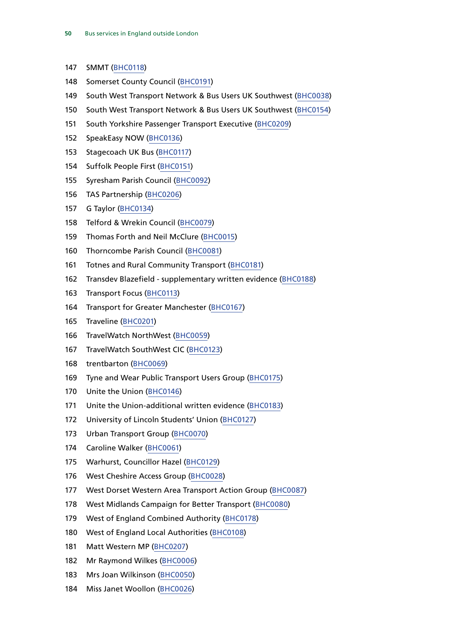- SMMT [\(BHC0118](http://data.parliament.uk/WrittenEvidence/CommitteeEvidence.svc/EvidenceDocument/Transport/Health%20of%20the%20Bus%20Market/Written/90267.html))
- Somerset County Council ([BHC0191](http://data.parliament.uk/WrittenEvidence/CommitteeEvidence.svc/EvidenceDocument/Transport/Health%20of%20the%20Bus%20Market/Written/94534.html))
- South West Transport Network & Bus Users UK Southwest ([BHC0038\)](http://data.parliament.uk/WrittenEvidence/CommitteeEvidence.svc/EvidenceDocument/Transport/Health%20of%20the%20Bus%20Market/Written/89135.html)
- South West Transport Network & Bus Users UK Southwest ([BHC0154\)](http://data.parliament.uk/WrittenEvidence/CommitteeEvidence.svc/EvidenceDocument/Transport/Health%20of%20the%20Bus%20Market/Written/91818.html)
- South Yorkshire Passenger Transport Executive ([BHC0209\)](http://data.parliament.uk/WrittenEvidence/CommitteeEvidence.svc/EvidenceDocument/Transport/Health%20of%20the%20Bus%20Market/Written/99258.html)
- SpeakEasy NOW ([BHC0136\)](http://data.parliament.uk/WrittenEvidence/CommitteeEvidence.svc/EvidenceDocument/Transport/Health%20of%20the%20Bus%20Market/Written/90589.html)
- Stagecoach UK Bus [\(BHC0117](http://data.parliament.uk/WrittenEvidence/CommitteeEvidence.svc/EvidenceDocument/Transport/Health%20of%20the%20Bus%20Market/Written/90265.html))
- Suffolk People First [\(BHC0151](http://data.parliament.uk/WrittenEvidence/CommitteeEvidence.svc/EvidenceDocument/Transport/Health%20of%20the%20Bus%20Market/Written/91432.html))
- Syresham Parish Council [\(BHC0092](http://data.parliament.uk/WrittenEvidence/CommitteeEvidence.svc/EvidenceDocument/Transport/Health%20of%20the%20Bus%20Market/Written/90229.html))
- TAS Partnership ([BHC0206\)](http://data.parliament.uk/WrittenEvidence/CommitteeEvidence.svc/EvidenceDocument/Transport/Health%20of%20the%20Bus%20Market/Written/96204.html)
- G Taylor ([BHC0134\)](http://data.parliament.uk/WrittenEvidence/CommitteeEvidence.svc/EvidenceDocument/Transport/Health%20of%20the%20Bus%20Market/Written/90584.html)
- Telford & Wrekin Council ([BHC0079](http://data.parliament.uk/WrittenEvidence/CommitteeEvidence.svc/EvidenceDocument/Transport/Health%20of%20the%20Bus%20Market/Written/90198.html))
- Thomas Forth and Neil McClure [\(BHC0015\)](http://data.parliament.uk/WrittenEvidence/CommitteeEvidence.svc/EvidenceDocument/Transport/Health%20of%20the%20Bus%20Market/Written/87600.html)
- Thorncombe Parish Council ([BHC0081](http://data.parliament.uk/WrittenEvidence/CommitteeEvidence.svc/EvidenceDocument/Transport/Health%20of%20the%20Bus%20Market/Written/90201.html))
- Totnes and Rural Community Transport ([BHC0181](http://data.parliament.uk/WrittenEvidence/CommitteeEvidence.svc/EvidenceDocument/Transport/Health%20of%20the%20Bus%20Market/Written/92808.html))
- Transdev Blazefield supplementary written evidence ([BHC0188](http://data.parliament.uk/WrittenEvidence/CommitteeEvidence.svc/EvidenceDocument/Transport/Health%20of%20the%20Bus%20Market/Written/93903.html))
- Transport Focus [\(BHC0113](http://data.parliament.uk/WrittenEvidence/CommitteeEvidence.svc/EvidenceDocument/Transport/Health%20of%20the%20Bus%20Market/Written/90261.html))
- Transport for Greater Manchester [\(BHC0167\)](http://data.parliament.uk/WrittenEvidence/CommitteeEvidence.svc/EvidenceDocument/Transport/Health%20of%20the%20Bus%20Market/Written/92079.html)
- Traveline [\(BHC0201](http://data.parliament.uk/WrittenEvidence/CommitteeEvidence.svc/EvidenceDocument/Transport/Health%20of%20the%20Bus%20Market/Written/95481.html))
- TravelWatch NorthWest ([BHC0059\)](http://data.parliament.uk/WrittenEvidence/CommitteeEvidence.svc/EvidenceDocument/Transport/Health%20of%20the%20Bus%20Market/Written/90110.html)
- TravelWatch SouthWest CIC [\(BHC0123](http://data.parliament.uk/WrittenEvidence/CommitteeEvidence.svc/EvidenceDocument/Transport/Health%20of%20the%20Bus%20Market/Written/90280.html))
- trentbarton ([BHC0069](http://data.parliament.uk/WrittenEvidence/CommitteeEvidence.svc/EvidenceDocument/Transport/Health%20of%20the%20Bus%20Market/Written/90157.html))
- Tyne and Wear Public Transport Users Group ([BHC0175\)](http://data.parliament.uk/WrittenEvidence/CommitteeEvidence.svc/EvidenceDocument/Transport/Health%20of%20the%20Bus%20Market/Written/92367.html)
- Unite the Union ([BHC0146\)](http://data.parliament.uk/WrittenEvidence/CommitteeEvidence.svc/EvidenceDocument/Transport/Health%20of%20the%20Bus%20Market/Written/90913.html)
- Unite the Union-additional written evidence ([BHC0183](http://data.parliament.uk/WrittenEvidence/CommitteeEvidence.svc/EvidenceDocument/Transport/Health%20of%20the%20Bus%20Market/Written/93264.html))
- University of Lincoln Students' Union ([BHC0127](http://data.parliament.uk/WrittenEvidence/CommitteeEvidence.svc/EvidenceDocument/Transport/Health%20of%20the%20Bus%20Market/Written/90285.html))
- Urban Transport Group ([BHC0070](http://data.parliament.uk/WrittenEvidence/CommitteeEvidence.svc/EvidenceDocument/Transport/Health%20of%20the%20Bus%20Market/Written/90158.html))
- Caroline Walker [\(BHC0061](http://data.parliament.uk/WrittenEvidence/CommitteeEvidence.svc/EvidenceDocument/Transport/Health%20of%20the%20Bus%20Market/Written/90131.html))
- Warhurst, Councillor Hazel ([BHC0129\)](http://data.parliament.uk/WrittenEvidence/CommitteeEvidence.svc/EvidenceDocument/Transport/Health%20of%20the%20Bus%20Market/Written/90287.html)
- West Cheshire Access Group ([BHC0028\)](http://data.parliament.uk/WrittenEvidence/CommitteeEvidence.svc/EvidenceDocument/Transport/Health%20of%20the%20Bus%20Market/Written/87959.html)
- West Dorset Western Area Transport Action Group ([BHC0087](http://data.parliament.uk/WrittenEvidence/CommitteeEvidence.svc/EvidenceDocument/Transport/Health%20of%20the%20Bus%20Market/Written/90212.html))
- West Midlands Campaign for Better Transport ([BHC0080](http://data.parliament.uk/WrittenEvidence/CommitteeEvidence.svc/EvidenceDocument/Transport/Health%20of%20the%20Bus%20Market/Written/90200.html))
- West of England Combined Authority ([BHC0178\)](http://data.parliament.uk/WrittenEvidence/CommitteeEvidence.svc/EvidenceDocument/Transport/Health%20of%20the%20Bus%20Market/Written/92687.html)
- West of England Local Authorities ([BHC0108](http://data.parliament.uk/WrittenEvidence/CommitteeEvidence.svc/EvidenceDocument/Transport/Health%20of%20the%20Bus%20Market/Written/90251.html))
- Matt Western MP [\(BHC0207](http://data.parliament.uk/WrittenEvidence/CommitteeEvidence.svc/EvidenceDocument/Transport/Health%20of%20the%20Bus%20Market/Written/97502.html))
- Mr Raymond Wilkes ([BHC0006\)](http://data.parliament.uk/WrittenEvidence/CommitteeEvidence.svc/EvidenceDocument/Transport/Health%20of%20the%20Bus%20Market/Written/87154.html)
- Mrs Joan Wilkinson ([BHC0050\)](http://data.parliament.uk/WrittenEvidence/CommitteeEvidence.svc/EvidenceDocument/Transport/Health%20of%20the%20Bus%20Market/Written/89984.html)
- Miss Janet Woollon [\(BHC0026](http://data.parliament.uk/WrittenEvidence/CommitteeEvidence.svc/EvidenceDocument/Transport/Health%20of%20the%20Bus%20Market/Written/87947.html))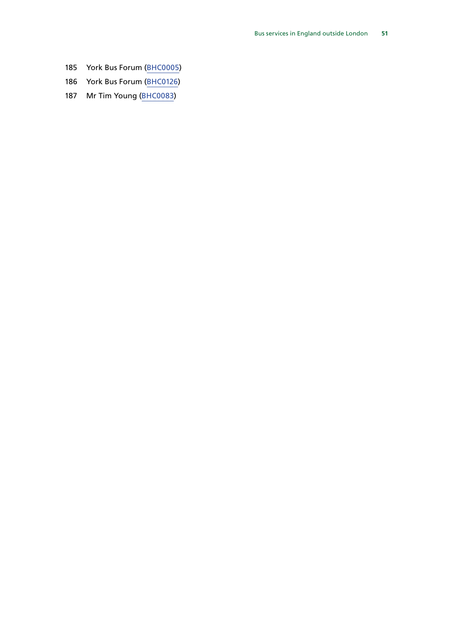- York Bus Forum ([BHC0005](http://data.parliament.uk/WrittenEvidence/CommitteeEvidence.svc/EvidenceDocument/Transport/Health%20of%20the%20Bus%20Market/Written/87134.html))
- York Bus Forum ([BHC0126\)](http://data.parliament.uk/WrittenEvidence/CommitteeEvidence.svc/EvidenceDocument/Transport/Health%20of%20the%20Bus%20Market/Written/90283.html)
- Mr Tim Young [\(BHC0083](http://data.parliament.uk/WrittenEvidence/CommitteeEvidence.svc/EvidenceDocument/Transport/Health%20of%20the%20Bus%20Market/Written/90203.html))